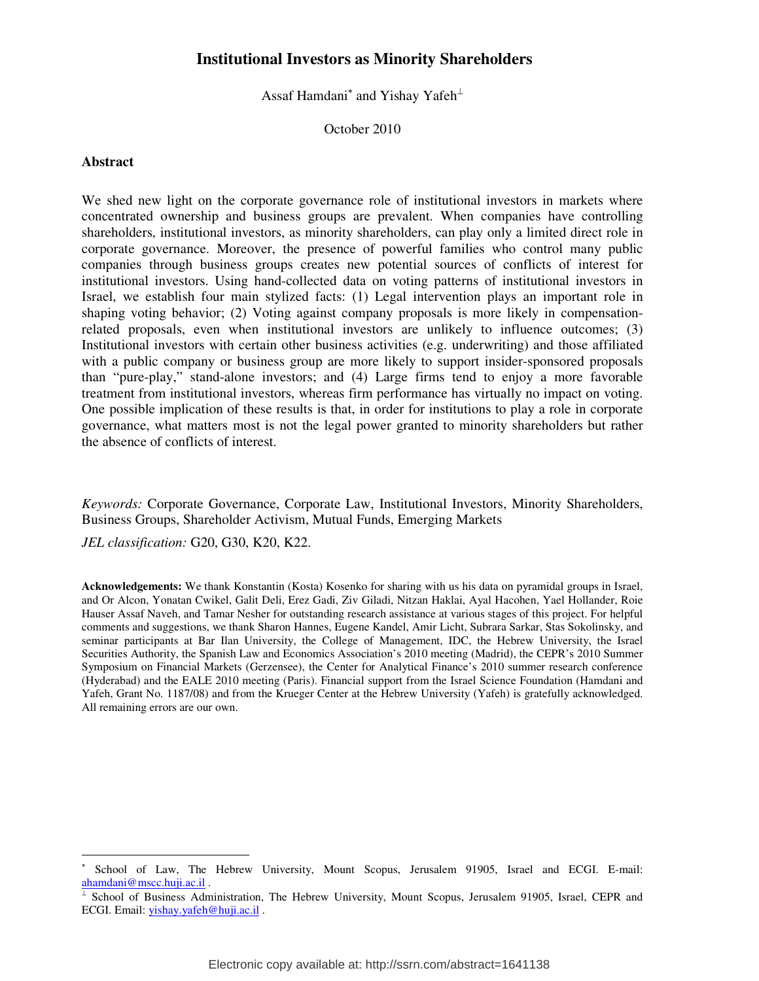# **Institutional Investors as Minority Shareholders**

Assaf Hamdani $^*$  and Yishay Yafeh $^{\perp}$ 

October 2010

## **Abstract**

-

We shed new light on the corporate governance role of institutional investors in markets where concentrated ownership and business groups are prevalent. When companies have controlling shareholders, institutional investors, as minority shareholders, can play only a limited direct role in corporate governance. Moreover, the presence of powerful families who control many public companies through business groups creates new potential sources of conflicts of interest for institutional investors. Using hand-collected data on voting patterns of institutional investors in Israel, we establish four main stylized facts: (1) Legal intervention plays an important role in shaping voting behavior; (2) Voting against company proposals is more likely in compensationrelated proposals, even when institutional investors are unlikely to influence outcomes; (3) Institutional investors with certain other business activities (e.g. underwriting) and those affiliated with a public company or business group are more likely to support insider-sponsored proposals than "pure-play," stand-alone investors; and (4) Large firms tend to enjoy a more favorable treatment from institutional investors, whereas firm performance has virtually no impact on voting. One possible implication of these results is that, in order for institutions to play a role in corporate governance, what matters most is not the legal power granted to minority shareholders but rather the absence of conflicts of interest.

*Keywords:* Corporate Governance, Corporate Law, Institutional Investors, Minority Shareholders, Business Groups, Shareholder Activism, Mutual Funds, Emerging Markets

*JEL classification:* G20, G30, K20, K22.

**Acknowledgements:** We thank Konstantin (Kosta) Kosenko for sharing with us his data on pyramidal groups in Israel, and Or Alcon, Yonatan Cwikel, Galit Deli, Erez Gadi, Ziv Giladi, Nitzan Haklai, Ayal Hacohen, Yael Hollander, Roie Hauser Assaf Naveh, and Tamar Nesher for outstanding research assistance at various stages of this project. For helpful comments and suggestions, we thank Sharon Hannes, Eugene Kandel, Amir Licht, Subrara Sarkar, Stas Sokolinsky, and seminar participants at Bar Ilan University, the College of Management, IDC, the Hebrew University, the Israel Securities Authority, the Spanish Law and Economics Association's 2010 meeting (Madrid), the CEPR's 2010 Summer Symposium on Financial Markets (Gerzensee), the Center for Analytical Finance's 2010 summer research conference (Hyderabad) and the EALE 2010 meeting (Paris). Financial support from the Israel Science Foundation (Hamdani and Yafeh, Grant No. 1187/08) and from the Krueger Center at the Hebrew University (Yafeh) is gratefully acknowledged. All remaining errors are our own.

<sup>∗</sup> School of Law, The Hebrew University, Mount Scopus, Jerusalem 91905, Israel and ECGI. E-mail: ahamdani@mscc.huji.ac.il .

<sup>⊥</sup> School of Business Administration, The Hebrew University, Mount Scopus, Jerusalem 91905, Israel, CEPR and ECGI. Email: yishay.yafeh@huji.ac.il .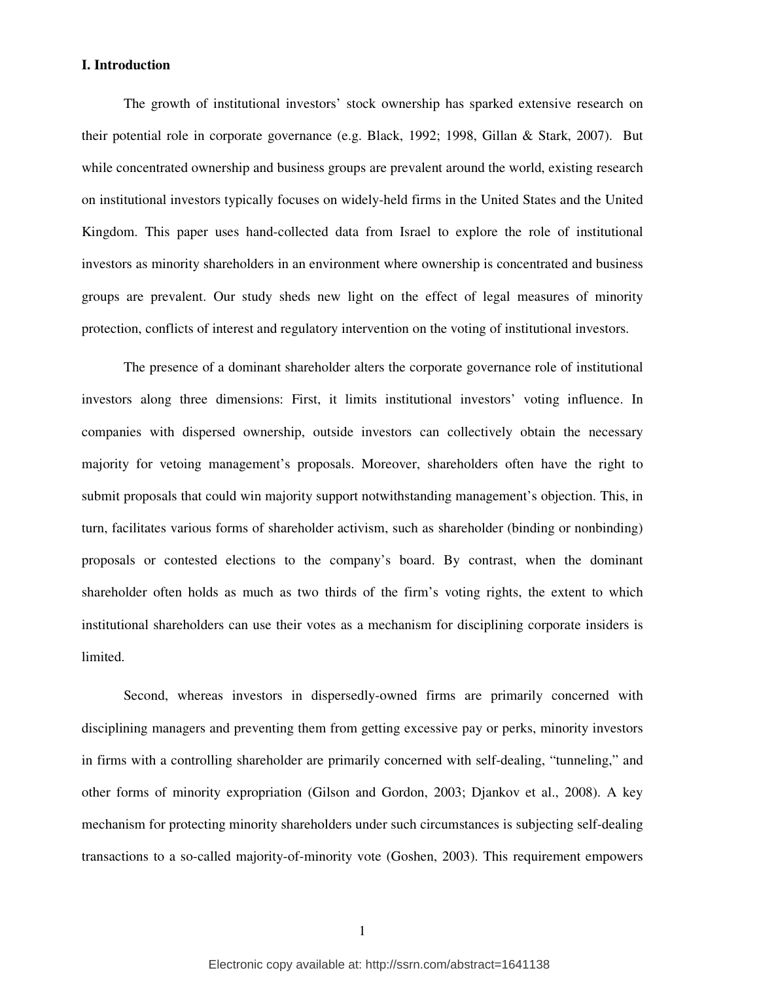# **I. Introduction**

The growth of institutional investors' stock ownership has sparked extensive research on their potential role in corporate governance (e.g. Black, 1992; 1998, Gillan & Stark, 2007). But while concentrated ownership and business groups are prevalent around the world, existing research on institutional investors typically focuses on widely-held firms in the United States and the United Kingdom. This paper uses hand-collected data from Israel to explore the role of institutional investors as minority shareholders in an environment where ownership is concentrated and business groups are prevalent. Our study sheds new light on the effect of legal measures of minority protection, conflicts of interest and regulatory intervention on the voting of institutional investors.

The presence of a dominant shareholder alters the corporate governance role of institutional investors along three dimensions: First, it limits institutional investors' voting influence. In companies with dispersed ownership, outside investors can collectively obtain the necessary majority for vetoing management's proposals. Moreover, shareholders often have the right to submit proposals that could win majority support notwithstanding management's objection. This, in turn, facilitates various forms of shareholder activism, such as shareholder (binding or nonbinding) proposals or contested elections to the company's board. By contrast, when the dominant shareholder often holds as much as two thirds of the firm's voting rights, the extent to which institutional shareholders can use their votes as a mechanism for disciplining corporate insiders is limited.

Second, whereas investors in dispersedly-owned firms are primarily concerned with disciplining managers and preventing them from getting excessive pay or perks, minority investors in firms with a controlling shareholder are primarily concerned with self-dealing, "tunneling," and other forms of minority expropriation (Gilson and Gordon, 2003; Djankov et al., 2008). A key mechanism for protecting minority shareholders under such circumstances is subjecting self-dealing transactions to a so-called majority-of-minority vote (Goshen, 2003). This requirement empowers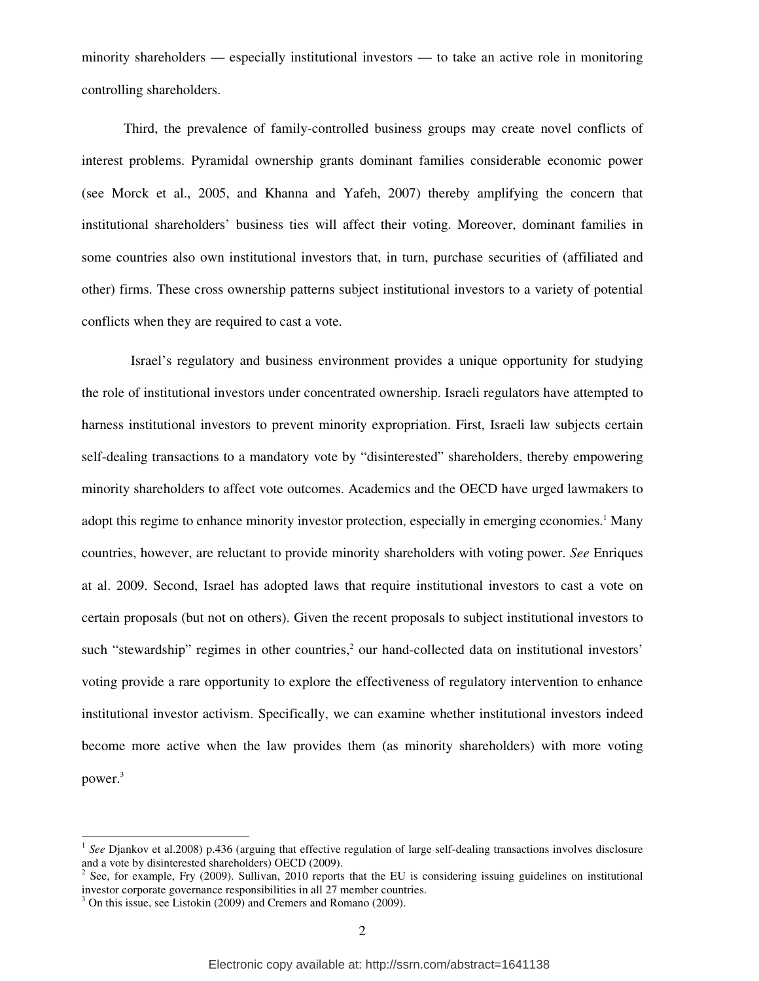minority shareholders — especially institutional investors — to take an active role in monitoring controlling shareholders.

Third, the prevalence of family-controlled business groups may create novel conflicts of interest problems. Pyramidal ownership grants dominant families considerable economic power (see Morck et al., 2005, and Khanna and Yafeh, 2007) thereby amplifying the concern that institutional shareholders' business ties will affect their voting. Moreover, dominant families in some countries also own institutional investors that, in turn, purchase securities of (affiliated and other) firms. These cross ownership patterns subject institutional investors to a variety of potential conflicts when they are required to cast a vote.

 Israel's regulatory and business environment provides a unique opportunity for studying the role of institutional investors under concentrated ownership. Israeli regulators have attempted to harness institutional investors to prevent minority expropriation. First, Israeli law subjects certain self-dealing transactions to a mandatory vote by "disinterested" shareholders, thereby empowering minority shareholders to affect vote outcomes. Academics and the OECD have urged lawmakers to adopt this regime to enhance minority investor protection, especially in emerging economies.<sup>1</sup> Many countries, however, are reluctant to provide minority shareholders with voting power. *See* Enriques at al. 2009. Second, Israel has adopted laws that require institutional investors to cast a vote on certain proposals (but not on others). Given the recent proposals to subject institutional investors to such "stewardship" regimes in other countries,<sup>2</sup> our hand-collected data on institutional investors' voting provide a rare opportunity to explore the effectiveness of regulatory intervention to enhance institutional investor activism. Specifically, we can examine whether institutional investors indeed become more active when the law provides them (as minority shareholders) with more voting power.<sup>3</sup>

<sup>1</sup> *See* Djankov et al.2008) p.436 (arguing that effective regulation of large self-dealing transactions involves disclosure and a vote by disinterested shareholders) OECD (2009).

 $2^2$  See, for example, Fry (2009). Sullivan, 2010 reports that the EU is considering issuing guidelines on institutional investor corporate governance responsibilities in all 27 member countries.

<sup>&</sup>lt;sup>3</sup> On this issue, see Listokin (2009) and Cremers and Romano (2009).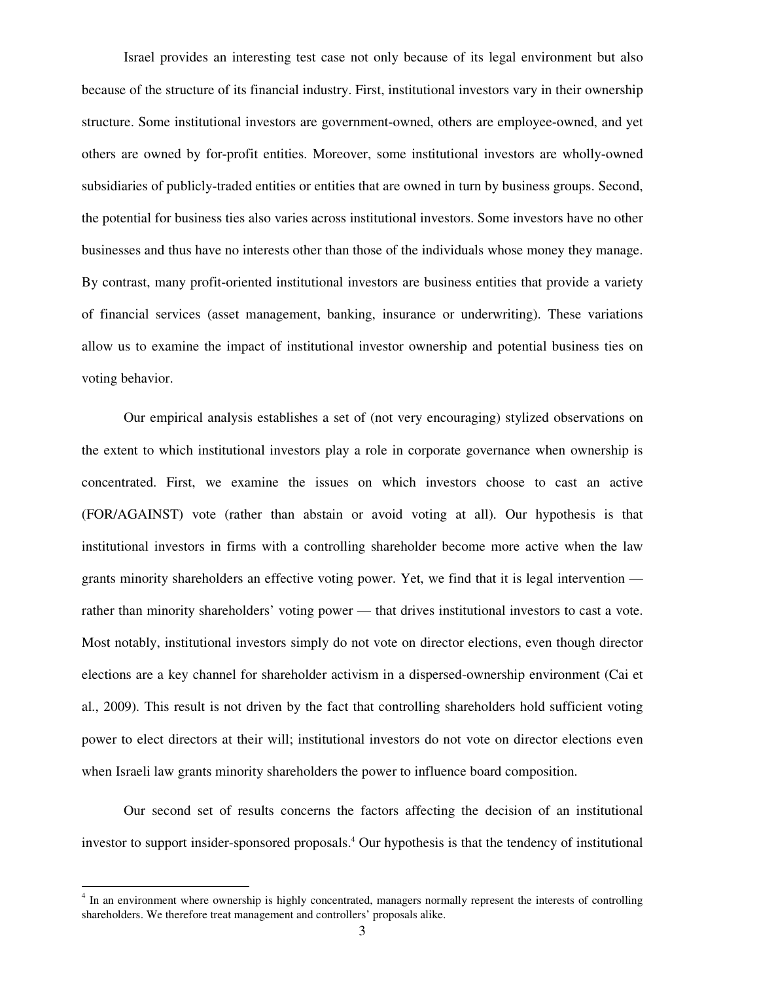Israel provides an interesting test case not only because of its legal environment but also because of the structure of its financial industry. First, institutional investors vary in their ownership structure. Some institutional investors are government-owned, others are employee-owned, and yet others are owned by for-profit entities. Moreover, some institutional investors are wholly-owned subsidiaries of publicly-traded entities or entities that are owned in turn by business groups. Second, the potential for business ties also varies across institutional investors. Some investors have no other businesses and thus have no interests other than those of the individuals whose money they manage. By contrast, many profit-oriented institutional investors are business entities that provide a variety of financial services (asset management, banking, insurance or underwriting). These variations allow us to examine the impact of institutional investor ownership and potential business ties on voting behavior.

Our empirical analysis establishes a set of (not very encouraging) stylized observations on the extent to which institutional investors play a role in corporate governance when ownership is concentrated. First, we examine the issues on which investors choose to cast an active (FOR/AGAINST) vote (rather than abstain or avoid voting at all). Our hypothesis is that institutional investors in firms with a controlling shareholder become more active when the law grants minority shareholders an effective voting power. Yet, we find that it is legal intervention rather than minority shareholders' voting power — that drives institutional investors to cast a vote. Most notably, institutional investors simply do not vote on director elections, even though director elections are a key channel for shareholder activism in a dispersed-ownership environment (Cai et al., 2009). This result is not driven by the fact that controlling shareholders hold sufficient voting power to elect directors at their will; institutional investors do not vote on director elections even when Israeli law grants minority shareholders the power to influence board composition.

Our second set of results concerns the factors affecting the decision of an institutional investor to support insider-sponsored proposals.<sup>4</sup> Our hypothesis is that the tendency of institutional

<sup>&</sup>lt;sup>4</sup> In an environment where ownership is highly concentrated, managers normally represent the interests of controlling shareholders. We therefore treat management and controllers' proposals alike.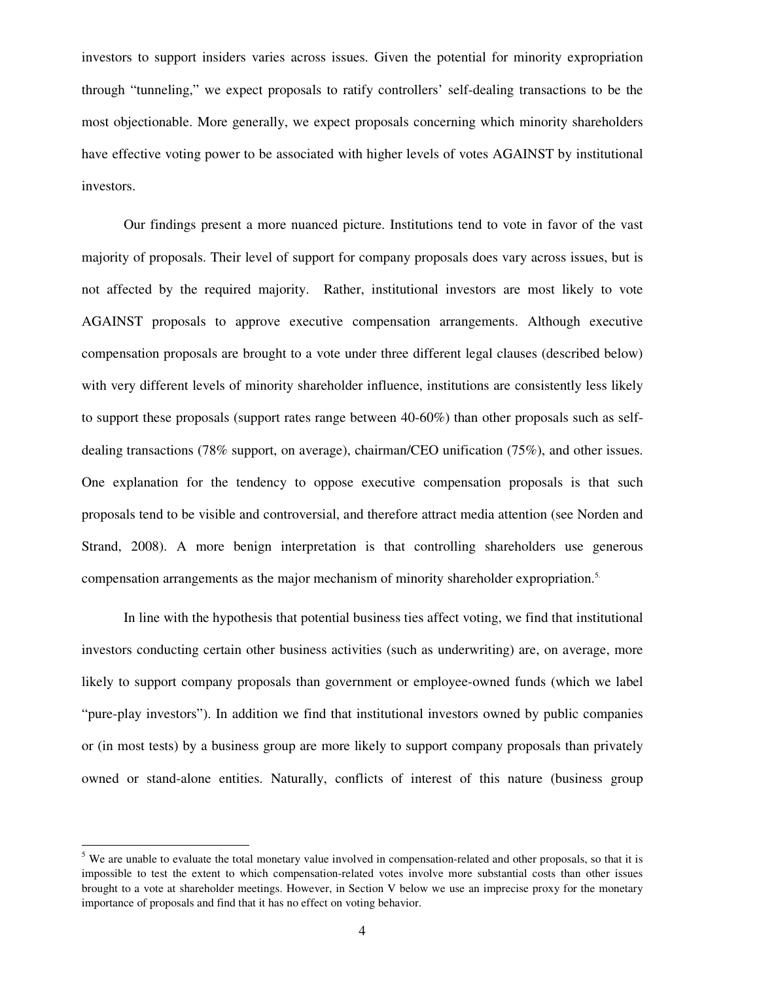investors to support insiders varies across issues. Given the potential for minority expropriation through "tunneling," we expect proposals to ratify controllers' self-dealing transactions to be the most objectionable. More generally, we expect proposals concerning which minority shareholders have effective voting power to be associated with higher levels of votes AGAINST by institutional investors.

Our findings present a more nuanced picture. Institutions tend to vote in favor of the vast majority of proposals. Their level of support for company proposals does vary across issues, but is not affected by the required majority. Rather, institutional investors are most likely to vote AGAINST proposals to approve executive compensation arrangements. Although executive compensation proposals are brought to a vote under three different legal clauses (described below) with very different levels of minority shareholder influence, institutions are consistently less likely to support these proposals (support rates range between 40-60%) than other proposals such as selfdealing transactions (78% support, on average), chairman/CEO unification (75%), and other issues. One explanation for the tendency to oppose executive compensation proposals is that such proposals tend to be visible and controversial, and therefore attract media attention (see Norden and Strand, 2008). A more benign interpretation is that controlling shareholders use generous compensation arrangements as the major mechanism of minority shareholder expropriation.<sup>5.</sup>

In line with the hypothesis that potential business ties affect voting, we find that institutional investors conducting certain other business activities (such as underwriting) are, on average, more likely to support company proposals than government or employee-owned funds (which we label "pure-play investors"). In addition we find that institutional investors owned by public companies or (in most tests) by a business group are more likely to support company proposals than privately owned or stand-alone entities. Naturally, conflicts of interest of this nature (business group

<sup>&</sup>lt;sup>5</sup> We are unable to evaluate the total monetary value involved in compensation-related and other proposals, so that it is impossible to test the extent to which compensation-related votes involve more substantial costs than other issues brought to a vote at shareholder meetings. However, in Section V below we use an imprecise proxy for the monetary importance of proposals and find that it has no effect on voting behavior.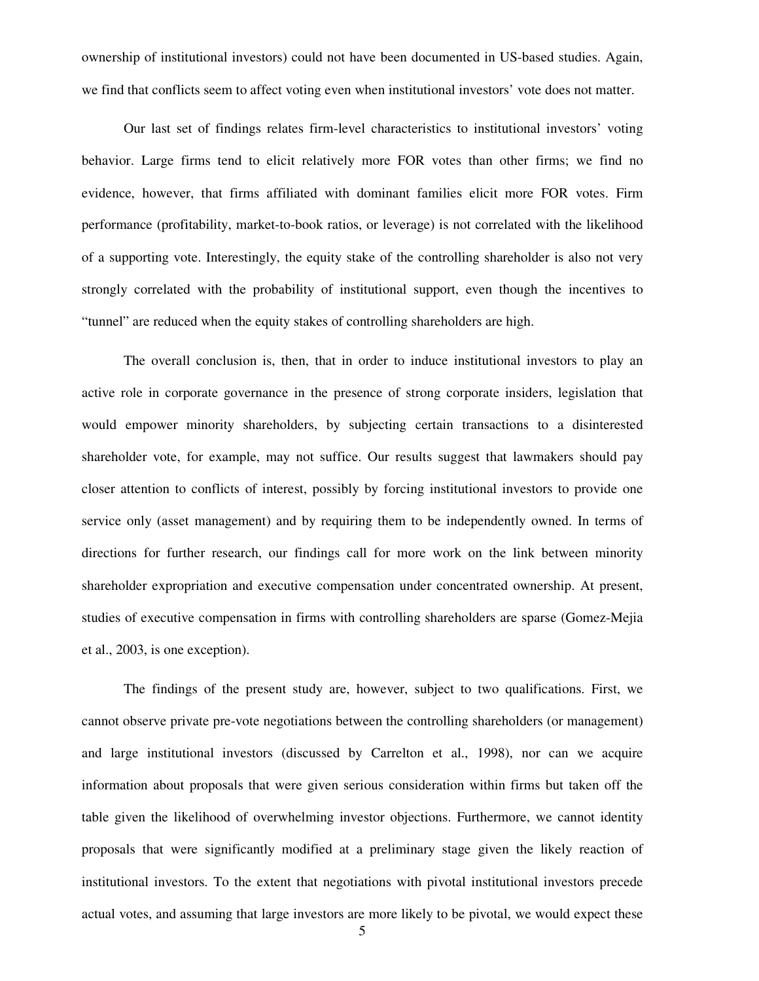ownership of institutional investors) could not have been documented in US-based studies. Again, we find that conflicts seem to affect voting even when institutional investors' vote does not matter.

Our last set of findings relates firm-level characteristics to institutional investors' voting behavior. Large firms tend to elicit relatively more FOR votes than other firms; we find no evidence, however, that firms affiliated with dominant families elicit more FOR votes. Firm performance (profitability, market-to-book ratios, or leverage) is not correlated with the likelihood of a supporting vote. Interestingly, the equity stake of the controlling shareholder is also not very strongly correlated with the probability of institutional support, even though the incentives to "tunnel" are reduced when the equity stakes of controlling shareholders are high.

The overall conclusion is, then, that in order to induce institutional investors to play an active role in corporate governance in the presence of strong corporate insiders, legislation that would empower minority shareholders, by subjecting certain transactions to a disinterested shareholder vote, for example, may not suffice. Our results suggest that lawmakers should pay closer attention to conflicts of interest, possibly by forcing institutional investors to provide one service only (asset management) and by requiring them to be independently owned. In terms of directions for further research, our findings call for more work on the link between minority shareholder expropriation and executive compensation under concentrated ownership. At present, studies of executive compensation in firms with controlling shareholders are sparse (Gomez-Mejia et al., 2003, is one exception).

The findings of the present study are, however, subject to two qualifications. First, we cannot observe private pre-vote negotiations between the controlling shareholders (or management) and large institutional investors (discussed by Carrelton et al., 1998), nor can we acquire information about proposals that were given serious consideration within firms but taken off the table given the likelihood of overwhelming investor objections. Furthermore, we cannot identity proposals that were significantly modified at a preliminary stage given the likely reaction of institutional investors. To the extent that negotiations with pivotal institutional investors precede actual votes, and assuming that large investors are more likely to be pivotal, we would expect these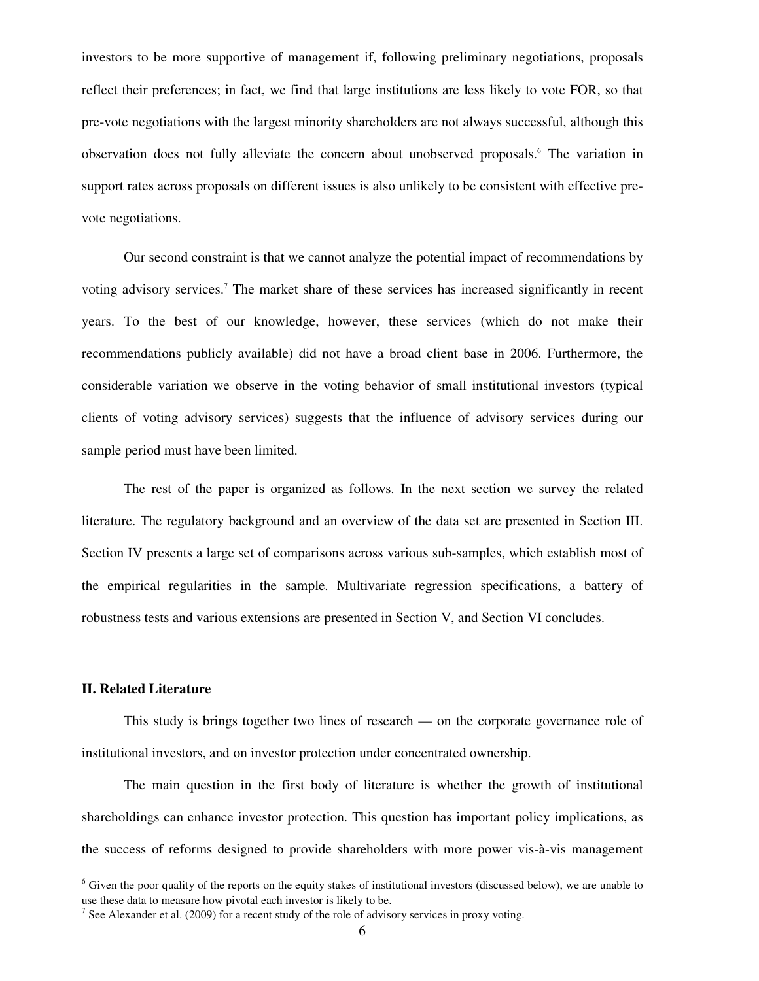investors to be more supportive of management if, following preliminary negotiations, proposals reflect their preferences; in fact, we find that large institutions are less likely to vote FOR, so that pre-vote negotiations with the largest minority shareholders are not always successful, although this observation does not fully alleviate the concern about unobserved proposals.<sup>6</sup> The variation in support rates across proposals on different issues is also unlikely to be consistent with effective prevote negotiations.

Our second constraint is that we cannot analyze the potential impact of recommendations by voting advisory services.<sup>7</sup> The market share of these services has increased significantly in recent years. To the best of our knowledge, however, these services (which do not make their recommendations publicly available) did not have a broad client base in 2006. Furthermore, the considerable variation we observe in the voting behavior of small institutional investors (typical clients of voting advisory services) suggests that the influence of advisory services during our sample period must have been limited.

The rest of the paper is organized as follows. In the next section we survey the related literature. The regulatory background and an overview of the data set are presented in Section III. Section IV presents a large set of comparisons across various sub-samples, which establish most of the empirical regularities in the sample. Multivariate regression specifications, a battery of robustness tests and various extensions are presented in Section V, and Section VI concludes.

## **II. Related Literature**

-

This study is brings together two lines of research — on the corporate governance role of institutional investors, and on investor protection under concentrated ownership.

The main question in the first body of literature is whether the growth of institutional shareholdings can enhance investor protection. This question has important policy implications, as the success of reforms designed to provide shareholders with more power vis-à-vis management

 $6$  Given the poor quality of the reports on the equity stakes of institutional investors (discussed below), we are unable to use these data to measure how pivotal each investor is likely to be.

<sup>&</sup>lt;sup>7</sup> See Alexander et al. (2009) for a recent study of the role of advisory services in proxy voting.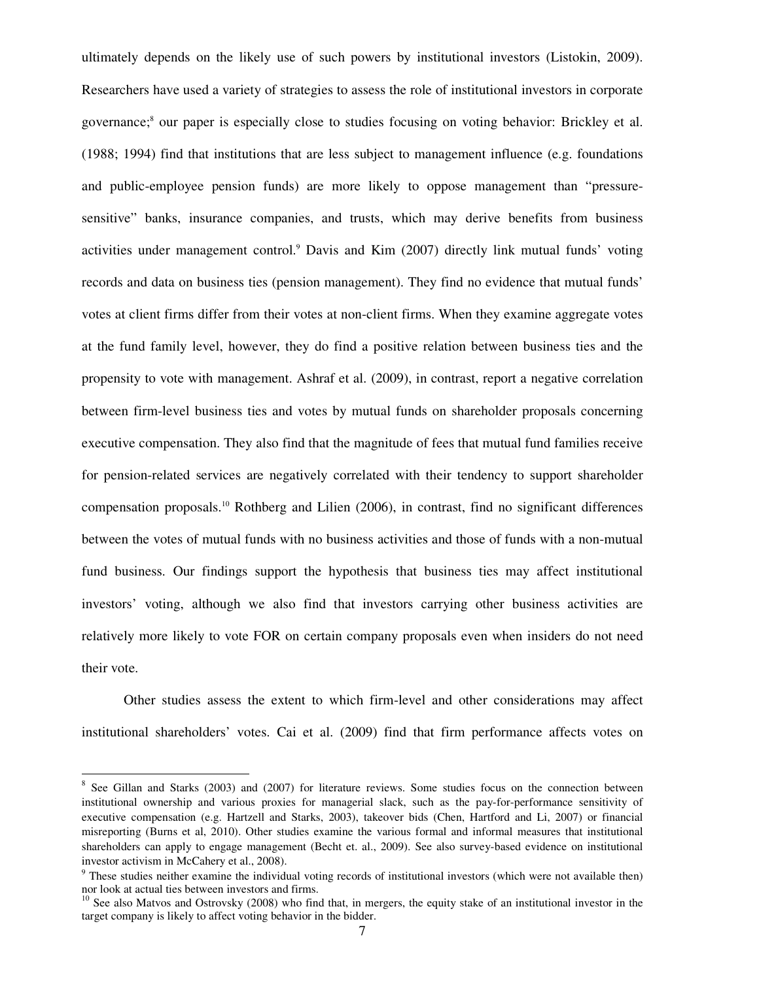ultimately depends on the likely use of such powers by institutional investors (Listokin, 2009). Researchers have used a variety of strategies to assess the role of institutional investors in corporate governance;<sup>8</sup> our paper is especially close to studies focusing on voting behavior: Brickley et al. (1988; 1994) find that institutions that are less subject to management influence (e.g. foundations and public-employee pension funds) are more likely to oppose management than "pressuresensitive" banks, insurance companies, and trusts, which may derive benefits from business activities under management control.<sup>9</sup> Davis and Kim (2007) directly link mutual funds' voting records and data on business ties (pension management). They find no evidence that mutual funds' votes at client firms differ from their votes at non-client firms. When they examine aggregate votes at the fund family level, however, they do find a positive relation between business ties and the propensity to vote with management. Ashraf et al. (2009), in contrast, report a negative correlation between firm-level business ties and votes by mutual funds on shareholder proposals concerning executive compensation. They also find that the magnitude of fees that mutual fund families receive for pension-related services are negatively correlated with their tendency to support shareholder compensation proposals.<sup>10</sup> Rothberg and Lilien (2006), in contrast, find no significant differences between the votes of mutual funds with no business activities and those of funds with a non-mutual fund business. Our findings support the hypothesis that business ties may affect institutional investors' voting, although we also find that investors carrying other business activities are relatively more likely to vote FOR on certain company proposals even when insiders do not need their vote.

Other studies assess the extent to which firm-level and other considerations may affect institutional shareholders' votes. Cai et al. (2009) find that firm performance affects votes on

<sup>&</sup>lt;sup>8</sup> See Gillan and Starks (2003) and (2007) for literature reviews. Some studies focus on the connection between institutional ownership and various proxies for managerial slack, such as the pay-for-performance sensitivity of executive compensation (e.g. Hartzell and Starks, 2003), takeover bids (Chen, Hartford and Li, 2007) or financial misreporting (Burns et al, 2010). Other studies examine the various formal and informal measures that institutional shareholders can apply to engage management (Becht et. al., 2009). See also survey-based evidence on institutional investor activism in McCahery et al., 2008).

<sup>&</sup>lt;sup>9</sup> These studies neither examine the individual voting records of institutional investors (which were not available then) nor look at actual ties between investors and firms.

 $10$  See also Matvos and Ostrovsky (2008) who find that, in mergers, the equity stake of an institutional investor in the target company is likely to affect voting behavior in the bidder.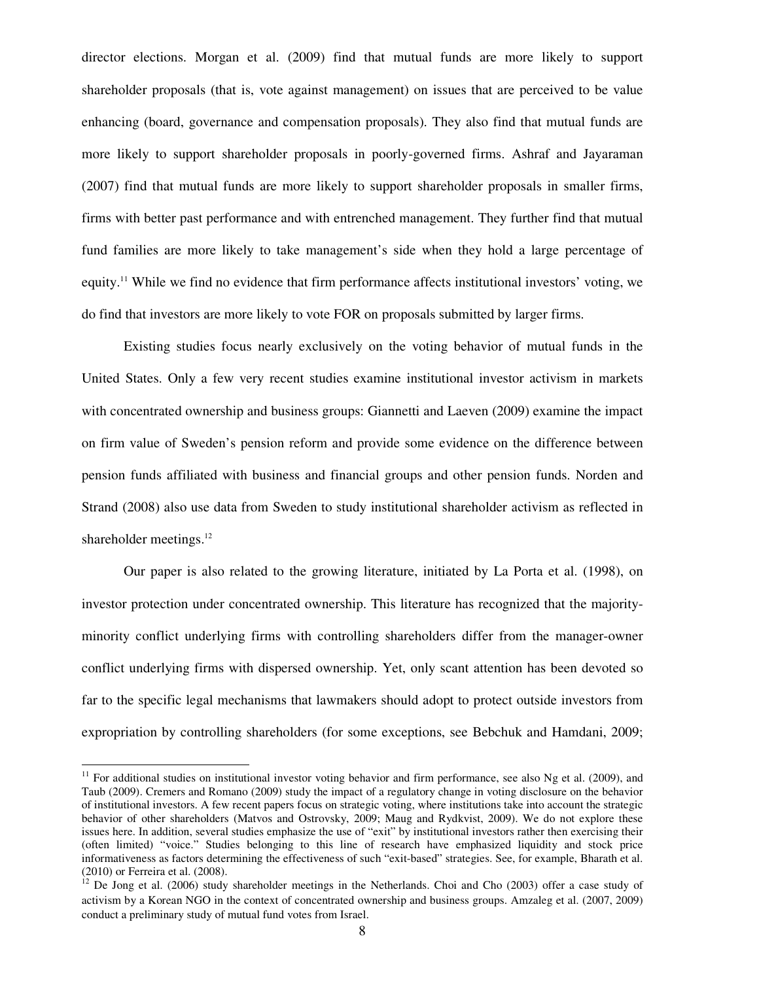director elections. Morgan et al. (2009) find that mutual funds are more likely to support shareholder proposals (that is, vote against management) on issues that are perceived to be value enhancing (board, governance and compensation proposals). They also find that mutual funds are more likely to support shareholder proposals in poorly-governed firms. Ashraf and Jayaraman (2007) find that mutual funds are more likely to support shareholder proposals in smaller firms, firms with better past performance and with entrenched management. They further find that mutual fund families are more likely to take management's side when they hold a large percentage of equity.<sup>11</sup> While we find no evidence that firm performance affects institutional investors' voting, we do find that investors are more likely to vote FOR on proposals submitted by larger firms.

Existing studies focus nearly exclusively on the voting behavior of mutual funds in the United States. Only a few very recent studies examine institutional investor activism in markets with concentrated ownership and business groups: Giannetti and Laeven (2009) examine the impact on firm value of Sweden's pension reform and provide some evidence on the difference between pension funds affiliated with business and financial groups and other pension funds. Norden and Strand (2008) also use data from Sweden to study institutional shareholder activism as reflected in shareholder meetings.<sup>12</sup>

Our paper is also related to the growing literature, initiated by La Porta et al. (1998), on investor protection under concentrated ownership. This literature has recognized that the majorityminority conflict underlying firms with controlling shareholders differ from the manager-owner conflict underlying firms with dispersed ownership. Yet, only scant attention has been devoted so far to the specific legal mechanisms that lawmakers should adopt to protect outside investors from expropriation by controlling shareholders (for some exceptions, see Bebchuk and Hamdani, 2009;

 $11$  For additional studies on institutional investor voting behavior and firm performance, see also Ng et al. (2009), and Taub (2009). Cremers and Romano (2009) study the impact of a regulatory change in voting disclosure on the behavior of institutional investors. A few recent papers focus on strategic voting, where institutions take into account the strategic behavior of other shareholders (Matvos and Ostrovsky, 2009; Maug and Rydkvist, 2009). We do not explore these issues here. In addition, several studies emphasize the use of "exit" by institutional investors rather then exercising their (often limited) "voice." Studies belonging to this line of research have emphasized liquidity and stock price informativeness as factors determining the effectiveness of such "exit-based" strategies. See, for example, Bharath et al. (2010) or Ferreira et al. (2008).

<sup>12</sup> De Jong et al. (2006) study shareholder meetings in the Netherlands. Choi and Cho (2003) offer a case study of activism by a Korean NGO in the context of concentrated ownership and business groups. Amzaleg et al. (2007, 2009) conduct a preliminary study of mutual fund votes from Israel.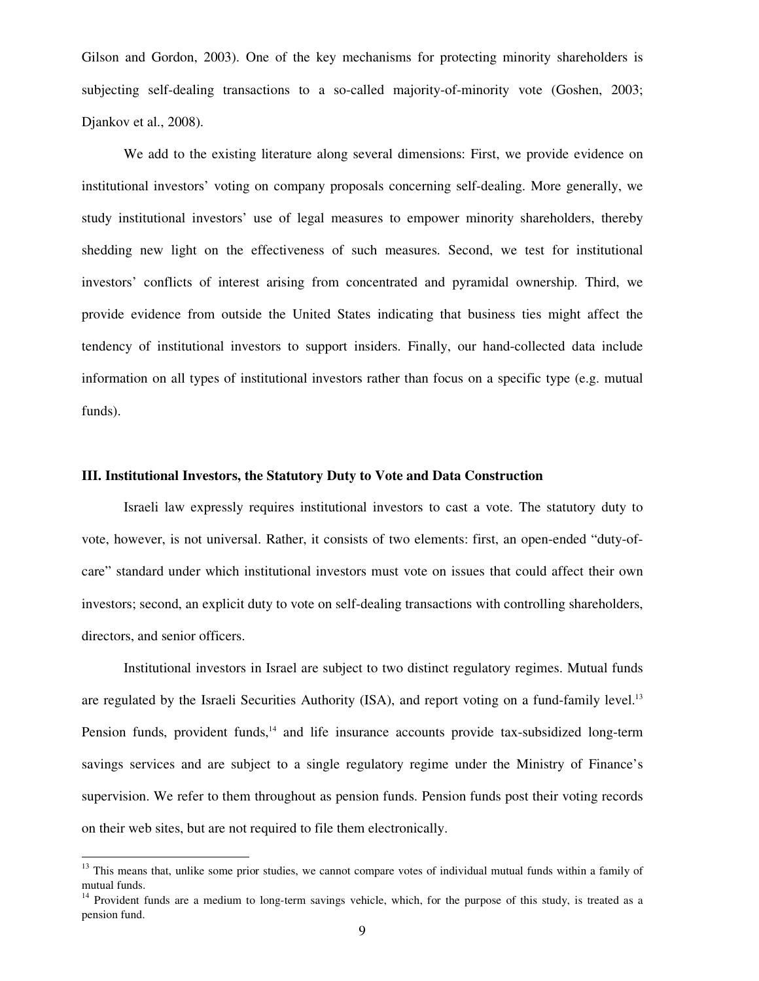Gilson and Gordon, 2003). One of the key mechanisms for protecting minority shareholders is subjecting self-dealing transactions to a so-called majority-of-minority vote (Goshen, 2003; Djankov et al., 2008).

We add to the existing literature along several dimensions: First, we provide evidence on institutional investors' voting on company proposals concerning self-dealing. More generally, we study institutional investors' use of legal measures to empower minority shareholders, thereby shedding new light on the effectiveness of such measures. Second, we test for institutional investors' conflicts of interest arising from concentrated and pyramidal ownership. Third, we provide evidence from outside the United States indicating that business ties might affect the tendency of institutional investors to support insiders. Finally, our hand-collected data include information on all types of institutional investors rather than focus on a specific type (e.g. mutual funds).

# **III. Institutional Investors, the Statutory Duty to Vote and Data Construction**

Israeli law expressly requires institutional investors to cast a vote. The statutory duty to vote, however, is not universal. Rather, it consists of two elements: first, an open-ended "duty-ofcare" standard under which institutional investors must vote on issues that could affect their own investors; second, an explicit duty to vote on self-dealing transactions with controlling shareholders, directors, and senior officers.

Institutional investors in Israel are subject to two distinct regulatory regimes. Mutual funds are regulated by the Israeli Securities Authority (ISA), and report voting on a fund-family level.<sup>13</sup> Pension funds, provident funds,<sup>14</sup> and life insurance accounts provide tax-subsidized long-term savings services and are subject to a single regulatory regime under the Ministry of Finance's supervision. We refer to them throughout as pension funds. Pension funds post their voting records on their web sites, but are not required to file them electronically.

<sup>&</sup>lt;sup>13</sup> This means that, unlike some prior studies, we cannot compare votes of individual mutual funds within a family of mutual funds.

<sup>&</sup>lt;sup>14</sup> Provident funds are a medium to long-term savings vehicle, which, for the purpose of this study, is treated as a pension fund.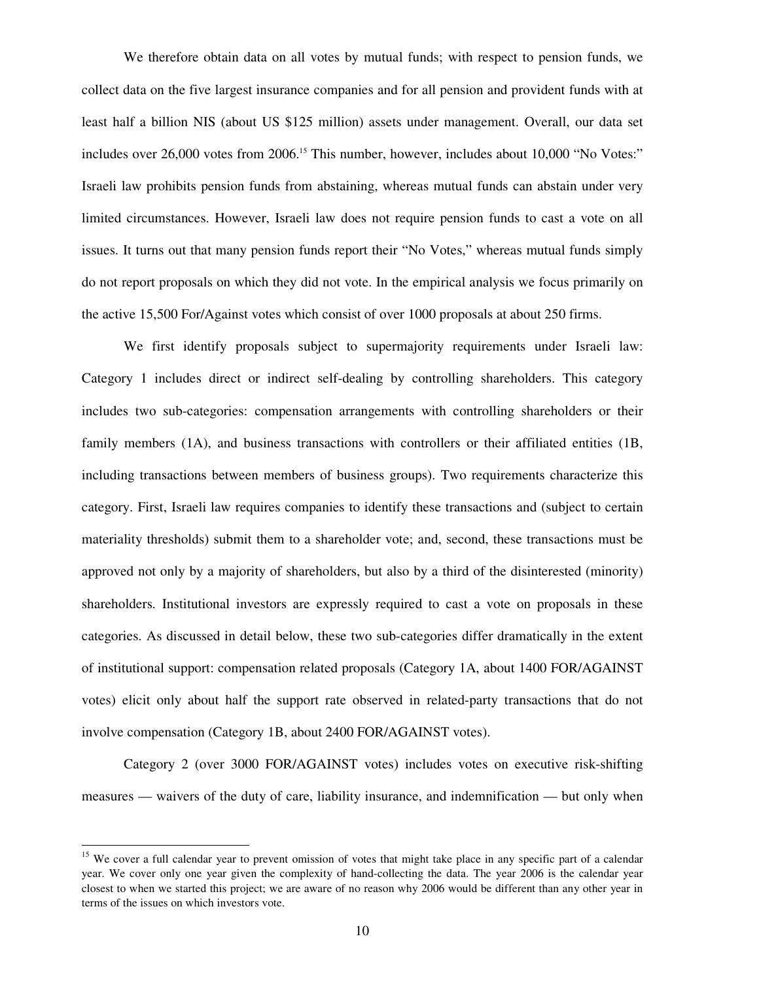We therefore obtain data on all votes by mutual funds; with respect to pension funds, we collect data on the five largest insurance companies and for all pension and provident funds with at least half a billion NIS (about US \$125 million) assets under management. Overall, our data set includes over 26,000 votes from 2006.<sup>15</sup> This number, however, includes about 10,000 "No Votes:" Israeli law prohibits pension funds from abstaining, whereas mutual funds can abstain under very limited circumstances. However, Israeli law does not require pension funds to cast a vote on all issues. It turns out that many pension funds report their "No Votes," whereas mutual funds simply do not report proposals on which they did not vote. In the empirical analysis we focus primarily on the active 15,500 For/Against votes which consist of over 1000 proposals at about 250 firms.

We first identify proposals subject to supermajority requirements under Israeli law: Category 1 includes direct or indirect self-dealing by controlling shareholders. This category includes two sub-categories: compensation arrangements with controlling shareholders or their family members (1A), and business transactions with controllers or their affiliated entities (1B, including transactions between members of business groups). Two requirements characterize this category. First, Israeli law requires companies to identify these transactions and (subject to certain materiality thresholds) submit them to a shareholder vote; and, second, these transactions must be approved not only by a majority of shareholders, but also by a third of the disinterested (minority) shareholders. Institutional investors are expressly required to cast a vote on proposals in these categories. As discussed in detail below, these two sub-categories differ dramatically in the extent of institutional support: compensation related proposals (Category 1A, about 1400 FOR/AGAINST votes) elicit only about half the support rate observed in related-party transactions that do not involve compensation (Category 1B, about 2400 FOR/AGAINST votes).

Category 2 (over 3000 FOR/AGAINST votes) includes votes on executive risk-shifting measures — waivers of the duty of care, liability insurance, and indemnification — but only when

<sup>&</sup>lt;sup>15</sup> We cover a full calendar year to prevent omission of votes that might take place in any specific part of a calendar year. We cover only one year given the complexity of hand-collecting the data. The year 2006 is the calendar year closest to when we started this project; we are aware of no reason why 2006 would be different than any other year in terms of the issues on which investors vote.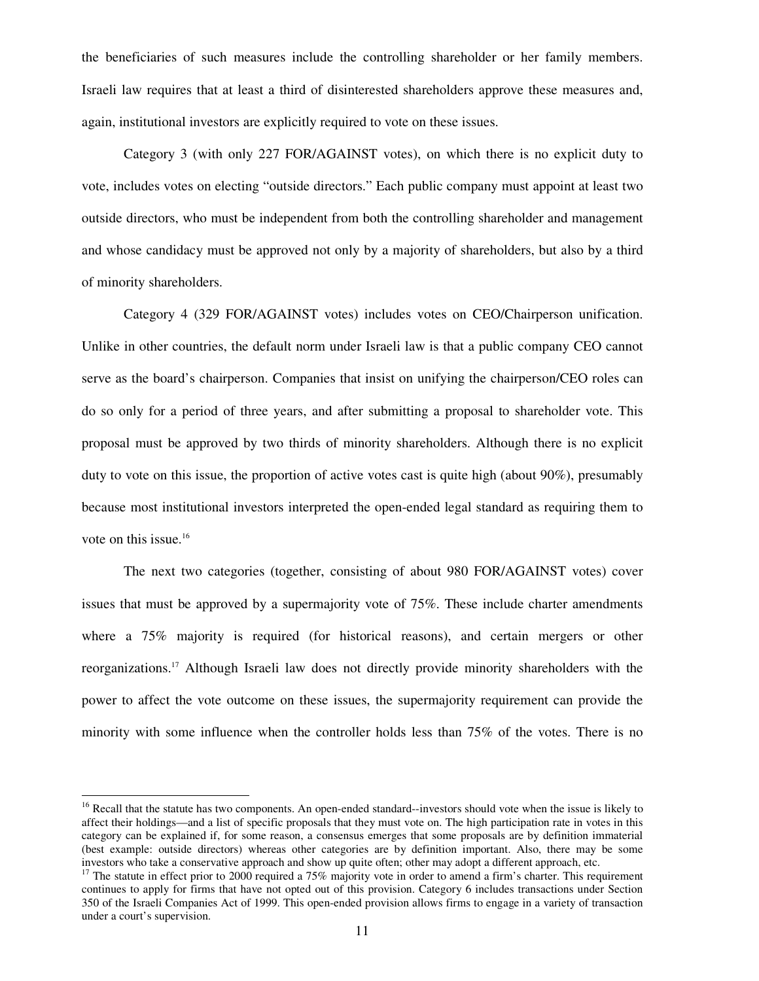the beneficiaries of such measures include the controlling shareholder or her family members. Israeli law requires that at least a third of disinterested shareholders approve these measures and, again, institutional investors are explicitly required to vote on these issues.

Category 3 (with only 227 FOR/AGAINST votes), on which there is no explicit duty to vote, includes votes on electing "outside directors." Each public company must appoint at least two outside directors, who must be independent from both the controlling shareholder and management and whose candidacy must be approved not only by a majority of shareholders, but also by a third of minority shareholders.

Category 4 (329 FOR/AGAINST votes) includes votes on CEO/Chairperson unification. Unlike in other countries, the default norm under Israeli law is that a public company CEO cannot serve as the board's chairperson. Companies that insist on unifying the chairperson/CEO roles can do so only for a period of three years, and after submitting a proposal to shareholder vote. This proposal must be approved by two thirds of minority shareholders. Although there is no explicit duty to vote on this issue, the proportion of active votes cast is quite high (about 90%), presumably because most institutional investors interpreted the open-ended legal standard as requiring them to vote on this issue.<sup>16</sup>

The next two categories (together, consisting of about 980 FOR/AGAINST votes) cover issues that must be approved by a supermajority vote of 75%. These include charter amendments where a 75% majority is required (for historical reasons), and certain mergers or other reorganizations.<sup>17</sup> Although Israeli law does not directly provide minority shareholders with the power to affect the vote outcome on these issues, the supermajority requirement can provide the minority with some influence when the controller holds less than 75% of the votes. There is no

<sup>&</sup>lt;sup>16</sup> Recall that the statute has two components. An open-ended standard--investors should vote when the issue is likely to affect their holdings—and a list of specific proposals that they must vote on. The high participation rate in votes in this category can be explained if, for some reason, a consensus emerges that some proposals are by definition immaterial (best example: outside directors) whereas other categories are by definition important. Also, there may be some investors who take a conservative approach and show up quite often; other may adopt a different approach, etc.

<sup>&</sup>lt;sup>17</sup> The statute in effect prior to 2000 required a 75% majority vote in order to amend a firm's charter. This requirement continues to apply for firms that have not opted out of this provision. Category 6 includes transactions under Section 350 of the Israeli Companies Act of 1999. This open-ended provision allows firms to engage in a variety of transaction under a court's supervision.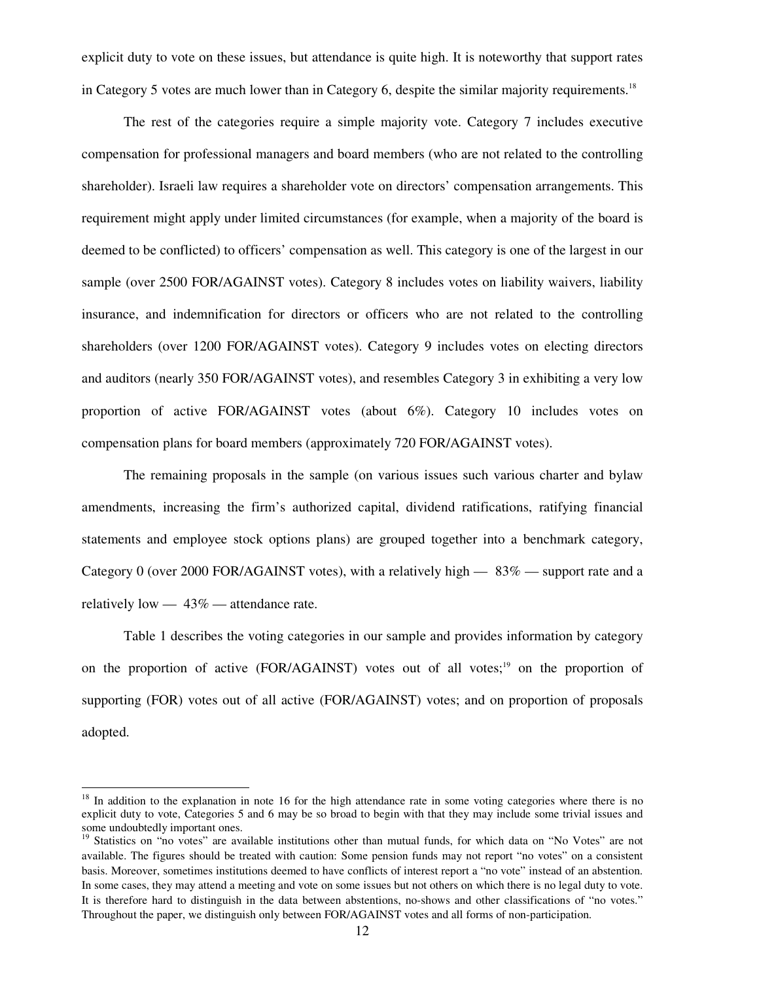explicit duty to vote on these issues, but attendance is quite high. It is noteworthy that support rates in Category 5 votes are much lower than in Category 6, despite the similar majority requirements.<sup>18</sup>

The rest of the categories require a simple majority vote. Category 7 includes executive compensation for professional managers and board members (who are not related to the controlling shareholder). Israeli law requires a shareholder vote on directors' compensation arrangements. This requirement might apply under limited circumstances (for example, when a majority of the board is deemed to be conflicted) to officers' compensation as well. This category is one of the largest in our sample (over 2500 FOR/AGAINST votes). Category 8 includes votes on liability waivers, liability insurance, and indemnification for directors or officers who are not related to the controlling shareholders (over 1200 FOR/AGAINST votes). Category 9 includes votes on electing directors and auditors (nearly 350 FOR/AGAINST votes), and resembles Category 3 in exhibiting a very low proportion of active FOR/AGAINST votes (about 6%). Category 10 includes votes on compensation plans for board members (approximately 720 FOR/AGAINST votes).

The remaining proposals in the sample (on various issues such various charter and bylaw amendments, increasing the firm's authorized capital, dividend ratifications, ratifying financial statements and employee stock options plans) are grouped together into a benchmark category, Category 0 (over 2000 FOR/AGAINST votes), with a relatively high — 83% — support rate and a relatively low  $-43\%$  — attendance rate.

Table 1 describes the voting categories in our sample and provides information by category on the proportion of active (FOR/AGAINST) votes out of all votes;<sup>19</sup> on the proportion of supporting (FOR) votes out of all active (FOR/AGAINST) votes; and on proportion of proposals adopted.

 $18$  In addition to the explanation in note 16 for the high attendance rate in some voting categories where there is no explicit duty to vote, Categories 5 and 6 may be so broad to begin with that they may include some trivial issues and some undoubtedly important ones.

<sup>&</sup>lt;sup>19</sup> Statistics on "no votes" are available institutions other than mutual funds, for which data on "No Votes" are not available. The figures should be treated with caution: Some pension funds may not report "no votes" on a consistent basis. Moreover, sometimes institutions deemed to have conflicts of interest report a "no vote" instead of an abstention. In some cases, they may attend a meeting and vote on some issues but not others on which there is no legal duty to vote. It is therefore hard to distinguish in the data between abstentions, no-shows and other classifications of "no votes." Throughout the paper, we distinguish only between FOR/AGAINST votes and all forms of non-participation.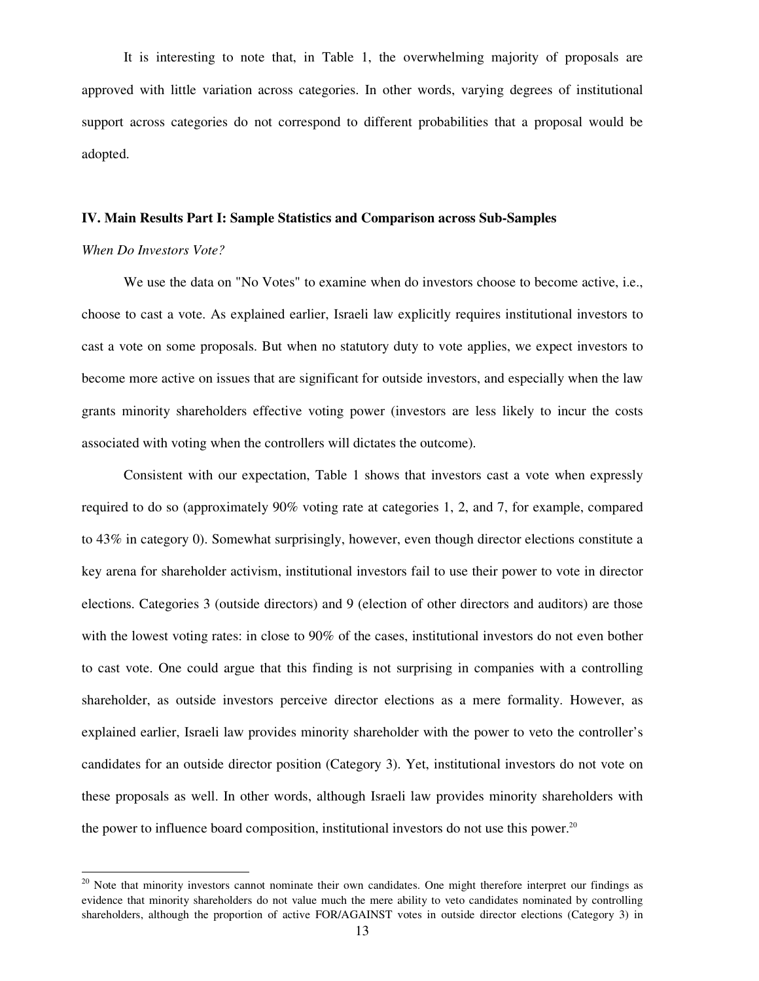It is interesting to note that, in Table 1, the overwhelming majority of proposals are approved with little variation across categories. In other words, varying degrees of institutional support across categories do not correspond to different probabilities that a proposal would be adopted.

# **IV. Main Results Part I: Sample Statistics and Comparison across Sub-Samples**

#### *When Do Investors Vote?*

-

 We use the data on "No Votes" to examine when do investors choose to become active, i.e., choose to cast a vote. As explained earlier, Israeli law explicitly requires institutional investors to cast a vote on some proposals. But when no statutory duty to vote applies, we expect investors to become more active on issues that are significant for outside investors, and especially when the law grants minority shareholders effective voting power (investors are less likely to incur the costs associated with voting when the controllers will dictates the outcome).

 Consistent with our expectation, Table 1 shows that investors cast a vote when expressly required to do so (approximately 90% voting rate at categories 1, 2, and 7, for example, compared to 43% in category 0). Somewhat surprisingly, however, even though director elections constitute a key arena for shareholder activism, institutional investors fail to use their power to vote in director elections. Categories 3 (outside directors) and 9 (election of other directors and auditors) are those with the lowest voting rates: in close to 90% of the cases, institutional investors do not even bother to cast vote. One could argue that this finding is not surprising in companies with a controlling shareholder, as outside investors perceive director elections as a mere formality. However, as explained earlier, Israeli law provides minority shareholder with the power to veto the controller's candidates for an outside director position (Category 3). Yet, institutional investors do not vote on these proposals as well. In other words, although Israeli law provides minority shareholders with the power to influence board composition, institutional investors do not use this power. $20$ 

<sup>&</sup>lt;sup>20</sup> Note that minority investors cannot nominate their own candidates. One might therefore interpret our findings as evidence that minority shareholders do not value much the mere ability to veto candidates nominated by controlling shareholders, although the proportion of active FOR/AGAINST votes in outside director elections (Category 3) in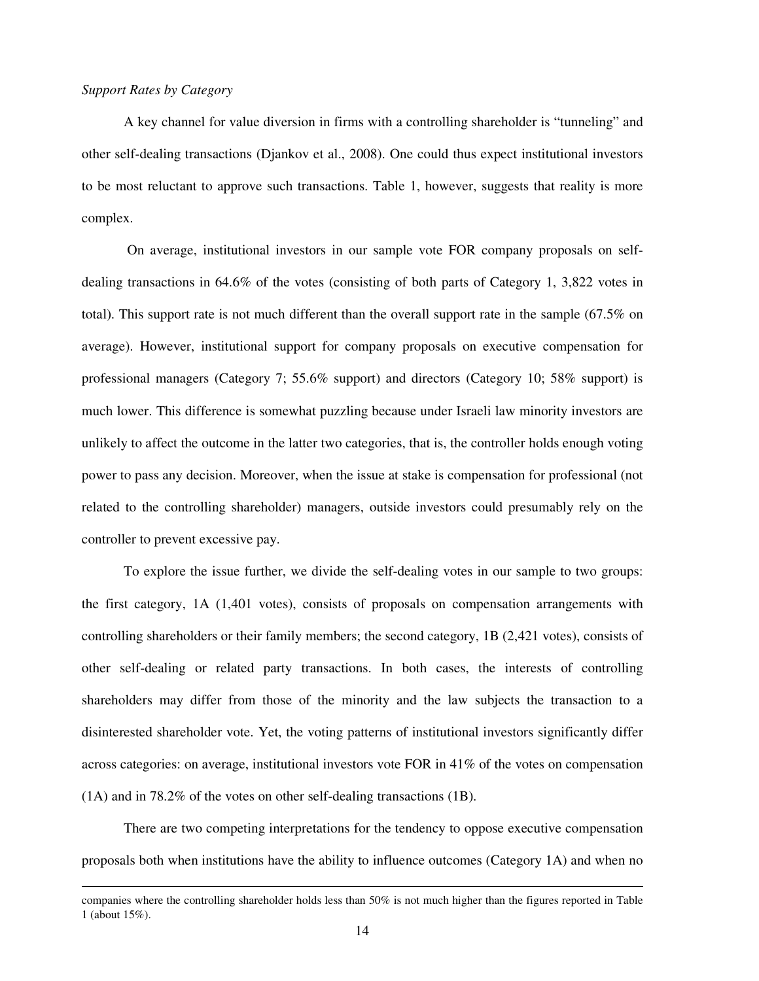### *Support Rates by Category*

-

A key channel for value diversion in firms with a controlling shareholder is "tunneling" and other self-dealing transactions (Djankov et al., 2008). One could thus expect institutional investors to be most reluctant to approve such transactions. Table 1, however, suggests that reality is more complex.

 On average, institutional investors in our sample vote FOR company proposals on selfdealing transactions in 64.6% of the votes (consisting of both parts of Category 1, 3,822 votes in total). This support rate is not much different than the overall support rate in the sample (67.5% on average). However, institutional support for company proposals on executive compensation for professional managers (Category 7; 55.6% support) and directors (Category 10; 58% support) is much lower. This difference is somewhat puzzling because under Israeli law minority investors are unlikely to affect the outcome in the latter two categories, that is, the controller holds enough voting power to pass any decision. Moreover, when the issue at stake is compensation for professional (not related to the controlling shareholder) managers, outside investors could presumably rely on the controller to prevent excessive pay.

 To explore the issue further, we divide the self-dealing votes in our sample to two groups: the first category, 1A (1,401 votes), consists of proposals on compensation arrangements with controlling shareholders or their family members; the second category, 1B (2,421 votes), consists of other self-dealing or related party transactions. In both cases, the interests of controlling shareholders may differ from those of the minority and the law subjects the transaction to a disinterested shareholder vote. Yet, the voting patterns of institutional investors significantly differ across categories: on average, institutional investors vote FOR in 41% of the votes on compensation (1A) and in 78.2% of the votes on other self-dealing transactions (1B).

 There are two competing interpretations for the tendency to oppose executive compensation proposals both when institutions have the ability to influence outcomes (Category 1A) and when no

companies where the controlling shareholder holds less than 50% is not much higher than the figures reported in Table 1 (about 15%).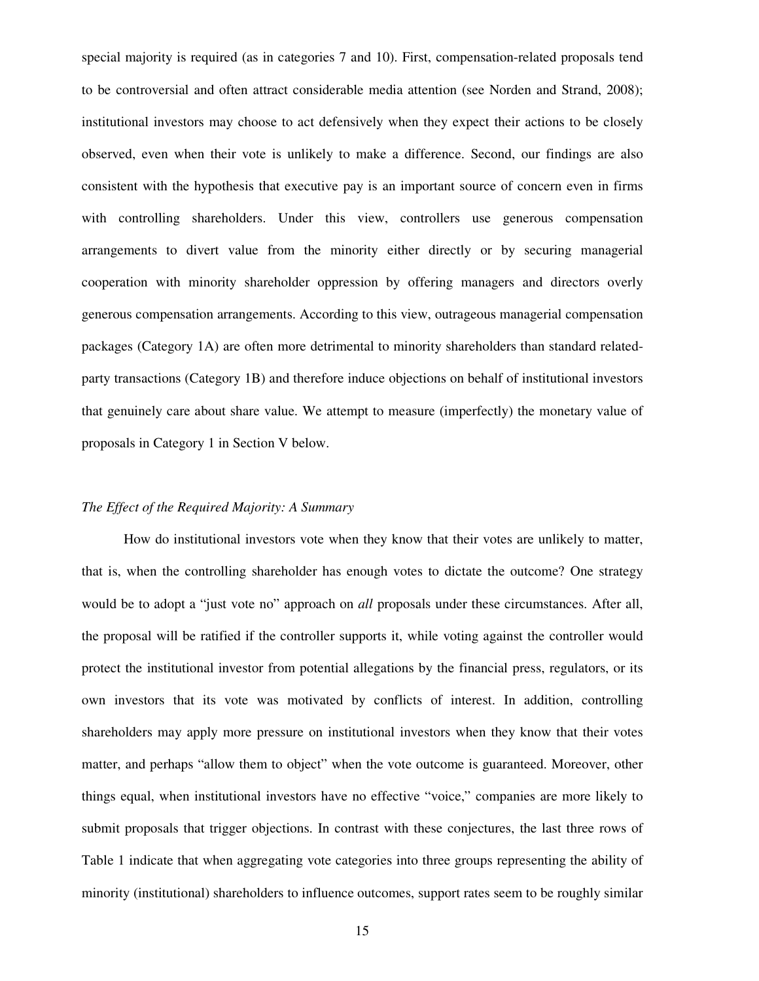special majority is required (as in categories 7 and 10). First, compensation-related proposals tend to be controversial and often attract considerable media attention (see Norden and Strand, 2008); institutional investors may choose to act defensively when they expect their actions to be closely observed, even when their vote is unlikely to make a difference. Second, our findings are also consistent with the hypothesis that executive pay is an important source of concern even in firms with controlling shareholders. Under this view, controllers use generous compensation arrangements to divert value from the minority either directly or by securing managerial cooperation with minority shareholder oppression by offering managers and directors overly generous compensation arrangements. According to this view, outrageous managerial compensation packages (Category 1A) are often more detrimental to minority shareholders than standard relatedparty transactions (Category 1B) and therefore induce objections on behalf of institutional investors that genuinely care about share value. We attempt to measure (imperfectly) the monetary value of proposals in Category 1 in Section V below.

#### *The Effect of the Required Majority: A Summary*

How do institutional investors vote when they know that their votes are unlikely to matter, that is, when the controlling shareholder has enough votes to dictate the outcome? One strategy would be to adopt a "just vote no" approach on *all* proposals under these circumstances. After all, the proposal will be ratified if the controller supports it, while voting against the controller would protect the institutional investor from potential allegations by the financial press, regulators, or its own investors that its vote was motivated by conflicts of interest. In addition, controlling shareholders may apply more pressure on institutional investors when they know that their votes matter, and perhaps "allow them to object" when the vote outcome is guaranteed. Moreover, other things equal, when institutional investors have no effective "voice," companies are more likely to submit proposals that trigger objections. In contrast with these conjectures, the last three rows of Table 1 indicate that when aggregating vote categories into three groups representing the ability of minority (institutional) shareholders to influence outcomes, support rates seem to be roughly similar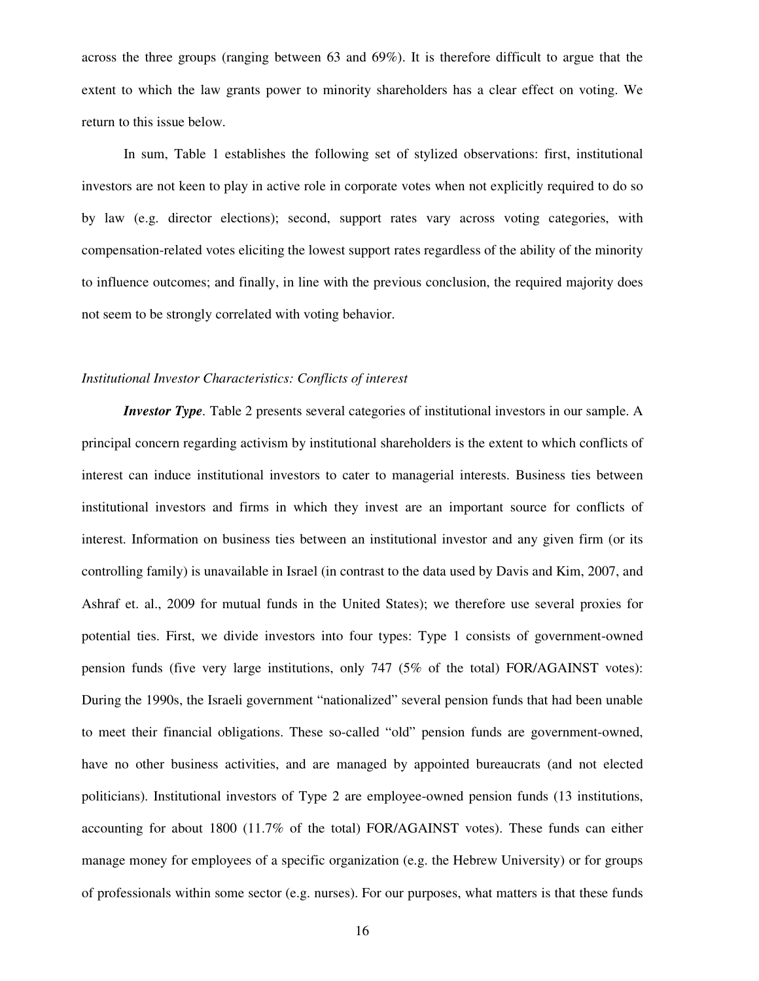across the three groups (ranging between 63 and 69%). It is therefore difficult to argue that the extent to which the law grants power to minority shareholders has a clear effect on voting. We return to this issue below.

In sum, Table 1 establishes the following set of stylized observations: first, institutional investors are not keen to play in active role in corporate votes when not explicitly required to do so by law (e.g. director elections); second, support rates vary across voting categories, with compensation-related votes eliciting the lowest support rates regardless of the ability of the minority to influence outcomes; and finally, in line with the previous conclusion, the required majority does not seem to be strongly correlated with voting behavior.

#### *Institutional Investor Characteristics: Conflicts of interest*

*Investor Type*. Table 2 presents several categories of institutional investors in our sample. A principal concern regarding activism by institutional shareholders is the extent to which conflicts of interest can induce institutional investors to cater to managerial interests. Business ties between institutional investors and firms in which they invest are an important source for conflicts of interest. Information on business ties between an institutional investor and any given firm (or its controlling family) is unavailable in Israel (in contrast to the data used by Davis and Kim, 2007, and Ashraf et. al., 2009 for mutual funds in the United States); we therefore use several proxies for potential ties. First, we divide investors into four types: Type 1 consists of government-owned pension funds (five very large institutions, only 747 (5% of the total) FOR/AGAINST votes): During the 1990s, the Israeli government "nationalized" several pension funds that had been unable to meet their financial obligations. These so-called "old" pension funds are government-owned, have no other business activities, and are managed by appointed bureaucrats (and not elected politicians). Institutional investors of Type 2 are employee-owned pension funds (13 institutions, accounting for about 1800 (11.7% of the total) FOR/AGAINST votes). These funds can either manage money for employees of a specific organization (e.g. the Hebrew University) or for groups of professionals within some sector (e.g. nurses). For our purposes, what matters is that these funds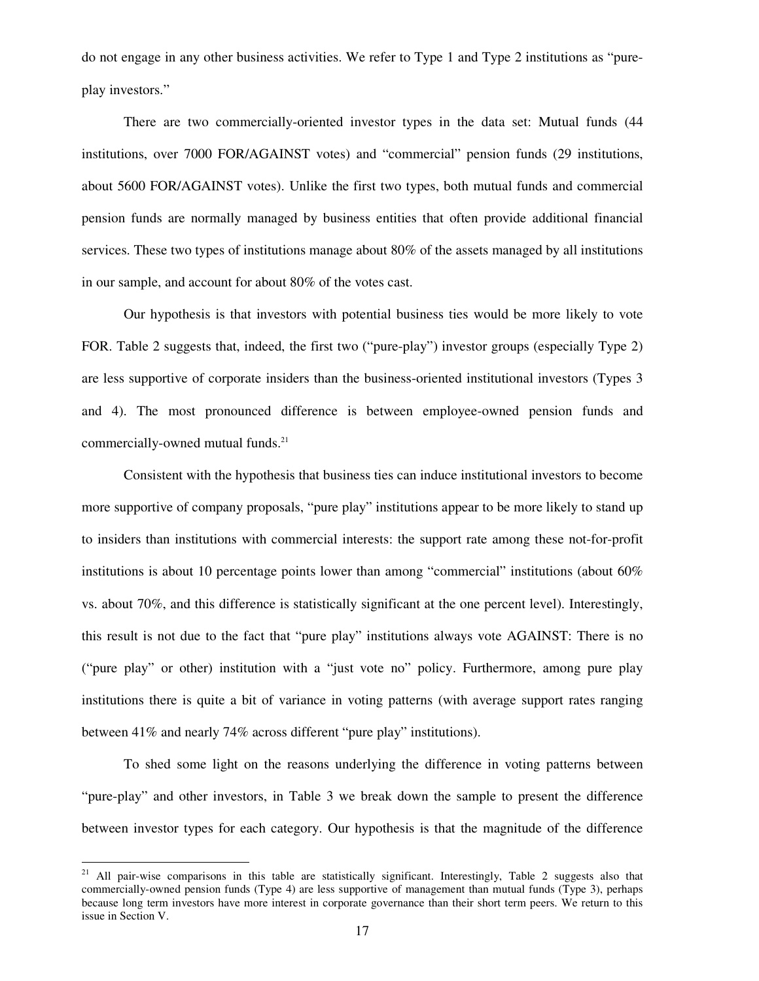do not engage in any other business activities. We refer to Type 1 and Type 2 institutions as "pureplay investors."

There are two commercially-oriented investor types in the data set: Mutual funds (44 institutions, over 7000 FOR/AGAINST votes) and "commercial" pension funds (29 institutions, about 5600 FOR/AGAINST votes). Unlike the first two types, both mutual funds and commercial pension funds are normally managed by business entities that often provide additional financial services. These two types of institutions manage about 80% of the assets managed by all institutions in our sample, and account for about 80% of the votes cast.

Our hypothesis is that investors with potential business ties would be more likely to vote FOR. Table 2 suggests that, indeed, the first two ("pure-play") investor groups (especially Type 2) are less supportive of corporate insiders than the business-oriented institutional investors (Types 3 and 4). The most pronounced difference is between employee-owned pension funds and commercially-owned mutual funds.<sup>21</sup>

Consistent with the hypothesis that business ties can induce institutional investors to become more supportive of company proposals, "pure play" institutions appear to be more likely to stand up to insiders than institutions with commercial interests: the support rate among these not-for-profit institutions is about 10 percentage points lower than among "commercial" institutions (about 60% vs. about 70%, and this difference is statistically significant at the one percent level). Interestingly, this result is not due to the fact that "pure play" institutions always vote AGAINST: There is no ("pure play" or other) institution with a "just vote no" policy. Furthermore, among pure play institutions there is quite a bit of variance in voting patterns (with average support rates ranging between 41% and nearly 74% across different "pure play" institutions).

To shed some light on the reasons underlying the difference in voting patterns between "pure-play" and other investors, in Table 3 we break down the sample to present the difference between investor types for each category. Our hypothesis is that the magnitude of the difference

<sup>&</sup>lt;sup>21</sup> All pair-wise comparisons in this table are statistically significant. Interestingly, Table 2 suggests also that commercially-owned pension funds (Type 4) are less supportive of management than mutual funds (Type 3), perhaps because long term investors have more interest in corporate governance than their short term peers. We return to this issue in Section V.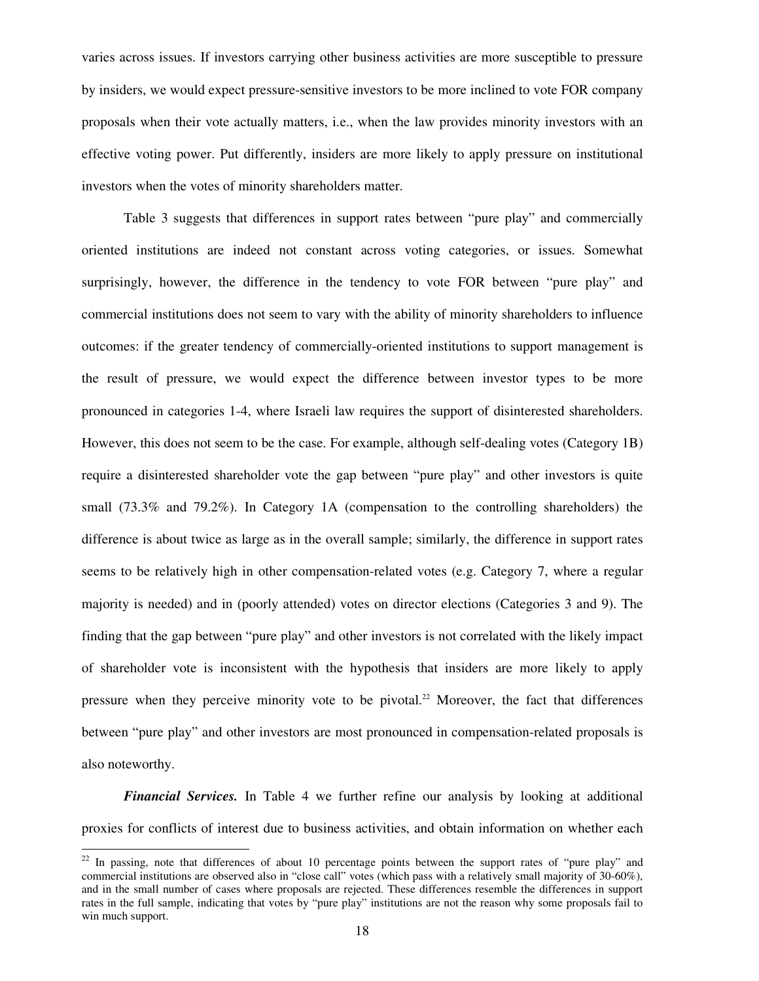varies across issues. If investors carrying other business activities are more susceptible to pressure by insiders, we would expect pressure-sensitive investors to be more inclined to vote FOR company proposals when their vote actually matters, i.e., when the law provides minority investors with an effective voting power. Put differently, insiders are more likely to apply pressure on institutional investors when the votes of minority shareholders matter.

Table 3 suggests that differences in support rates between "pure play" and commercially oriented institutions are indeed not constant across voting categories, or issues. Somewhat surprisingly, however, the difference in the tendency to vote FOR between "pure play" and commercial institutions does not seem to vary with the ability of minority shareholders to influence outcomes: if the greater tendency of commercially-oriented institutions to support management is the result of pressure, we would expect the difference between investor types to be more pronounced in categories 1-4, where Israeli law requires the support of disinterested shareholders. However, this does not seem to be the case. For example, although self-dealing votes (Category 1B) require a disinterested shareholder vote the gap between "pure play" and other investors is quite small (73.3% and 79.2%). In Category 1A (compensation to the controlling shareholders) the difference is about twice as large as in the overall sample; similarly, the difference in support rates seems to be relatively high in other compensation-related votes (e.g. Category 7, where a regular majority is needed) and in (poorly attended) votes on director elections (Categories 3 and 9). The finding that the gap between "pure play" and other investors is not correlated with the likely impact of shareholder vote is inconsistent with the hypothesis that insiders are more likely to apply pressure when they perceive minority vote to be pivotal.<sup>22</sup> Moreover, the fact that differences between "pure play" and other investors are most pronounced in compensation-related proposals is also noteworthy.

*Financial Services.* In Table 4 we further refine our analysis by looking at additional proxies for conflicts of interest due to business activities, and obtain information on whether each

 $22$  In passing, note that differences of about 10 percentage points between the support rates of "pure play" and commercial institutions are observed also in "close call" votes (which pass with a relatively small majority of 30-60%), and in the small number of cases where proposals are rejected. These differences resemble the differences in support rates in the full sample, indicating that votes by "pure play" institutions are not the reason why some proposals fail to win much support.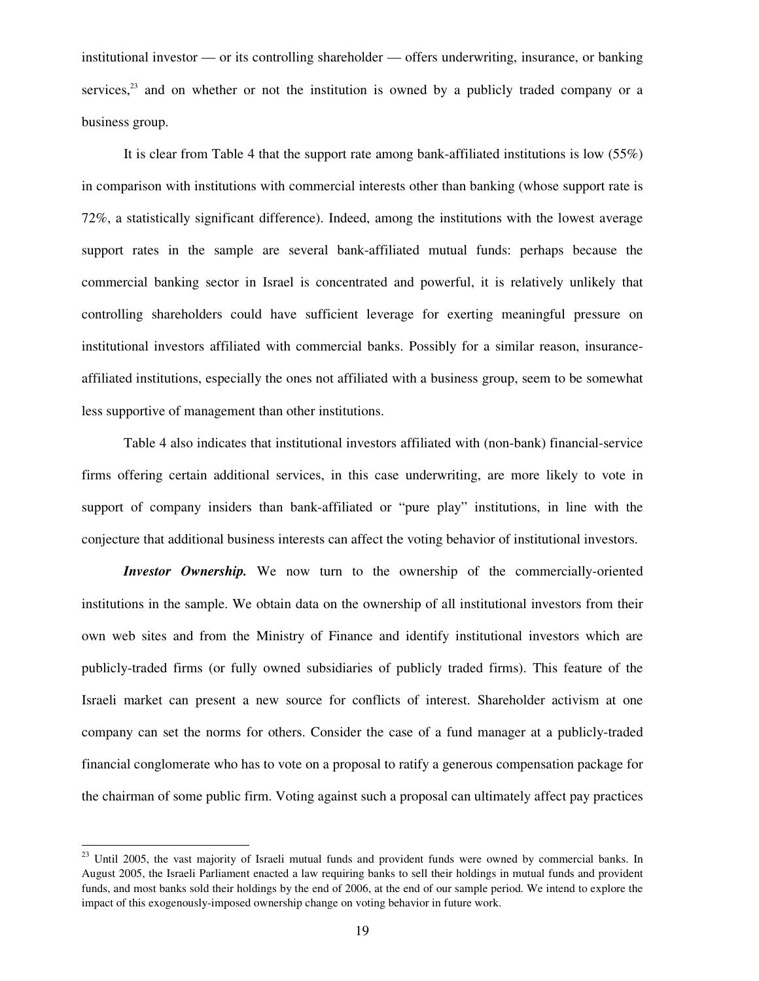institutional investor — or its controlling shareholder — offers underwriting, insurance, or banking services, $23$  and on whether or not the institution is owned by a publicly traded company or a business group.

It is clear from Table 4 that the support rate among bank-affiliated institutions is low (55%) in comparison with institutions with commercial interests other than banking (whose support rate is 72%, a statistically significant difference). Indeed, among the institutions with the lowest average support rates in the sample are several bank-affiliated mutual funds: perhaps because the commercial banking sector in Israel is concentrated and powerful, it is relatively unlikely that controlling shareholders could have sufficient leverage for exerting meaningful pressure on institutional investors affiliated with commercial banks. Possibly for a similar reason, insuranceaffiliated institutions, especially the ones not affiliated with a business group, seem to be somewhat less supportive of management than other institutions.

Table 4 also indicates that institutional investors affiliated with (non-bank) financial-service firms offering certain additional services, in this case underwriting, are more likely to vote in support of company insiders than bank-affiliated or "pure play" institutions, in line with the conjecture that additional business interests can affect the voting behavior of institutional investors.

*Investor Ownership.* We now turn to the ownership of the commercially-oriented institutions in the sample. We obtain data on the ownership of all institutional investors from their own web sites and from the Ministry of Finance and identify institutional investors which are publicly-traded firms (or fully owned subsidiaries of publicly traded firms). This feature of the Israeli market can present a new source for conflicts of interest. Shareholder activism at one company can set the norms for others. Consider the case of a fund manager at a publicly-traded financial conglomerate who has to vote on a proposal to ratify a generous compensation package for the chairman of some public firm. Voting against such a proposal can ultimately affect pay practices

 $\overline{a}$ 

<sup>&</sup>lt;sup>23</sup> Until 2005, the vast majority of Israeli mutual funds and provident funds were owned by commercial banks. In August 2005, the Israeli Parliament enacted a law requiring banks to sell their holdings in mutual funds and provident funds, and most banks sold their holdings by the end of 2006, at the end of our sample period. We intend to explore the impact of this exogenously-imposed ownership change on voting behavior in future work.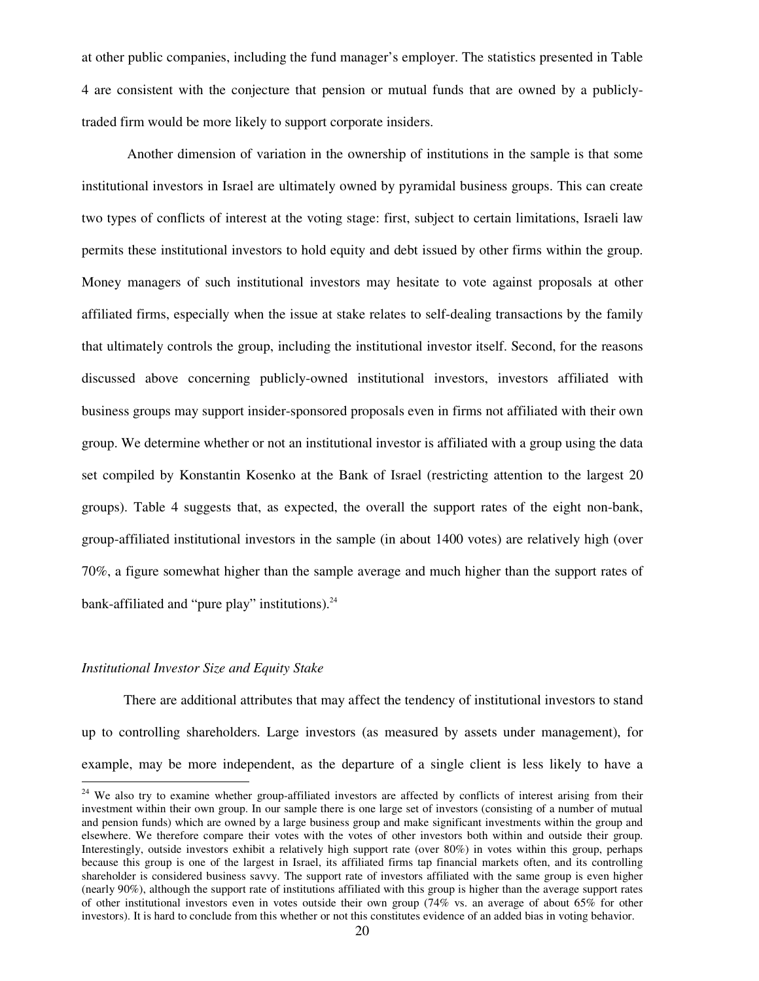at other public companies, including the fund manager's employer. The statistics presented in Table 4 are consistent with the conjecture that pension or mutual funds that are owned by a publiclytraded firm would be more likely to support corporate insiders.

 Another dimension of variation in the ownership of institutions in the sample is that some institutional investors in Israel are ultimately owned by pyramidal business groups. This can create two types of conflicts of interest at the voting stage: first, subject to certain limitations, Israeli law permits these institutional investors to hold equity and debt issued by other firms within the group. Money managers of such institutional investors may hesitate to vote against proposals at other affiliated firms, especially when the issue at stake relates to self-dealing transactions by the family that ultimately controls the group, including the institutional investor itself. Second, for the reasons discussed above concerning publicly-owned institutional investors, investors affiliated with business groups may support insider-sponsored proposals even in firms not affiliated with their own group. We determine whether or not an institutional investor is affiliated with a group using the data set compiled by Konstantin Kosenko at the Bank of Israel (restricting attention to the largest 20 groups). Table 4 suggests that, as expected, the overall the support rates of the eight non-bank, group-affiliated institutional investors in the sample (in about 1400 votes) are relatively high (over 70%, a figure somewhat higher than the sample average and much higher than the support rates of bank-affiliated and "pure play" institutions).<sup>24</sup>

### *Institutional Investor Size and Equity Stake*

-

There are additional attributes that may affect the tendency of institutional investors to stand up to controlling shareholders. Large investors (as measured by assets under management), for example, may be more independent, as the departure of a single client is less likely to have a

<sup>&</sup>lt;sup>24</sup> We also try to examine whether group-affiliated investors are affected by conflicts of interest arising from their investment within their own group. In our sample there is one large set of investors (consisting of a number of mutual and pension funds) which are owned by a large business group and make significant investments within the group and elsewhere. We therefore compare their votes with the votes of other investors both within and outside their group. Interestingly, outside investors exhibit a relatively high support rate (over 80%) in votes within this group, perhaps because this group is one of the largest in Israel, its affiliated firms tap financial markets often, and its controlling shareholder is considered business savvy. The support rate of investors affiliated with the same group is even higher (nearly 90%), although the support rate of institutions affiliated with this group is higher than the average support rates of other institutional investors even in votes outside their own group (74% vs. an average of about 65% for other investors). It is hard to conclude from this whether or not this constitutes evidence of an added bias in voting behavior.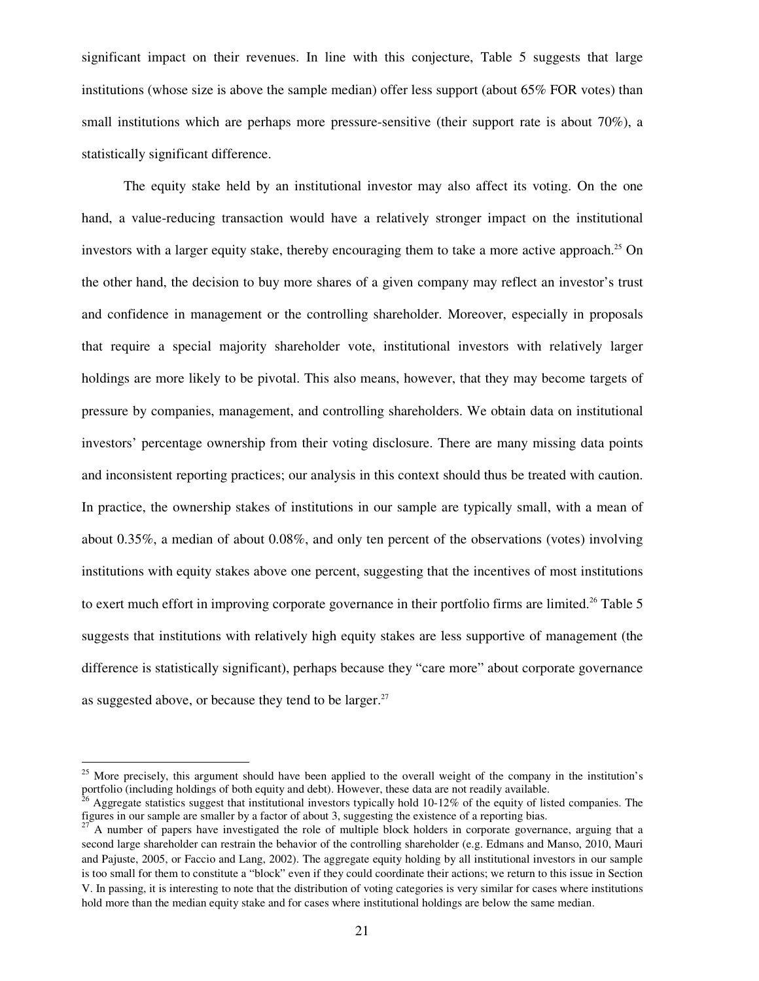significant impact on their revenues. In line with this conjecture, Table 5 suggests that large institutions (whose size is above the sample median) offer less support (about 65% FOR votes) than small institutions which are perhaps more pressure-sensitive (their support rate is about 70%), a statistically significant difference.

The equity stake held by an institutional investor may also affect its voting. On the one hand, a value-reducing transaction would have a relatively stronger impact on the institutional investors with a larger equity stake, thereby encouraging them to take a more active approach.<sup>25</sup> On the other hand, the decision to buy more shares of a given company may reflect an investor's trust and confidence in management or the controlling shareholder. Moreover, especially in proposals that require a special majority shareholder vote, institutional investors with relatively larger holdings are more likely to be pivotal. This also means, however, that they may become targets of pressure by companies, management, and controlling shareholders. We obtain data on institutional investors' percentage ownership from their voting disclosure. There are many missing data points and inconsistent reporting practices; our analysis in this context should thus be treated with caution. In practice, the ownership stakes of institutions in our sample are typically small, with a mean of about 0.35%, a median of about 0.08%, and only ten percent of the observations (votes) involving institutions with equity stakes above one percent, suggesting that the incentives of most institutions to exert much effort in improving corporate governance in their portfolio firms are limited.<sup>26</sup> Table 5 suggests that institutions with relatively high equity stakes are less supportive of management (the difference is statistically significant), perhaps because they "care more" about corporate governance as suggested above, or because they tend to be larger.<sup>27</sup>

<sup>&</sup>lt;sup>25</sup> More precisely, this argument should have been applied to the overall weight of the company in the institution's portfolio (including holdings of both equity and debt). However, these data are not readily available.

<sup>&</sup>lt;sup>26</sup> Aggregate statistics suggest that institutional investors typically hold 10-12% of the equity of listed companies. The figures in our sample are smaller by a factor of about 3, suggesting the existence of a reporting bias.

<sup>&</sup>lt;sup>27</sup> A number of papers have investigated the role of multiple block holders in corporate governance, arguing that a second large shareholder can restrain the behavior of the controlling shareholder (e.g. Edmans and Manso, 2010, Mauri and Pajuste, 2005, or Faccio and Lang, 2002). The aggregate equity holding by all institutional investors in our sample is too small for them to constitute a "block" even if they could coordinate their actions; we return to this issue in Section V. In passing, it is interesting to note that the distribution of voting categories is very similar for cases where institutions hold more than the median equity stake and for cases where institutional holdings are below the same median.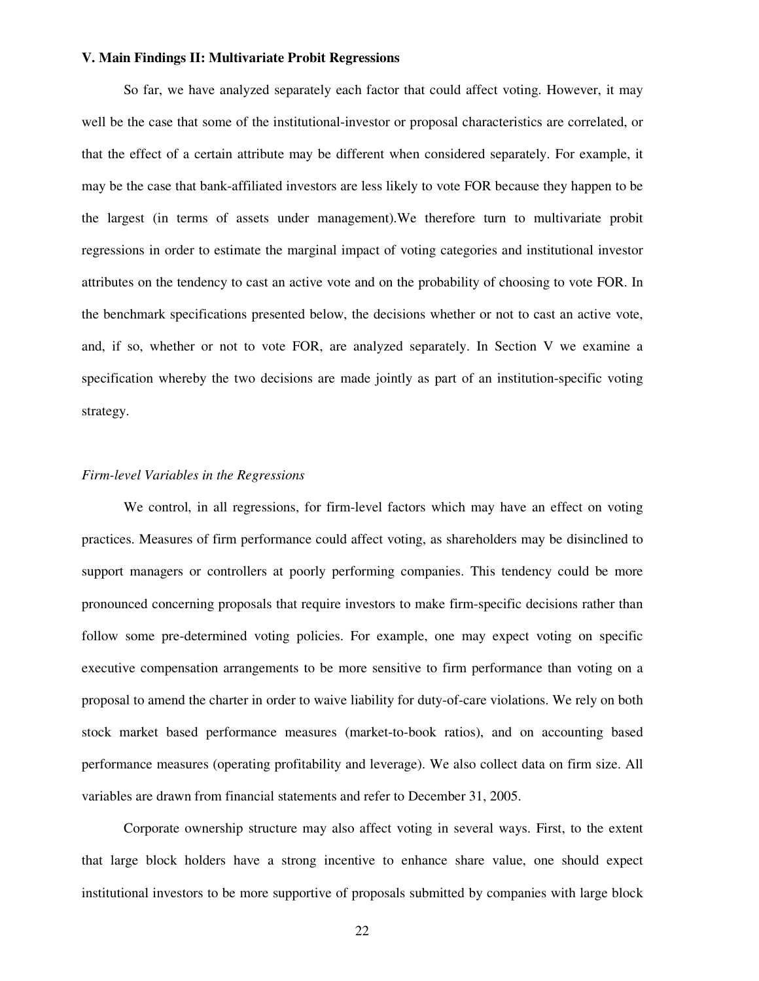# **V. Main Findings II: Multivariate Probit Regressions**

So far, we have analyzed separately each factor that could affect voting. However, it may well be the case that some of the institutional-investor or proposal characteristics are correlated, or that the effect of a certain attribute may be different when considered separately. For example, it may be the case that bank-affiliated investors are less likely to vote FOR because they happen to be the largest (in terms of assets under management).We therefore turn to multivariate probit regressions in order to estimate the marginal impact of voting categories and institutional investor attributes on the tendency to cast an active vote and on the probability of choosing to vote FOR. In the benchmark specifications presented below, the decisions whether or not to cast an active vote, and, if so, whether or not to vote FOR, are analyzed separately. In Section V we examine a specification whereby the two decisions are made jointly as part of an institution-specific voting strategy.

#### *Firm-level Variables in the Regressions*

We control, in all regressions, for firm-level factors which may have an effect on voting practices. Measures of firm performance could affect voting, as shareholders may be disinclined to support managers or controllers at poorly performing companies. This tendency could be more pronounced concerning proposals that require investors to make firm-specific decisions rather than follow some pre-determined voting policies. For example, one may expect voting on specific executive compensation arrangements to be more sensitive to firm performance than voting on a proposal to amend the charter in order to waive liability for duty-of-care violations. We rely on both stock market based performance measures (market-to-book ratios), and on accounting based performance measures (operating profitability and leverage). We also collect data on firm size. All variables are drawn from financial statements and refer to December 31, 2005.

Corporate ownership structure may also affect voting in several ways. First, to the extent that large block holders have a strong incentive to enhance share value, one should expect institutional investors to be more supportive of proposals submitted by companies with large block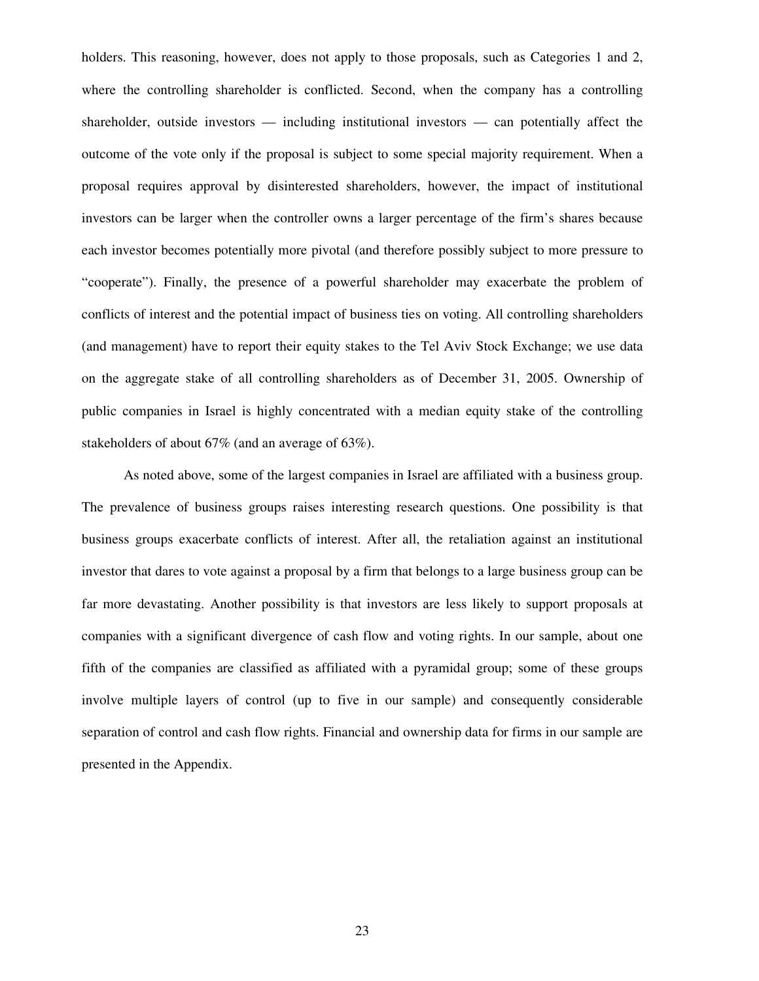holders. This reasoning, however, does not apply to those proposals, such as Categories 1 and 2, where the controlling shareholder is conflicted. Second, when the company has a controlling shareholder, outside investors — including institutional investors — can potentially affect the outcome of the vote only if the proposal is subject to some special majority requirement. When a proposal requires approval by disinterested shareholders, however, the impact of institutional investors can be larger when the controller owns a larger percentage of the firm's shares because each investor becomes potentially more pivotal (and therefore possibly subject to more pressure to "cooperate"). Finally, the presence of a powerful shareholder may exacerbate the problem of conflicts of interest and the potential impact of business ties on voting. All controlling shareholders (and management) have to report their equity stakes to the Tel Aviv Stock Exchange; we use data on the aggregate stake of all controlling shareholders as of December 31, 2005. Ownership of public companies in Israel is highly concentrated with a median equity stake of the controlling stakeholders of about 67% (and an average of 63%).

As noted above, some of the largest companies in Israel are affiliated with a business group. The prevalence of business groups raises interesting research questions. One possibility is that business groups exacerbate conflicts of interest. After all, the retaliation against an institutional investor that dares to vote against a proposal by a firm that belongs to a large business group can be far more devastating. Another possibility is that investors are less likely to support proposals at companies with a significant divergence of cash flow and voting rights. In our sample, about one fifth of the companies are classified as affiliated with a pyramidal group; some of these groups involve multiple layers of control (up to five in our sample) and consequently considerable separation of control and cash flow rights. Financial and ownership data for firms in our sample are presented in the Appendix.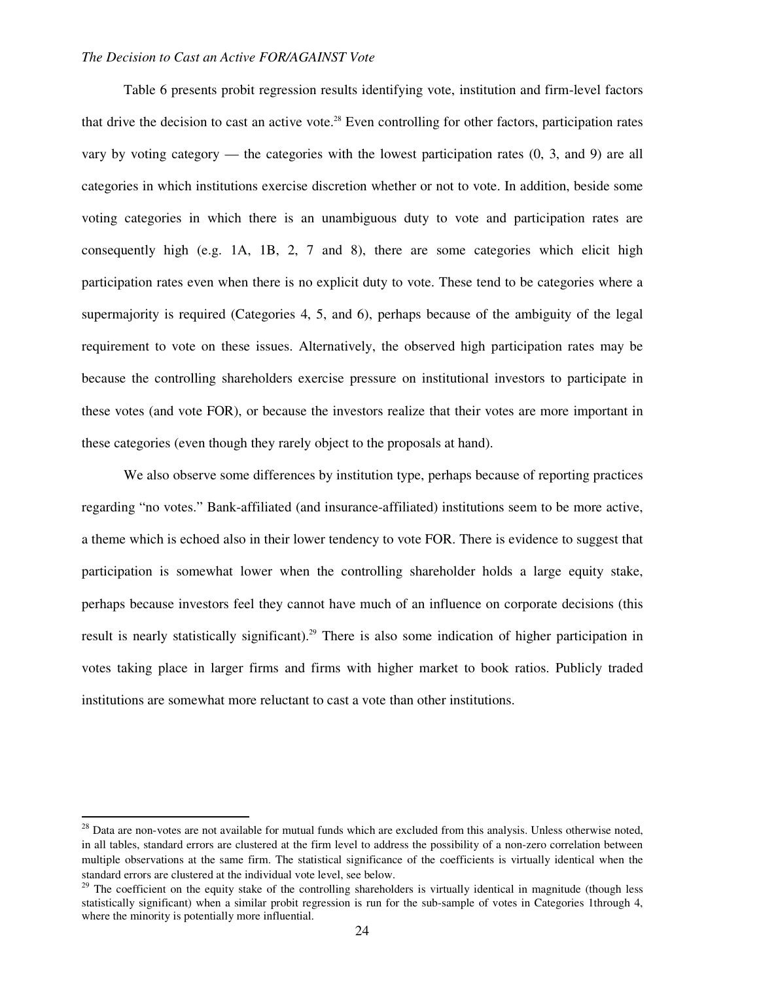#### *The Decision to Cast an Active FOR/AGAINST Vote*

Table 6 presents probit regression results identifying vote, institution and firm-level factors that drive the decision to cast an active vote.<sup>28</sup> Even controlling for other factors, participation rates vary by voting category — the categories with the lowest participation rates  $(0, 3, \text{ and } 9)$  are all categories in which institutions exercise discretion whether or not to vote. In addition, beside some voting categories in which there is an unambiguous duty to vote and participation rates are consequently high (e.g. 1A, 1B, 2, 7 and 8), there are some categories which elicit high participation rates even when there is no explicit duty to vote. These tend to be categories where a supermajority is required (Categories 4, 5, and 6), perhaps because of the ambiguity of the legal requirement to vote on these issues. Alternatively, the observed high participation rates may be because the controlling shareholders exercise pressure on institutional investors to participate in these votes (and vote FOR), or because the investors realize that their votes are more important in these categories (even though they rarely object to the proposals at hand).

We also observe some differences by institution type, perhaps because of reporting practices regarding "no votes." Bank-affiliated (and insurance-affiliated) institutions seem to be more active, a theme which is echoed also in their lower tendency to vote FOR. There is evidence to suggest that participation is somewhat lower when the controlling shareholder holds a large equity stake, perhaps because investors feel they cannot have much of an influence on corporate decisions (this result is nearly statistically significant).<sup>29</sup> There is also some indication of higher participation in votes taking place in larger firms and firms with higher market to book ratios. Publicly traded institutions are somewhat more reluctant to cast a vote than other institutions.

 $28$  Data are non-votes are not available for mutual funds which are excluded from this analysis. Unless otherwise noted, in all tables, standard errors are clustered at the firm level to address the possibility of a non-zero correlation between multiple observations at the same firm. The statistical significance of the coefficients is virtually identical when the standard errors are clustered at the individual vote level, see below.

<sup>&</sup>lt;sup>29</sup> The coefficient on the equity stake of the controlling shareholders is virtually identical in magnitude (though less statistically significant) when a similar probit regression is run for the sub-sample of votes in Categories 1through 4, where the minority is potentially more influential.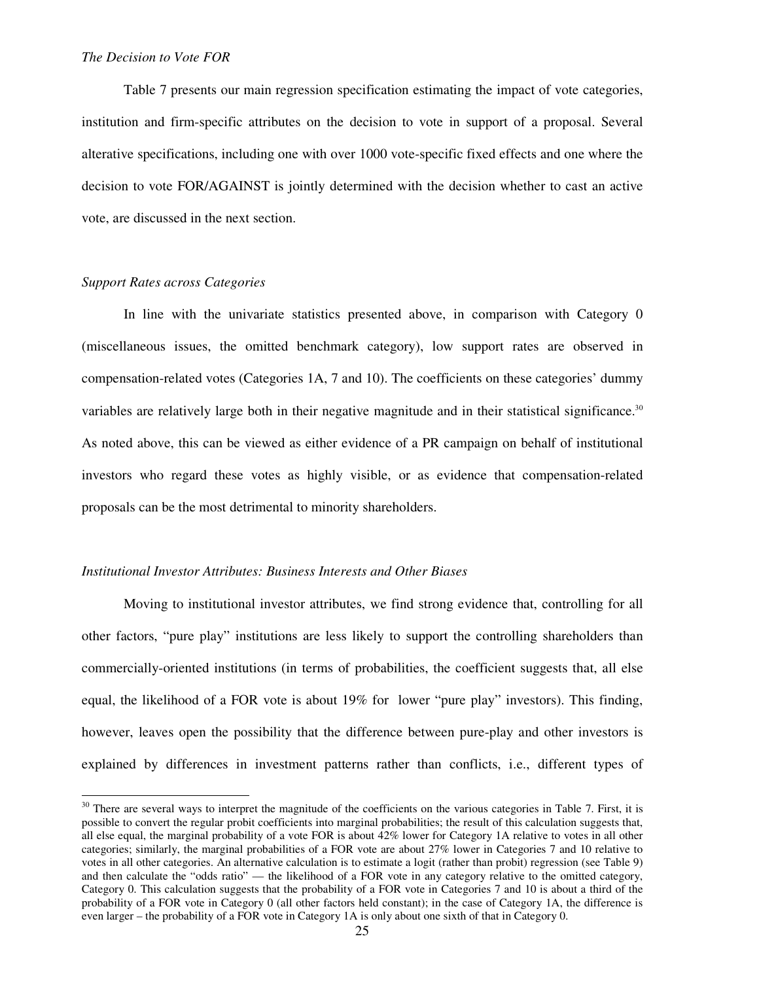#### *The Decision to Vote FOR*

Table 7 presents our main regression specification estimating the impact of vote categories, institution and firm-specific attributes on the decision to vote in support of a proposal. Several alterative specifications, including one with over 1000 vote-specific fixed effects and one where the decision to vote FOR/AGAINST is jointly determined with the decision whether to cast an active vote, are discussed in the next section.

### *Support Rates across Categories*

 $\overline{a}$ 

In line with the univariate statistics presented above, in comparison with Category 0 (miscellaneous issues, the omitted benchmark category), low support rates are observed in compensation-related votes (Categories 1A, 7 and 10). The coefficients on these categories' dummy variables are relatively large both in their negative magnitude and in their statistical significance.<sup>30</sup> As noted above, this can be viewed as either evidence of a PR campaign on behalf of institutional investors who regard these votes as highly visible, or as evidence that compensation-related proposals can be the most detrimental to minority shareholders.

#### *Institutional Investor Attributes: Business Interests and Other Biases*

Moving to institutional investor attributes, we find strong evidence that, controlling for all other factors, "pure play" institutions are less likely to support the controlling shareholders than commercially-oriented institutions (in terms of probabilities, the coefficient suggests that, all else equal, the likelihood of a FOR vote is about 19% for lower "pure play" investors). This finding, however, leaves open the possibility that the difference between pure-play and other investors is explained by differences in investment patterns rather than conflicts, i.e., different types of

 $30$  There are several ways to interpret the magnitude of the coefficients on the various categories in Table 7. First, it is possible to convert the regular probit coefficients into marginal probabilities; the result of this calculation suggests that, all else equal, the marginal probability of a vote FOR is about 42% lower for Category 1A relative to votes in all other categories; similarly, the marginal probabilities of a FOR vote are about 27% lower in Categories 7 and 10 relative to votes in all other categories. An alternative calculation is to estimate a logit (rather than probit) regression (see Table 9) and then calculate the "odds ratio" — the likelihood of a FOR vote in any category relative to the omitted category, Category 0. This calculation suggests that the probability of a FOR vote in Categories 7 and 10 is about a third of the probability of a FOR vote in Category 0 (all other factors held constant); in the case of Category 1A, the difference is even larger – the probability of a FOR vote in Category 1A is only about one sixth of that in Category 0.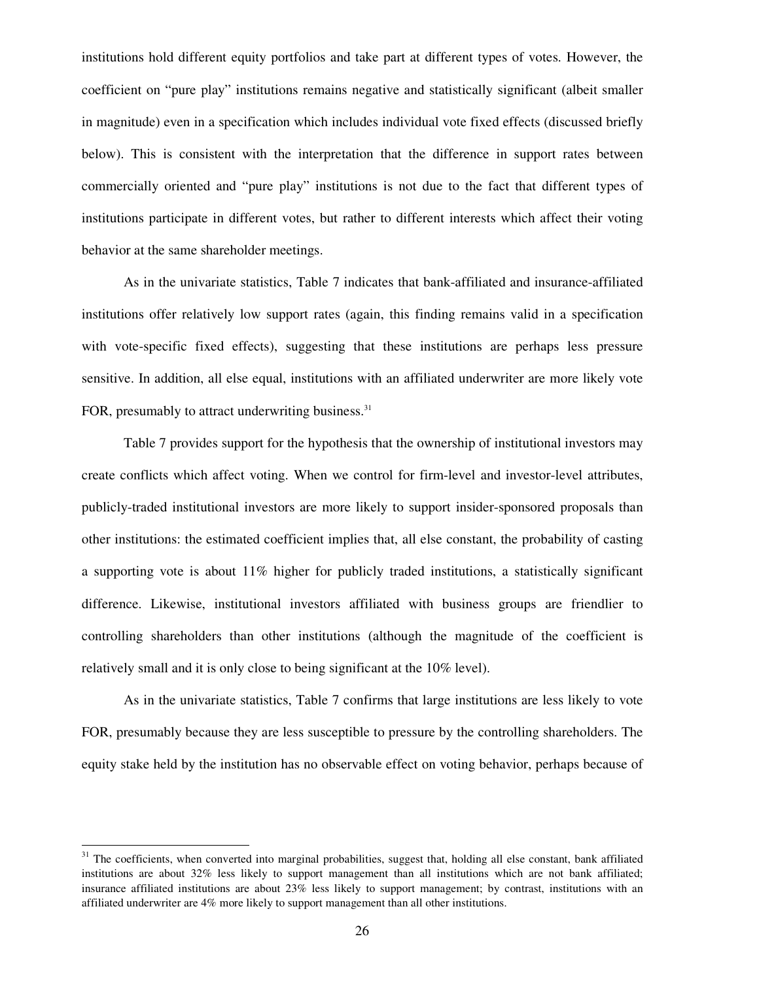institutions hold different equity portfolios and take part at different types of votes. However, the coefficient on "pure play" institutions remains negative and statistically significant (albeit smaller in magnitude) even in a specification which includes individual vote fixed effects (discussed briefly below). This is consistent with the interpretation that the difference in support rates between commercially oriented and "pure play" institutions is not due to the fact that different types of institutions participate in different votes, but rather to different interests which affect their voting behavior at the same shareholder meetings.

As in the univariate statistics, Table 7 indicates that bank-affiliated and insurance-affiliated institutions offer relatively low support rates (again, this finding remains valid in a specification with vote-specific fixed effects), suggesting that these institutions are perhaps less pressure sensitive. In addition, all else equal, institutions with an affiliated underwriter are more likely vote FOR, presumably to attract underwriting business.<sup>31</sup>

Table 7 provides support for the hypothesis that the ownership of institutional investors may create conflicts which affect voting. When we control for firm-level and investor-level attributes, publicly-traded institutional investors are more likely to support insider-sponsored proposals than other institutions: the estimated coefficient implies that, all else constant, the probability of casting a supporting vote is about  $11\%$  higher for publicly traded institutions, a statistically significant difference. Likewise, institutional investors affiliated with business groups are friendlier to controlling shareholders than other institutions (although the magnitude of the coefficient is relatively small and it is only close to being significant at the 10% level).

 As in the univariate statistics, Table 7 confirms that large institutions are less likely to vote FOR, presumably because they are less susceptible to pressure by the controlling shareholders. The equity stake held by the institution has no observable effect on voting behavior, perhaps because of

<sup>&</sup>lt;sup>31</sup> The coefficients, when converted into marginal probabilities, suggest that, holding all else constant, bank affiliated institutions are about 32% less likely to support management than all institutions which are not bank affiliated; insurance affiliated institutions are about 23% less likely to support management; by contrast, institutions with an affiliated underwriter are 4% more likely to support management than all other institutions.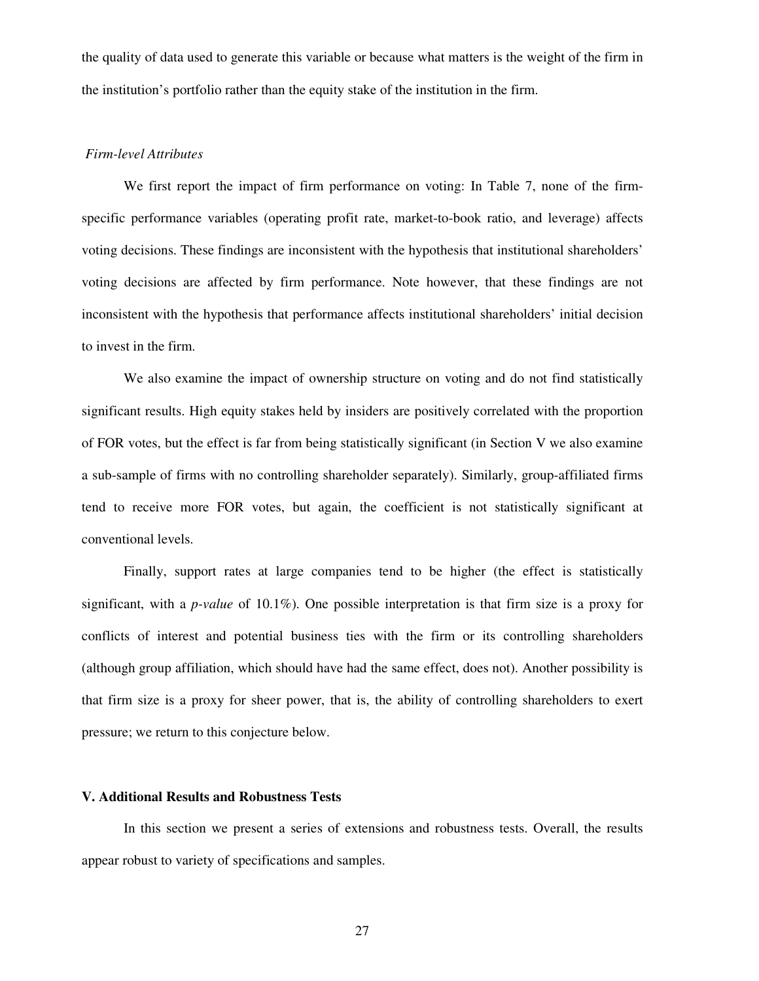the quality of data used to generate this variable or because what matters is the weight of the firm in the institution's portfolio rather than the equity stake of the institution in the firm.

#### *Firm-level Attributes*

We first report the impact of firm performance on voting: In Table 7, none of the firmspecific performance variables (operating profit rate, market-to-book ratio, and leverage) affects voting decisions. These findings are inconsistent with the hypothesis that institutional shareholders' voting decisions are affected by firm performance. Note however, that these findings are not inconsistent with the hypothesis that performance affects institutional shareholders' initial decision to invest in the firm.

We also examine the impact of ownership structure on voting and do not find statistically significant results. High equity stakes held by insiders are positively correlated with the proportion of FOR votes, but the effect is far from being statistically significant (in Section V we also examine a sub-sample of firms with no controlling shareholder separately). Similarly, group-affiliated firms tend to receive more FOR votes, but again, the coefficient is not statistically significant at conventional levels.

Finally, support rates at large companies tend to be higher (the effect is statistically significant, with a *p-value* of 10.1%). One possible interpretation is that firm size is a proxy for conflicts of interest and potential business ties with the firm or its controlling shareholders (although group affiliation, which should have had the same effect, does not). Another possibility is that firm size is a proxy for sheer power, that is, the ability of controlling shareholders to exert pressure; we return to this conjecture below.

## **V. Additional Results and Robustness Tests**

 In this section we present a series of extensions and robustness tests. Overall, the results appear robust to variety of specifications and samples.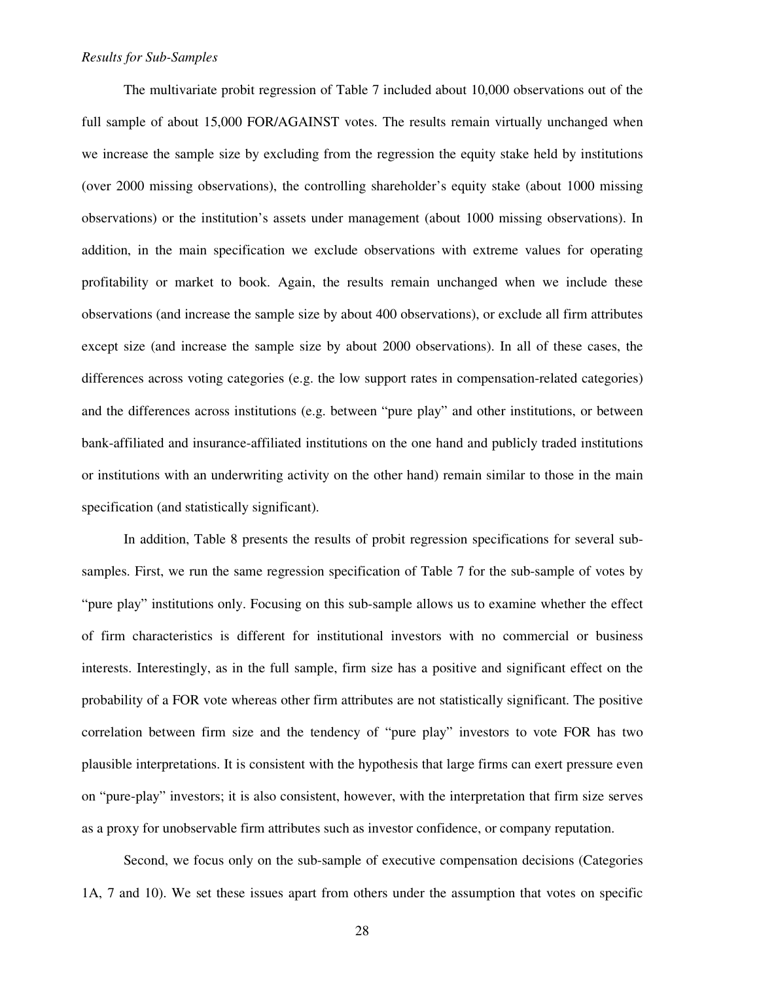### *Results for Sub-Samples*

The multivariate probit regression of Table 7 included about 10,000 observations out of the full sample of about 15,000 FOR/AGAINST votes. The results remain virtually unchanged when we increase the sample size by excluding from the regression the equity stake held by institutions (over 2000 missing observations), the controlling shareholder's equity stake (about 1000 missing observations) or the institution's assets under management (about 1000 missing observations). In addition, in the main specification we exclude observations with extreme values for operating profitability or market to book. Again, the results remain unchanged when we include these observations (and increase the sample size by about 400 observations), or exclude all firm attributes except size (and increase the sample size by about 2000 observations). In all of these cases, the differences across voting categories (e.g. the low support rates in compensation-related categories) and the differences across institutions (e.g. between "pure play" and other institutions, or between bank-affiliated and insurance-affiliated institutions on the one hand and publicly traded institutions or institutions with an underwriting activity on the other hand) remain similar to those in the main specification (and statistically significant).

In addition, Table 8 presents the results of probit regression specifications for several subsamples. First, we run the same regression specification of Table 7 for the sub-sample of votes by "pure play" institutions only. Focusing on this sub-sample allows us to examine whether the effect of firm characteristics is different for institutional investors with no commercial or business interests. Interestingly, as in the full sample, firm size has a positive and significant effect on the probability of a FOR vote whereas other firm attributes are not statistically significant. The positive correlation between firm size and the tendency of "pure play" investors to vote FOR has two plausible interpretations. It is consistent with the hypothesis that large firms can exert pressure even on "pure-play" investors; it is also consistent, however, with the interpretation that firm size serves as a proxy for unobservable firm attributes such as investor confidence, or company reputation.

Second, we focus only on the sub-sample of executive compensation decisions (Categories 1A, 7 and 10). We set these issues apart from others under the assumption that votes on specific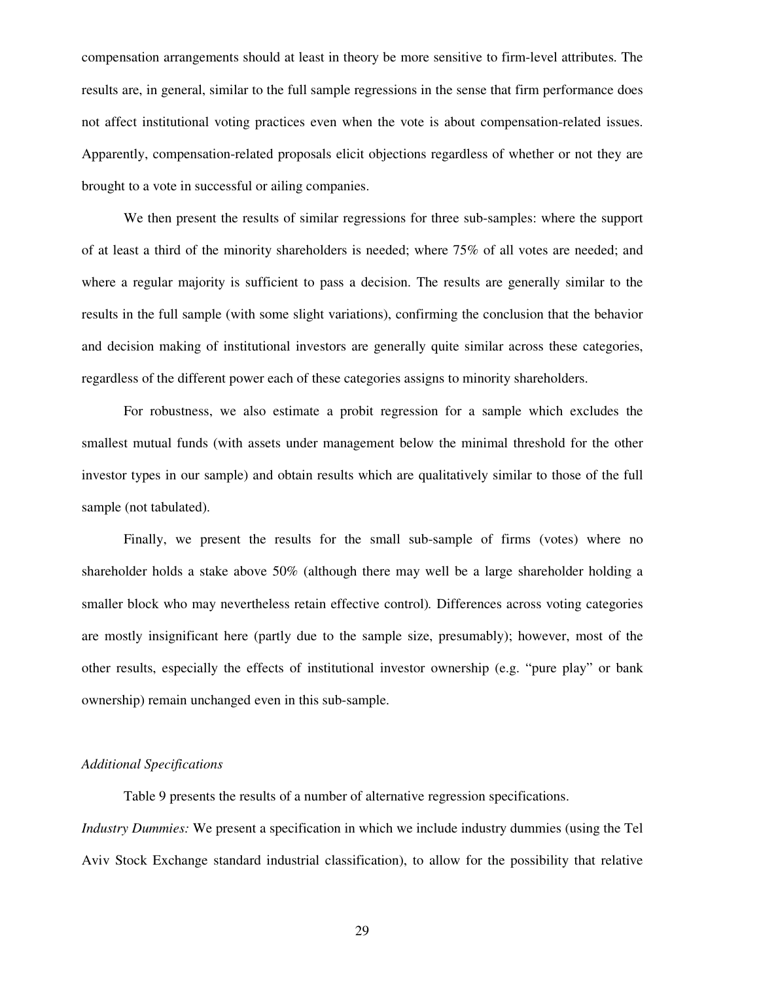compensation arrangements should at least in theory be more sensitive to firm-level attributes. The results are, in general, similar to the full sample regressions in the sense that firm performance does not affect institutional voting practices even when the vote is about compensation-related issues. Apparently, compensation-related proposals elicit objections regardless of whether or not they are brought to a vote in successful or ailing companies.

 We then present the results of similar regressions for three sub-samples: where the support of at least a third of the minority shareholders is needed; where 75% of all votes are needed; and where a regular majority is sufficient to pass a decision. The results are generally similar to the results in the full sample (with some slight variations), confirming the conclusion that the behavior and decision making of institutional investors are generally quite similar across these categories, regardless of the different power each of these categories assigns to minority shareholders.

 For robustness, we also estimate a probit regression for a sample which excludes the smallest mutual funds (with assets under management below the minimal threshold for the other investor types in our sample) and obtain results which are qualitatively similar to those of the full sample (not tabulated).

 Finally, we present the results for the small sub-sample of firms (votes) where no shareholder holds a stake above 50% (although there may well be a large shareholder holding a smaller block who may nevertheless retain effective control)*.* Differences across voting categories are mostly insignificant here (partly due to the sample size, presumably); however, most of the other results, especially the effects of institutional investor ownership (e.g. "pure play" or bank ownership) remain unchanged even in this sub-sample.

### *Additional Specifications*

Table 9 presents the results of a number of alternative regression specifications. *Industry Dummies:* We present a specification in which we include industry dummies (using the Tel Aviv Stock Exchange standard industrial classification), to allow for the possibility that relative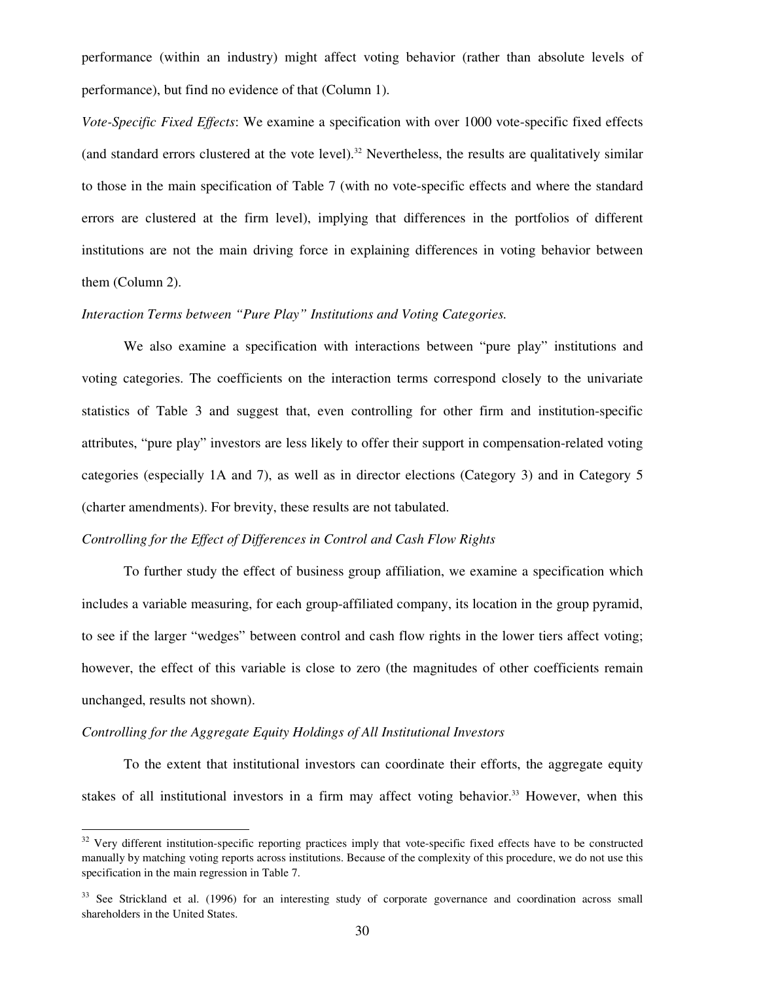performance (within an industry) might affect voting behavior (rather than absolute levels of performance), but find no evidence of that (Column 1).

*Vote-Specific Fixed Effects*: We examine a specification with over 1000 vote-specific fixed effects (and standard errors clustered at the vote level).<sup>32</sup> Nevertheless, the results are qualitatively similar to those in the main specification of Table 7 (with no vote-specific effects and where the standard errors are clustered at the firm level), implying that differences in the portfolios of different institutions are not the main driving force in explaining differences in voting behavior between them (Column 2).

# *Interaction Terms between "Pure Play" Institutions and Voting Categories.*

 We also examine a specification with interactions between "pure play" institutions and voting categories. The coefficients on the interaction terms correspond closely to the univariate statistics of Table 3 and suggest that, even controlling for other firm and institution-specific attributes, "pure play" investors are less likely to offer their support in compensation-related voting categories (especially 1A and 7), as well as in director elections (Category 3) and in Category 5 (charter amendments). For brevity, these results are not tabulated.

#### *Controlling for the Effect of Differences in Control and Cash Flow Rights*

 To further study the effect of business group affiliation, we examine a specification which includes a variable measuring, for each group-affiliated company, its location in the group pyramid, to see if the larger "wedges" between control and cash flow rights in the lower tiers affect voting; however, the effect of this variable is close to zero (the magnitudes of other coefficients remain unchanged, results not shown).

#### *Controlling for the Aggregate Equity Holdings of All Institutional Investors*

-

To the extent that institutional investors can coordinate their efforts, the aggregate equity stakes of all institutional investors in a firm may affect voting behavior.<sup>33</sup> However, when this

 $32$  Very different institution-specific reporting practices imply that vote-specific fixed effects have to be constructed manually by matching voting reports across institutions. Because of the complexity of this procedure, we do not use this specification in the main regression in Table 7.

<sup>&</sup>lt;sup>33</sup> See Strickland et al. (1996) for an interesting study of corporate governance and coordination across small shareholders in the United States.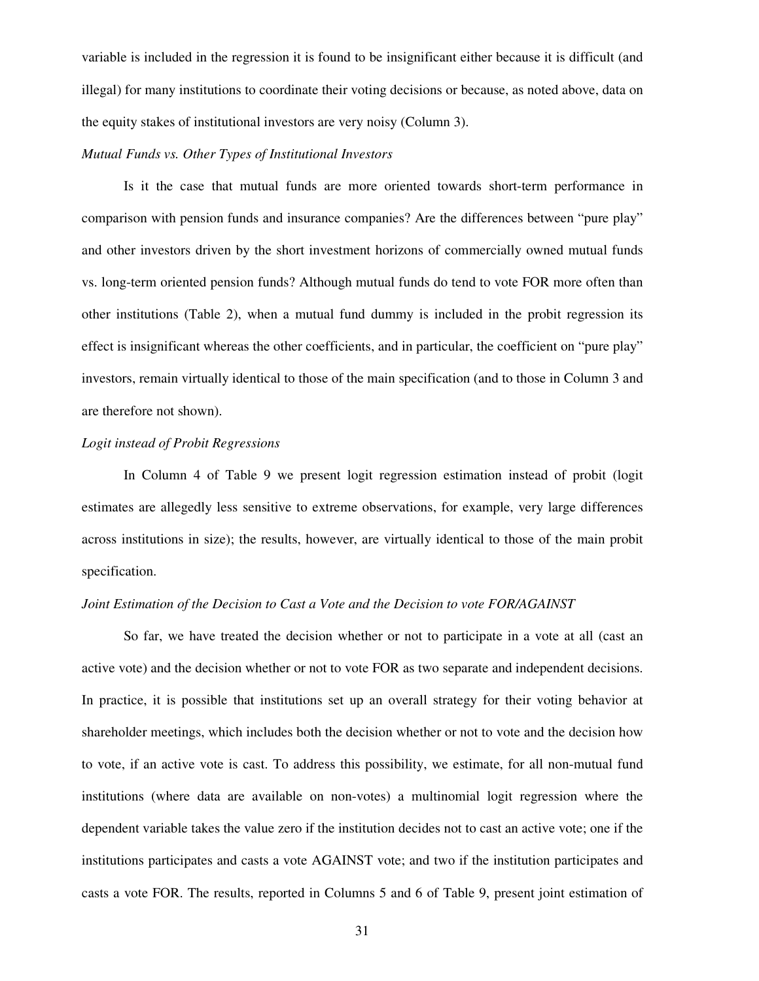variable is included in the regression it is found to be insignificant either because it is difficult (and illegal) for many institutions to coordinate their voting decisions or because, as noted above, data on the equity stakes of institutional investors are very noisy (Column 3).

#### *Mutual Funds vs. Other Types of Institutional Investors*

 Is it the case that mutual funds are more oriented towards short-term performance in comparison with pension funds and insurance companies? Are the differences between "pure play" and other investors driven by the short investment horizons of commercially owned mutual funds vs. long-term oriented pension funds? Although mutual funds do tend to vote FOR more often than other institutions (Table 2), when a mutual fund dummy is included in the probit regression its effect is insignificant whereas the other coefficients, and in particular, the coefficient on "pure play" investors, remain virtually identical to those of the main specification (and to those in Column 3 and are therefore not shown).

# *Logit instead of Probit Regressions*

 In Column 4 of Table 9 we present logit regression estimation instead of probit (logit estimates are allegedly less sensitive to extreme observations, for example, very large differences across institutions in size); the results, however, are virtually identical to those of the main probit specification.

#### *Joint Estimation of the Decision to Cast a Vote and the Decision to vote FOR/AGAINST*

 So far, we have treated the decision whether or not to participate in a vote at all (cast an active vote) and the decision whether or not to vote FOR as two separate and independent decisions. In practice, it is possible that institutions set up an overall strategy for their voting behavior at shareholder meetings, which includes both the decision whether or not to vote and the decision how to vote, if an active vote is cast. To address this possibility, we estimate, for all non-mutual fund institutions (where data are available on non-votes) a multinomial logit regression where the dependent variable takes the value zero if the institution decides not to cast an active vote; one if the institutions participates and casts a vote AGAINST vote; and two if the institution participates and casts a vote FOR. The results, reported in Columns 5 and 6 of Table 9, present joint estimation of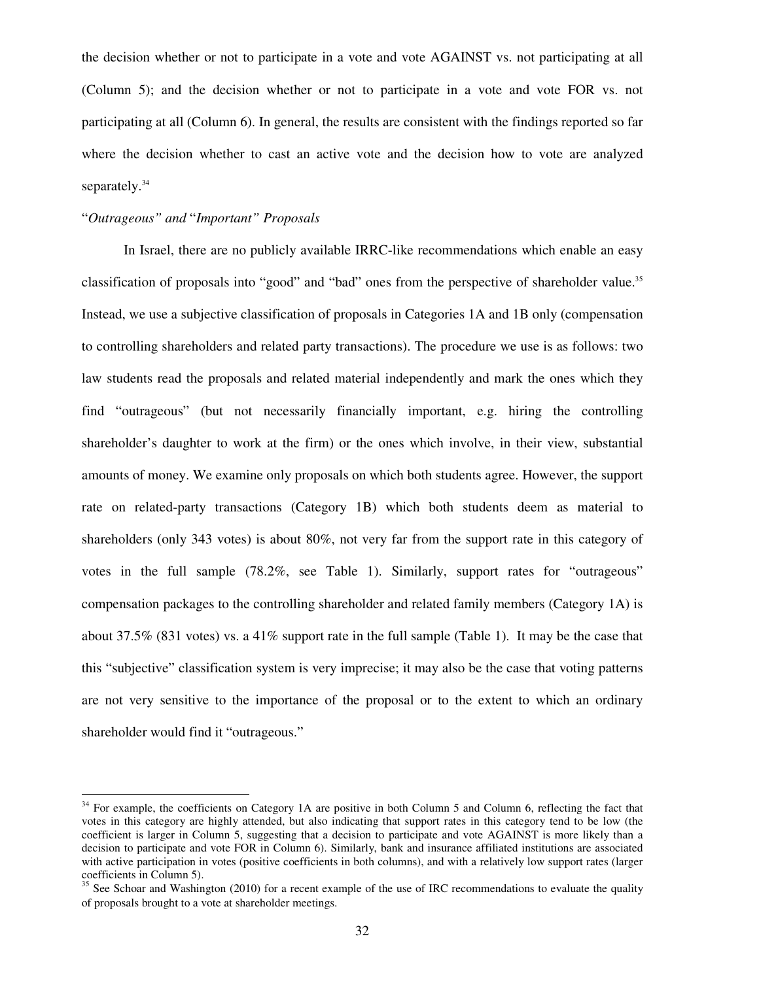the decision whether or not to participate in a vote and vote AGAINST vs. not participating at all (Column 5); and the decision whether or not to participate in a vote and vote FOR vs. not participating at all (Column 6). In general, the results are consistent with the findings reported so far where the decision whether to cast an active vote and the decision how to vote are analyzed separately.<sup>34</sup>

# "*Outrageous" and* "*Important" Proposals*

 $\overline{a}$ 

 In Israel, there are no publicly available IRRC-like recommendations which enable an easy classification of proposals into "good" and "bad" ones from the perspective of shareholder value.<sup>35</sup> Instead, we use a subjective classification of proposals in Categories 1A and 1B only (compensation to controlling shareholders and related party transactions). The procedure we use is as follows: two law students read the proposals and related material independently and mark the ones which they find "outrageous" (but not necessarily financially important, e.g. hiring the controlling shareholder's daughter to work at the firm) or the ones which involve, in their view, substantial amounts of money. We examine only proposals on which both students agree. However, the support rate on related-party transactions (Category 1B) which both students deem as material to shareholders (only 343 votes) is about 80%, not very far from the support rate in this category of votes in the full sample (78.2%, see Table 1). Similarly, support rates for "outrageous" compensation packages to the controlling shareholder and related family members (Category 1A) is about 37.5% (831 votes) vs. a 41% support rate in the full sample (Table 1). It may be the case that this "subjective" classification system is very imprecise; it may also be the case that voting patterns are not very sensitive to the importance of the proposal or to the extent to which an ordinary shareholder would find it "outrageous."

 $34$  For example, the coefficients on Category 1A are positive in both Column 5 and Column 6, reflecting the fact that votes in this category are highly attended, but also indicating that support rates in this category tend to be low (the coefficient is larger in Column 5, suggesting that a decision to participate and vote AGAINST is more likely than a decision to participate and vote FOR in Column 6). Similarly, bank and insurance affiliated institutions are associated with active participation in votes (positive coefficients in both columns), and with a relatively low support rates (larger coefficients in Column 5).

<sup>&</sup>lt;sup>35</sup> See Schoar and Washington (2010) for a recent example of the use of IRC recommendations to evaluate the quality of proposals brought to a vote at shareholder meetings.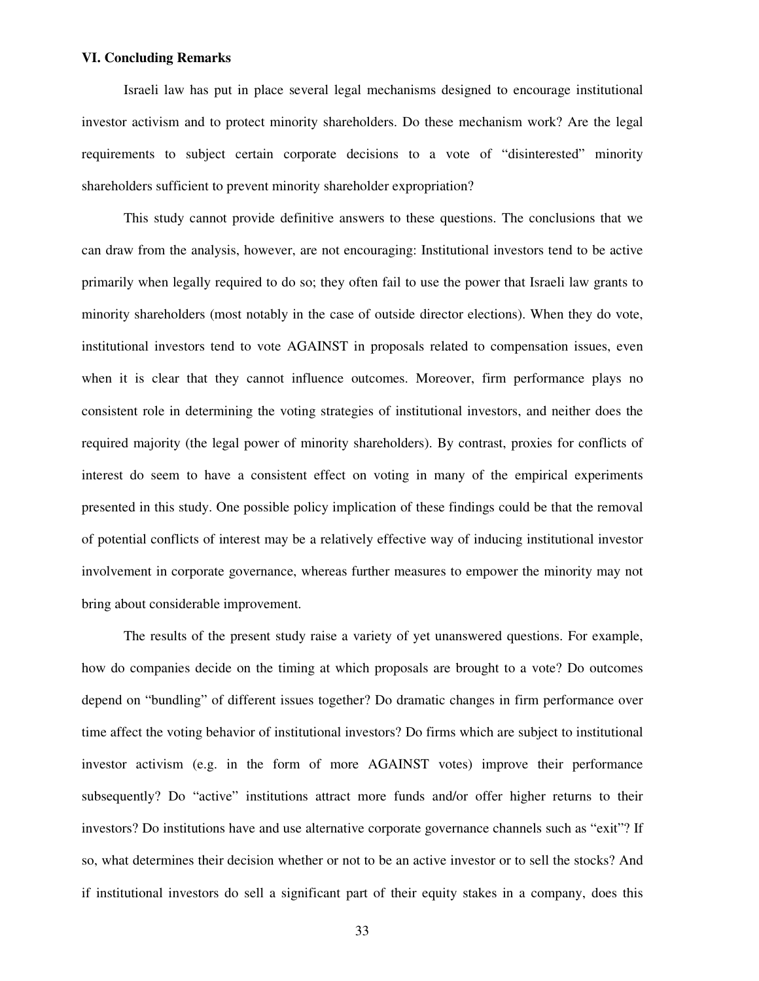# **VI. Concluding Remarks**

Israeli law has put in place several legal mechanisms designed to encourage institutional investor activism and to protect minority shareholders. Do these mechanism work? Are the legal requirements to subject certain corporate decisions to a vote of "disinterested" minority shareholders sufficient to prevent minority shareholder expropriation?

This study cannot provide definitive answers to these questions. The conclusions that we can draw from the analysis, however, are not encouraging: Institutional investors tend to be active primarily when legally required to do so; they often fail to use the power that Israeli law grants to minority shareholders (most notably in the case of outside director elections). When they do vote, institutional investors tend to vote AGAINST in proposals related to compensation issues, even when it is clear that they cannot influence outcomes. Moreover, firm performance plays no consistent role in determining the voting strategies of institutional investors, and neither does the required majority (the legal power of minority shareholders). By contrast, proxies for conflicts of interest do seem to have a consistent effect on voting in many of the empirical experiments presented in this study. One possible policy implication of these findings could be that the removal of potential conflicts of interest may be a relatively effective way of inducing institutional investor involvement in corporate governance, whereas further measures to empower the minority may not bring about considerable improvement.

The results of the present study raise a variety of yet unanswered questions. For example, how do companies decide on the timing at which proposals are brought to a vote? Do outcomes depend on "bundling" of different issues together? Do dramatic changes in firm performance over time affect the voting behavior of institutional investors? Do firms which are subject to institutional investor activism (e.g. in the form of more AGAINST votes) improve their performance subsequently? Do "active" institutions attract more funds and/or offer higher returns to their investors? Do institutions have and use alternative corporate governance channels such as "exit"? If so, what determines their decision whether or not to be an active investor or to sell the stocks? And if institutional investors do sell a significant part of their equity stakes in a company, does this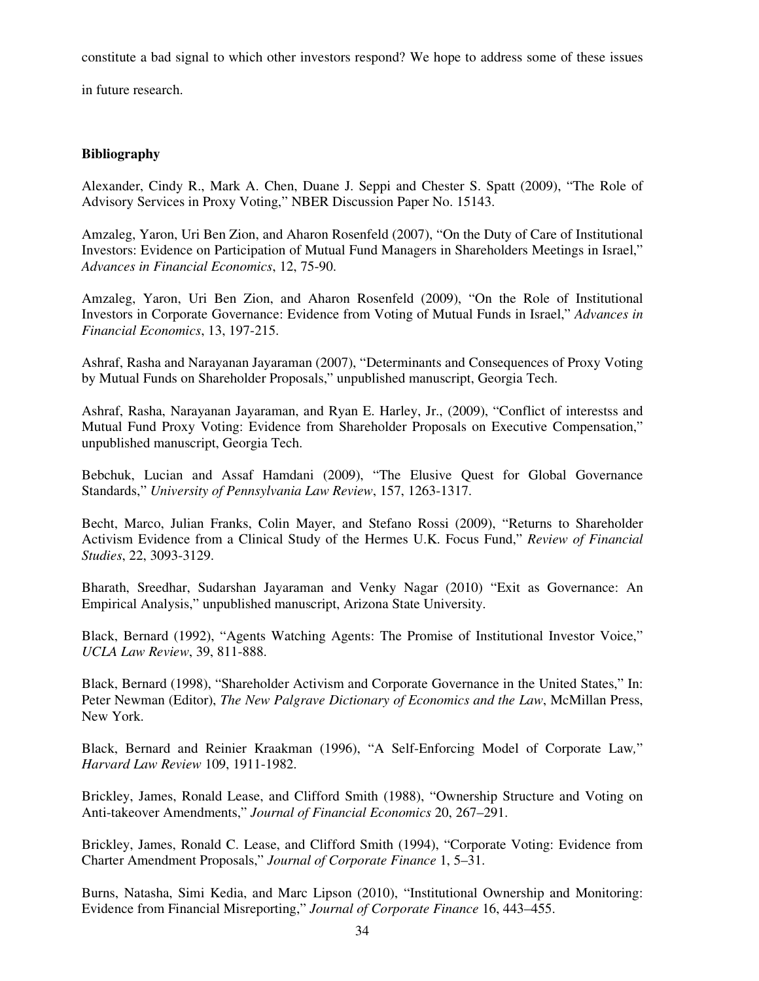constitute a bad signal to which other investors respond? We hope to address some of these issues

in future research.

# **Bibliography**

Alexander, Cindy R., Mark A. Chen, Duane J. Seppi and Chester S. Spatt (2009), "The Role of Advisory Services in Proxy Voting," NBER Discussion Paper No. 15143.

Amzaleg, Yaron, Uri Ben Zion, and Aharon Rosenfeld (2007), "On the Duty of Care of Institutional Investors: Evidence on Participation of Mutual Fund Managers in Shareholders Meetings in Israel," *Advances in Financial Economics*, 12, 75-90.

Amzaleg, Yaron, Uri Ben Zion, and Aharon Rosenfeld (2009), "On the Role of Institutional Investors in Corporate Governance: Evidence from Voting of Mutual Funds in Israel," *Advances in Financial Economics*, 13, 197-215.

Ashraf, Rasha and Narayanan Jayaraman (2007), "Determinants and Consequences of Proxy Voting by Mutual Funds on Shareholder Proposals," unpublished manuscript, Georgia Tech.

Ashraf, Rasha, Narayanan Jayaraman, and Ryan E. Harley, Jr., (2009), "Conflict of interestss and Mutual Fund Proxy Voting: Evidence from Shareholder Proposals on Executive Compensation," unpublished manuscript, Georgia Tech.

Bebchuk, Lucian and Assaf Hamdani (2009), "The Elusive Quest for Global Governance Standards," *University of Pennsylvania Law Review*, 157, 1263-1317.

Becht, Marco, Julian Franks, Colin Mayer, and Stefano Rossi (2009), "Returns to Shareholder Activism Evidence from a Clinical Study of the Hermes U.K. Focus Fund," *Review of Financial Studies*, 22, 3093-3129.

Bharath, Sreedhar, Sudarshan Jayaraman and Venky Nagar (2010) "Exit as Governance: An Empirical Analysis," unpublished manuscript, Arizona State University.

Black, Bernard (1992), "Agents Watching Agents: The Promise of Institutional Investor Voice," *UCLA Law Review*, 39, 811-888.

Black, Bernard (1998), "Shareholder Activism and Corporate Governance in the United States," In: Peter Newman (Editor), *The New Palgrave Dictionary of Economics and the Law*, McMillan Press, New York.

Black, Bernard and Reinier Kraakman (1996), "A Self-Enforcing Model of Corporate Law*,*" *Harvard Law Review* 109, 1911-1982.

Brickley, James, Ronald Lease, and Clifford Smith (1988), "Ownership Structure and Voting on Anti-takeover Amendments," *Journal of Financial Economics* 20, 267–291.

Brickley, James, Ronald C. Lease, and Clifford Smith (1994), "Corporate Voting: Evidence from Charter Amendment Proposals," *Journal of Corporate Finance* 1, 5–31.

Burns, Natasha, Simi Kedia, and Marc Lipson (2010), "Institutional Ownership and Monitoring: Evidence from Financial Misreporting," *Journal of Corporate Finance* 16, 443–455.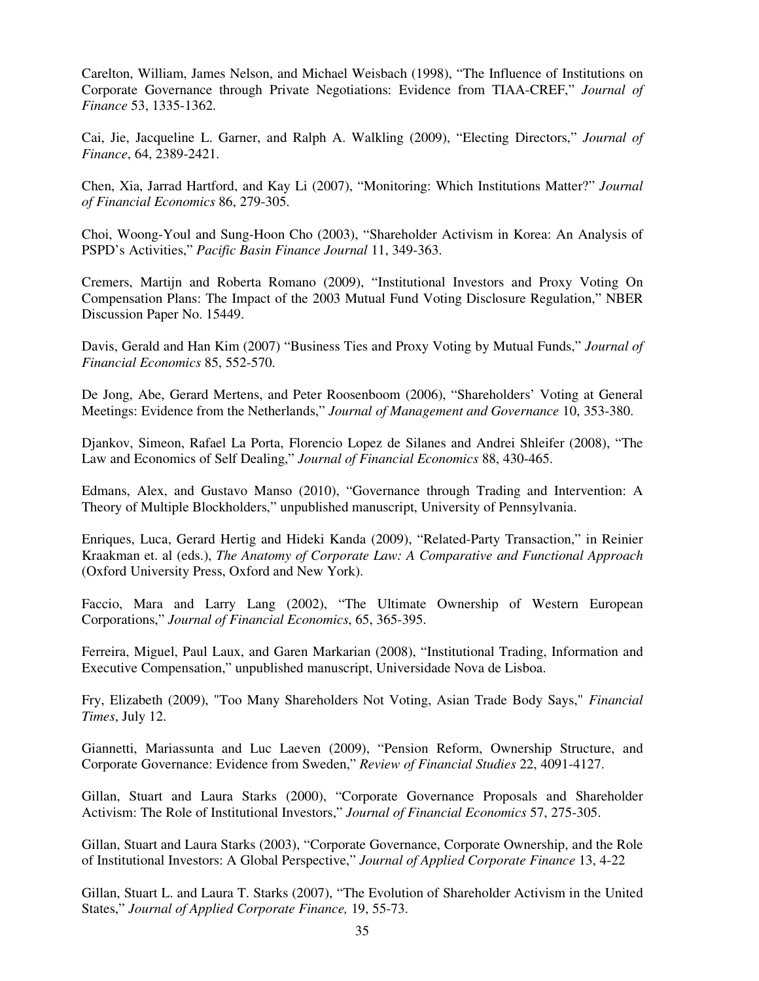Carelton, William, James Nelson, and Michael Weisbach (1998), "The Influence of Institutions on Corporate Governance through Private Negotiations: Evidence from TIAA-CREF," *Journal of Finance* 53, 1335-1362.

Cai, Jie, Jacqueline L. Garner, and Ralph A. Walkling (2009), "Electing Directors," *Journal of Finance*, 64, 2389-2421.

Chen, Xia, Jarrad Hartford, and Kay Li (2007), "Monitoring: Which Institutions Matter?" *Journal of Financial Economics* 86, 279-305.

Choi, Woong-Youl and Sung-Hoon Cho (2003), "Shareholder Activism in Korea: An Analysis of PSPD's Activities," *Pacific Basin Finance Journal* 11, 349-363.

Cremers, Martijn and Roberta Romano (2009), "Institutional Investors and Proxy Voting On Compensation Plans: The Impact of the 2003 Mutual Fund Voting Disclosure Regulation," NBER Discussion Paper No. 15449.

Davis, Gerald and Han Kim (2007) "Business Ties and Proxy Voting by Mutual Funds," *Journal of Financial Economics* 85, 552-570.

De Jong, Abe, Gerard Mertens, and Peter Roosenboom (2006), "Shareholders' Voting at General Meetings: Evidence from the Netherlands," *Journal of Management and Governance* 10, 353-380.

Djankov, Simeon, Rafael La Porta, Florencio Lopez de Silanes and Andrei Shleifer (2008), "The Law and Economics of Self Dealing," *Journal of Financial Economics* 88, 430-465.

Edmans, Alex, and Gustavo Manso (2010), "Governance through Trading and Intervention: A Theory of Multiple Blockholders," unpublished manuscript, University of Pennsylvania.

Enriques, Luca, Gerard Hertig and Hideki Kanda (2009), "Related-Party Transaction," in Reinier Kraakman et. al (eds.), *The Anatomy of Corporate Law: A Comparative and Functional Approach* (Oxford University Press, Oxford and New York).

Faccio, Mara and Larry Lang (2002), "The Ultimate Ownership of Western European Corporations," *Journal of Financial Economics*, 65, 365-395.

Ferreira, Miguel, Paul Laux, and Garen Markarian (2008), "Institutional Trading, Information and Executive Compensation," unpublished manuscript, Universidade Nova de Lisboa.

Fry, Elizabeth (2009), "Too Many Shareholders Not Voting, Asian Trade Body Says," *Financial Times*, July 12.

Giannetti, Mariassunta and Luc Laeven (2009), "Pension Reform, Ownership Structure, and Corporate Governance: Evidence from Sweden," *Review of Financial Studies* 22, 4091-4127.

Gillan, Stuart and Laura Starks (2000), "Corporate Governance Proposals and Shareholder Activism: The Role of Institutional Investors," *Journal of Financial Economics* 57, 275-305.

Gillan, Stuart and Laura Starks (2003), "Corporate Governance, Corporate Ownership, and the Role of Institutional Investors: A Global Perspective," *Journal of Applied Corporate Finance* 13, 4-22

Gillan, Stuart L. and Laura T. Starks (2007), "The Evolution of Shareholder Activism in the United States," *Journal of Applied Corporate Finance,* 19, 55-73.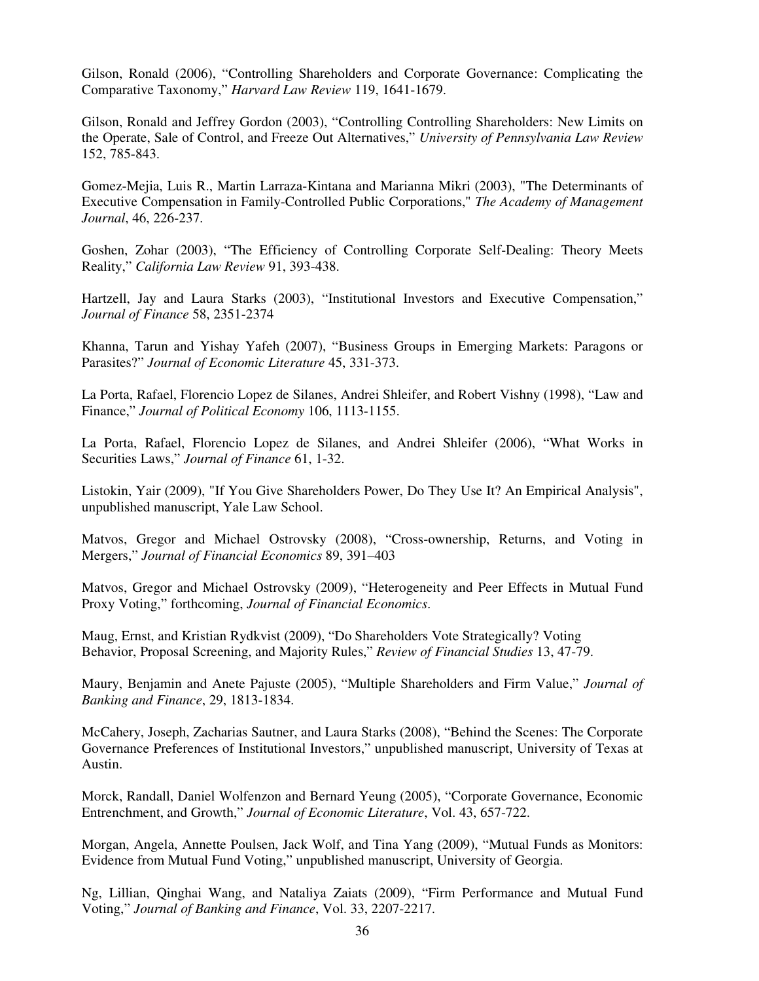Gilson, Ronald (2006), "Controlling Shareholders and Corporate Governance: Complicating the Comparative Taxonomy," *Harvard Law Review* 119, 1641-1679.

Gilson, Ronald and Jeffrey Gordon (2003), "Controlling Controlling Shareholders: New Limits on the Operate, Sale of Control, and Freeze Out Alternatives," *University of Pennsylvania Law Review* 152, 785-843.

Gomez-Mejia, Luis R., Martin Larraza-Kintana and Marianna Mikri (2003), "The Determinants of Executive Compensation in Family-Controlled Public Corporations," *The Academy of Management Journal*, 46, 226-237.

Goshen, Zohar (2003), "The Efficiency of Controlling Corporate Self-Dealing: Theory Meets Reality," *California Law Review* 91, 393-438.

Hartzell, Jay and Laura Starks (2003), "Institutional Investors and Executive Compensation," *Journal of Finance* 58, 2351-2374

Khanna, Tarun and Yishay Yafeh (2007), "Business Groups in Emerging Markets: Paragons or Parasites?" *Journal of Economic Literature* 45, 331-373.

La Porta, Rafael, Florencio Lopez de Silanes, Andrei Shleifer, and Robert Vishny (1998), "Law and Finance," *Journal of Political Economy* 106, 1113-1155.

La Porta, Rafael, Florencio Lopez de Silanes, and Andrei Shleifer (2006), "What Works in Securities Laws," *Journal of Finance* 61, 1-32.

Listokin, Yair (2009), "If You Give Shareholders Power, Do They Use It? An Empirical Analysis", unpublished manuscript, Yale Law School.

Matvos, Gregor and Michael Ostrovsky (2008), "Cross-ownership, Returns, and Voting in Mergers," *Journal of Financial Economics* 89, 391–403

Matvos, Gregor and Michael Ostrovsky (2009), "Heterogeneity and Peer Effects in Mutual Fund Proxy Voting," forthcoming, *Journal of Financial Economics*.

Maug, Ernst, and Kristian Rydkvist (2009), "Do Shareholders Vote Strategically? Voting Behavior, Proposal Screening, and Majority Rules," *Review of Financial Studies* 13, 47-79.

Maury, Benjamin and Anete Pajuste (2005), "Multiple Shareholders and Firm Value," *Journal of Banking and Finance*, 29, 1813-1834.

McCahery, Joseph, Zacharias Sautner, and Laura Starks (2008), "Behind the Scenes: The Corporate Governance Preferences of Institutional Investors," unpublished manuscript, University of Texas at Austin.

Morck, Randall, Daniel Wolfenzon and Bernard Yeung (2005), "Corporate Governance, Economic Entrenchment, and Growth," *Journal of Economic Literature*, Vol. 43, 657-722.

Morgan, Angela, Annette Poulsen, Jack Wolf, and Tina Yang (2009), "Mutual Funds as Monitors: Evidence from Mutual Fund Voting," unpublished manuscript, University of Georgia.

Ng, Lillian, Qinghai Wang, and Nataliya Zaiats (2009), "Firm Performance and Mutual Fund Voting," *Journal of Banking and Finance*, Vol. 33, 2207-2217.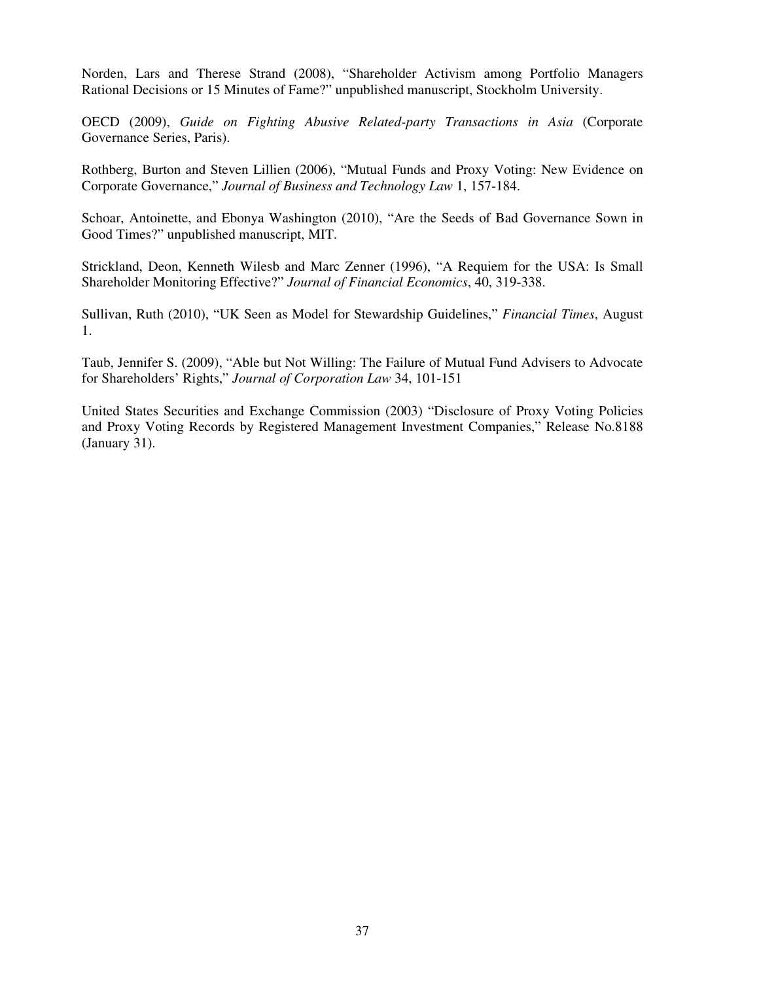Norden, Lars and Therese Strand (2008), "Shareholder Activism among Portfolio Managers Rational Decisions or 15 Minutes of Fame?" unpublished manuscript, Stockholm University.

OECD (2009), *Guide on Fighting Abusive Related-party Transactions in Asia* (Corporate Governance Series, Paris).

Rothberg, Burton and Steven Lillien (2006), "Mutual Funds and Proxy Voting: New Evidence on Corporate Governance," *Journal of Business and Technology Law* 1, 157-184.

Schoar, Antoinette, and Ebonya Washington (2010), "Are the Seeds of Bad Governance Sown in Good Times?" unpublished manuscript, MIT.

Strickland, Deon, Kenneth Wilesb and Marc Zenner (1996), "A Requiem for the USA: Is Small Shareholder Monitoring Effective?" *Journal of Financial Economics*, 40, 319-338.

Sullivan, Ruth (2010), "UK Seen as Model for Stewardship Guidelines," *Financial Times*, August 1.

Taub, Jennifer S. (2009), "Able but Not Willing: The Failure of Mutual Fund Advisers to Advocate for Shareholders' Rights," *Journal of Corporation Law* 34, 101-151

United States Securities and Exchange Commission (2003) "Disclosure of Proxy Voting Policies and Proxy Voting Records by Registered Management Investment Companies," Release No.8188 (January 31).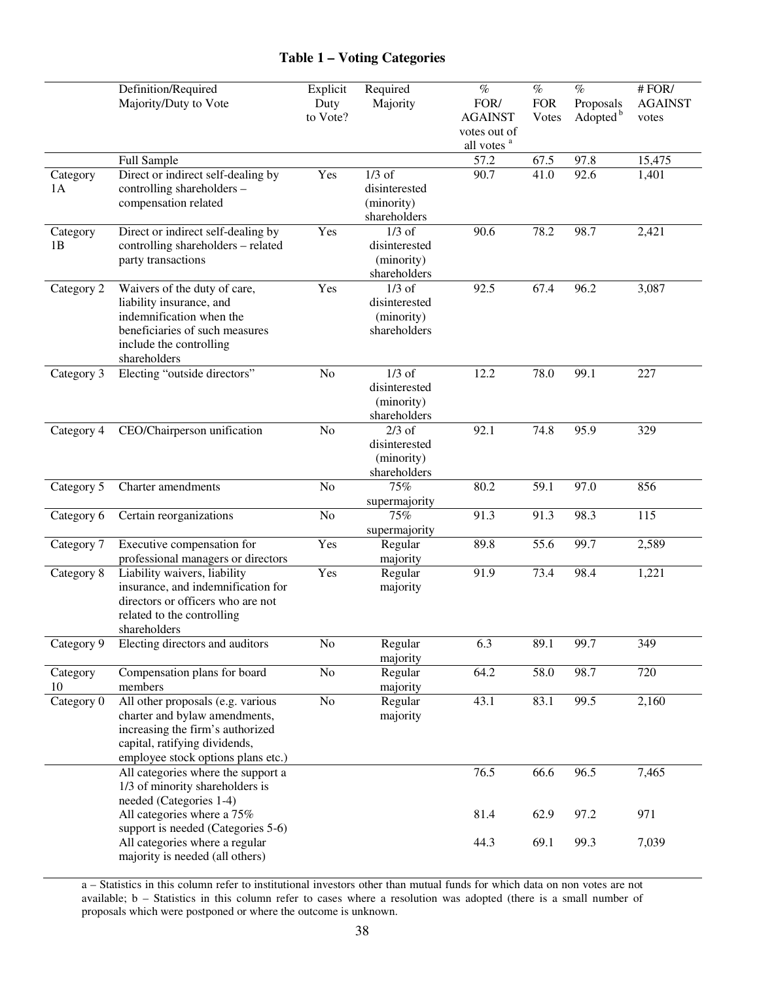# **Table 1 – Voting Categories**

|                | Definition/Required<br>Majority/Duty to Vote                                                                                                                                  | Explicit<br>Duty<br>to Vote? | Required<br>Majority                                    | $\%$<br>FOR/<br><b>AGAINST</b><br>votes out of<br>all votes <sup>a</sup> | $\overline{\%}$<br><b>FOR</b><br>Votes | $\overline{\%}$<br>Proposals<br>Adopted <sup>b</sup> | # FOR/<br><b>AGAINST</b><br>votes |
|----------------|-------------------------------------------------------------------------------------------------------------------------------------------------------------------------------|------------------------------|---------------------------------------------------------|--------------------------------------------------------------------------|----------------------------------------|------------------------------------------------------|-----------------------------------|
|                | Full Sample                                                                                                                                                                   |                              |                                                         | 57.2                                                                     | 67.5                                   | 97.8                                                 | 15,475                            |
| Category<br>1A | Direct or indirect self-dealing by<br>controlling shareholders -<br>compensation related                                                                                      | Yes                          | $1/3$ of<br>disinterested<br>(minority)<br>shareholders | 90.7                                                                     | $41.\overline{0}$                      | 92.6                                                 | 1,401                             |
| Category<br>1B | Direct or indirect self-dealing by<br>controlling shareholders - related<br>party transactions                                                                                | Yes                          | $1/3$ of<br>disinterested<br>(minority)<br>shareholders | 90.6                                                                     | 78.2                                   | 98.7                                                 | 2,421                             |
| Category 2     | Waivers of the duty of care,<br>liability insurance, and<br>indemnification when the<br>beneficiaries of such measures<br>include the controlling<br>shareholders             | Yes                          | $1/3$ of<br>disinterested<br>(minority)<br>shareholders | 92.5                                                                     | 67.4                                   | 96.2                                                 | 3,087                             |
| Category 3     | Electing "outside directors"                                                                                                                                                  | No                           | $1/3$ of<br>disinterested<br>(minority)<br>shareholders | 12.2                                                                     | 78.0                                   | 99.1                                                 | 227                               |
| Category 4     | CEO/Chairperson unification                                                                                                                                                   | N <sub>o</sub>               | $2/3$ of<br>disinterested<br>(minority)<br>shareholders | 92.1                                                                     | 74.8                                   | 95.9                                                 | 329                               |
| Category 5     | Charter amendments                                                                                                                                                            | N <sub>o</sub>               | 75%<br>supermajority                                    | 80.2                                                                     | 59.1                                   | 97.0                                                 | 856                               |
| Category 6     | Certain reorganizations                                                                                                                                                       | No                           | 75%<br>supermajority                                    | 91.3                                                                     | 91.3                                   | 98.3                                                 | 115                               |
| Category 7     | Executive compensation for<br>professional managers or directors                                                                                                              | Yes                          | Regular<br>majority                                     | 89.8                                                                     | 55.6                                   | 99.7                                                 | 2,589                             |
| Category 8     | Liability waivers, liability<br>insurance, and indemnification for<br>directors or officers who are not<br>related to the controlling<br>shareholders                         | Yes                          | Regular<br>majority                                     | 91.9                                                                     | 73.4                                   | 98.4                                                 | 1,221                             |
| Category 9     | Electing directors and auditors                                                                                                                                               | No                           | Regular<br>majority                                     | 6.3                                                                      | 89.1                                   | 99.7                                                 | 349                               |
| Category<br>10 | Compensation plans for board<br>members                                                                                                                                       | N <sub>o</sub>               | Regular<br>majority                                     | 64.2                                                                     | 58.0                                   | 98.7                                                 | 720                               |
| Category 0     | All other proposals (e.g. various<br>charter and bylaw amendments,<br>increasing the firm's authorized<br>capital, ratifying dividends,<br>employee stock options plans etc.) | $\rm No$                     | Regular<br>majority                                     | 43.1                                                                     | 83.1                                   | 99.5                                                 | 2,160                             |
|                | All categories where the support a<br>1/3 of minority shareholders is<br>needed (Categories 1-4)                                                                              |                              |                                                         | 76.5                                                                     | 66.6                                   | 96.5                                                 | 7,465                             |
|                | All categories where a 75%<br>support is needed (Categories 5-6)                                                                                                              |                              |                                                         | 81.4                                                                     | 62.9                                   | 97.2                                                 | 971                               |
|                | All categories where a regular<br>majority is needed (all others)                                                                                                             |                              |                                                         | 44.3                                                                     | 69.1                                   | 99.3                                                 | 7,039                             |

a – Statistics in this column refer to institutional investors other than mutual funds for which data on non votes are not available; b – Statistics in this column refer to cases where a resolution was adopted (there is a small number of proposals which were postponed or where the outcome is unknown.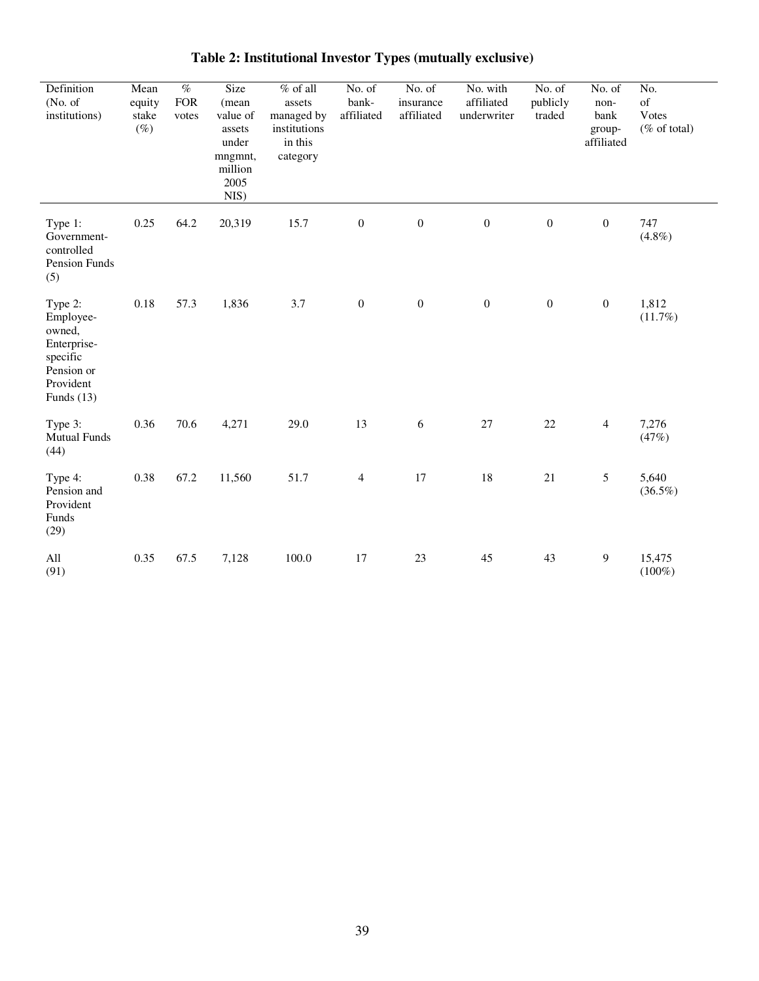| Definition<br>(No. of)<br>institutions)                                                              | Mean<br>equity<br>stake<br>$(\%)$ | $\overline{\mathcal{O}_{\!\!O}}$<br><b>FOR</b><br>votes | Size<br>(mean<br>value of<br>assets<br>under<br>mngmnt,<br>million<br>2005<br>NIS) | $%$ of all<br>assets<br>managed by<br>institutions<br>in this<br>category | No. of<br>bank-<br>affiliated | No. of<br>insurance<br>affiliated | No. with<br>affiliated<br>underwriter | No. of<br>publicly<br>traded | No. of<br>non-<br>bank<br>group-<br>affiliated | No.<br>of<br>Votes<br>$(\%$ of total) |
|------------------------------------------------------------------------------------------------------|-----------------------------------|---------------------------------------------------------|------------------------------------------------------------------------------------|---------------------------------------------------------------------------|-------------------------------|-----------------------------------|---------------------------------------|------------------------------|------------------------------------------------|---------------------------------------|
| Type 1:<br>Government-<br>controlled<br>Pension Funds<br>(5)                                         | 0.25                              | 64.2                                                    | 20,319                                                                             | 15.7                                                                      | $\boldsymbol{0}$              | $\boldsymbol{0}$                  | $\boldsymbol{0}$                      | $\boldsymbol{0}$             | $\boldsymbol{0}$                               | 747<br>$(4.8\%)$                      |
| Type 2:<br>Employee-<br>owned,<br>Enterprise-<br>specific<br>Pension or<br>Provident<br>Funds $(13)$ | $0.18\,$                          | 57.3                                                    | 1,836                                                                              | 3.7                                                                       | $\boldsymbol{0}$              | $\boldsymbol{0}$                  | $\boldsymbol{0}$                      | $\boldsymbol{0}$             | $\boldsymbol{0}$                               | 1,812<br>(11.7%)                      |
| Type 3:<br><b>Mutual Funds</b><br>(44)                                                               | 0.36                              | 70.6                                                    | 4,271                                                                              | 29.0                                                                      | 13                            | 6                                 | 27                                    | 22                           | $\overline{4}$                                 | 7,276<br>(47%)                        |
| Type 4:<br>Pension and<br>Provident<br>Funds<br>(29)                                                 | 0.38                              | 67.2                                                    | 11,560                                                                             | 51.7                                                                      | $\overline{4}$                | 17                                | 18                                    | $21\,$                       | $\mathfrak s$                                  | 5,640<br>$(36.5\%)$                   |
| All<br>(91)                                                                                          | 0.35                              | 67.5                                                    | 7,128                                                                              | 100.0                                                                     | 17                            | 23                                | 45                                    | 43                           | 9                                              | 15,475<br>$(100\%)$                   |

# **Table 2: Institutional Investor Types (mutually exclusive)**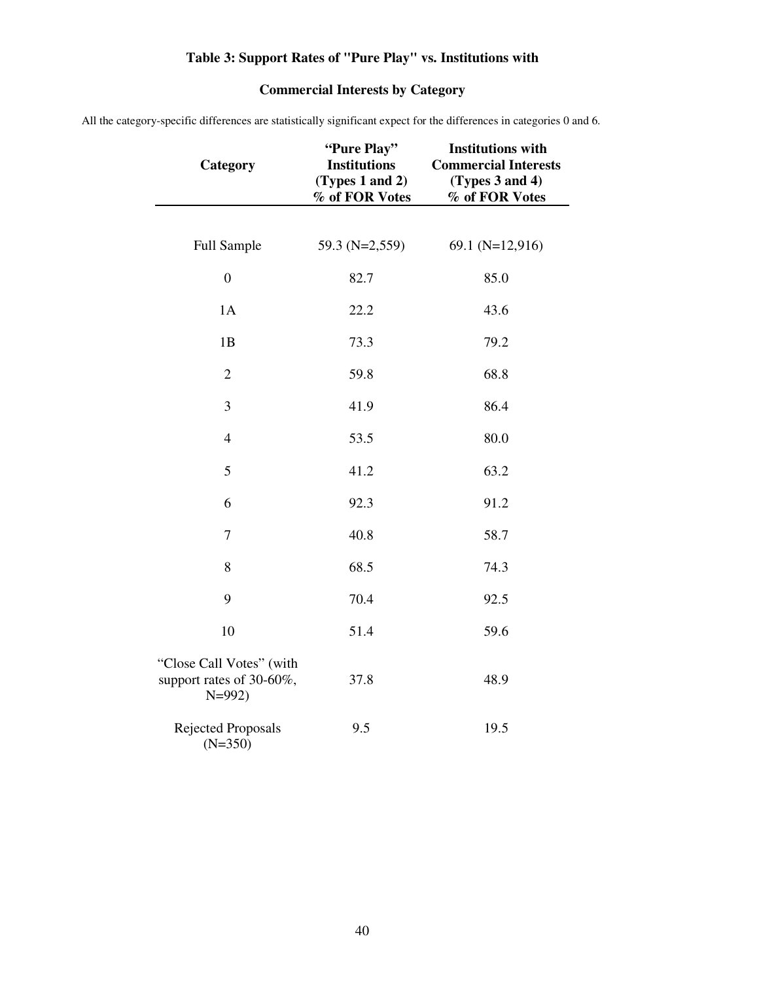# **Table 3: Support Rates of "Pure Play" vs. Institutions with**

# **Commercial Interests by Category**

All the category-specific differences are statistically significant expect for the differences in categories 0 and 6.

| Category                                                        | "Pure Play"<br><b>Institutions</b><br>(Types 1 and 2)<br>% of FOR Votes | <b>Institutions with</b><br><b>Commercial Interests</b><br>(Types 3 and 4)<br>% of FOR Votes |
|-----------------------------------------------------------------|-------------------------------------------------------------------------|----------------------------------------------------------------------------------------------|
|                                                                 |                                                                         |                                                                                              |
| Full Sample                                                     | 59.3 (N=2,559)                                                          | 69.1 $(N=12,916)$                                                                            |
| $\boldsymbol{0}$                                                | 82.7                                                                    | 85.0                                                                                         |
| 1A                                                              | 22.2                                                                    | 43.6                                                                                         |
| 1B                                                              | 73.3                                                                    | 79.2                                                                                         |
| $\overline{2}$                                                  | 59.8                                                                    | 68.8                                                                                         |
| 3                                                               | 41.9                                                                    | 86.4                                                                                         |
| $\overline{4}$                                                  | 53.5                                                                    | 80.0                                                                                         |
| 5                                                               | 41.2                                                                    | 63.2                                                                                         |
| 6                                                               | 92.3                                                                    | 91.2                                                                                         |
| $\tau$                                                          | 40.8                                                                    | 58.7                                                                                         |
| $8\,$                                                           | 68.5                                                                    | 74.3                                                                                         |
| 9                                                               | 70.4                                                                    | 92.5                                                                                         |
| 10                                                              | 51.4                                                                    | 59.6                                                                                         |
| "Close Call Votes" (with<br>support rates of 30-60%,<br>$N=992$ | 37.8                                                                    | 48.9                                                                                         |
| Rejected Proposals<br>$(N=350)$                                 | 9.5                                                                     | 19.5                                                                                         |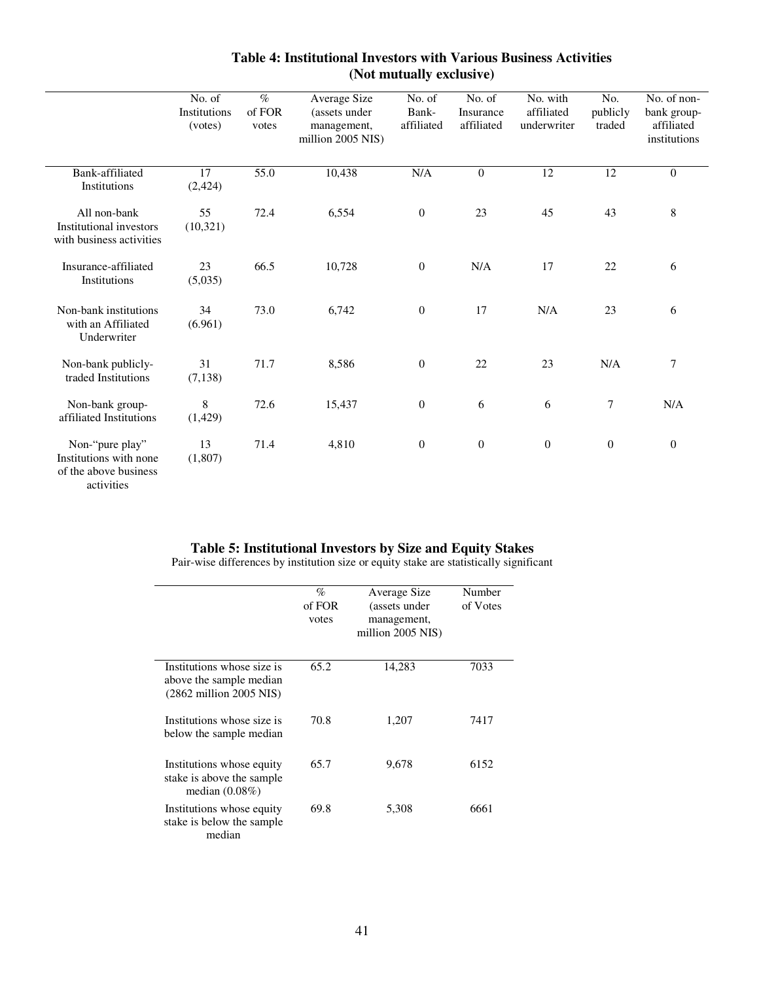|                                                                                  | No. of<br>Institutions<br>(votes) | $\%$<br>of FOR<br>votes | Average Size<br>(assets under<br>management,<br>million 2005 NIS) | No. of<br>Bank-<br>affiliated | No. of<br>Insurance<br>affiliated | No. with<br>affiliated<br>underwriter | No.<br>publicly<br>traded | No. of non-<br>bank group-<br>affiliated<br>institutions |
|----------------------------------------------------------------------------------|-----------------------------------|-------------------------|-------------------------------------------------------------------|-------------------------------|-----------------------------------|---------------------------------------|---------------------------|----------------------------------------------------------|
| Bank-affiliated<br>Institutions                                                  | 17<br>(2, 424)                    | 55.0                    | 10,438                                                            | N/A                           | $\mathbf{0}$                      | $\overline{12}$                       | $\overline{12}$           | $\mathbf{0}$                                             |
| All non-bank<br><b>Institutional investors</b><br>with business activities       | 55<br>(10, 321)                   | 72.4                    | 6,554                                                             | $\boldsymbol{0}$              | 23                                | 45                                    | 43                        | 8                                                        |
| Insurance-affiliated<br>Institutions                                             | 23<br>(5,035)                     | 66.5                    | 10,728                                                            | $\boldsymbol{0}$              | N/A                               | 17                                    | 22                        | 6                                                        |
| Non-bank institutions<br>with an Affiliated<br>Underwriter                       | 34<br>(6.961)                     | 73.0                    | 6,742                                                             | $\boldsymbol{0}$              | 17                                | N/A                                   | 23                        | 6                                                        |
| Non-bank publicly-<br>traded Institutions                                        | 31<br>(7, 138)                    | 71.7                    | 8,586                                                             | $\boldsymbol{0}$              | 22                                | 23                                    | N/A                       | 7                                                        |
| Non-bank group-<br>affiliated Institutions                                       | $\,8\,$<br>(1, 429)               | 72.6                    | 15,437                                                            | $\boldsymbol{0}$              | 6                                 | 6                                     | $\tau$                    | N/A                                                      |
| Non-"pure play"<br>Institutions with none<br>of the above business<br>activities | 13<br>(1,807)                     | 71.4                    | 4,810                                                             | $\boldsymbol{0}$              | $\mathbf{0}$                      | $\overline{0}$                        | $\mathbf{0}$              | $\overline{0}$                                           |

# **Table 4: Institutional Investors with Various Business Activities (Not mutually exclusive)**

# **Table 5: Institutional Investors by Size and Equity Stakes**

Pair-wise differences by institution size or equity stake are statistically significant

|                                                                                                     | $\%$<br>of FOR | Average Size<br>(assets under    | Number<br>of Votes |
|-----------------------------------------------------------------------------------------------------|----------------|----------------------------------|--------------------|
|                                                                                                     | votes          | management,<br>million 2005 NIS) |                    |
| Institutions whose size is<br>above the sample median<br>$(2862 \text{ million } 2005 \text{ NIS})$ | 65.2           | 14,283                           | 7033               |
| Institutions whose size is<br>below the sample median                                               | 70.8           | 1,207                            | 7417               |
| Institutions whose equity<br>stake is above the sample<br>median $(0.08\%)$                         | 65.7           | 9,678                            | 6152               |
| Institutions whose equity<br>stake is below the sample<br>median                                    | 69.8           | 5,308                            | 6661               |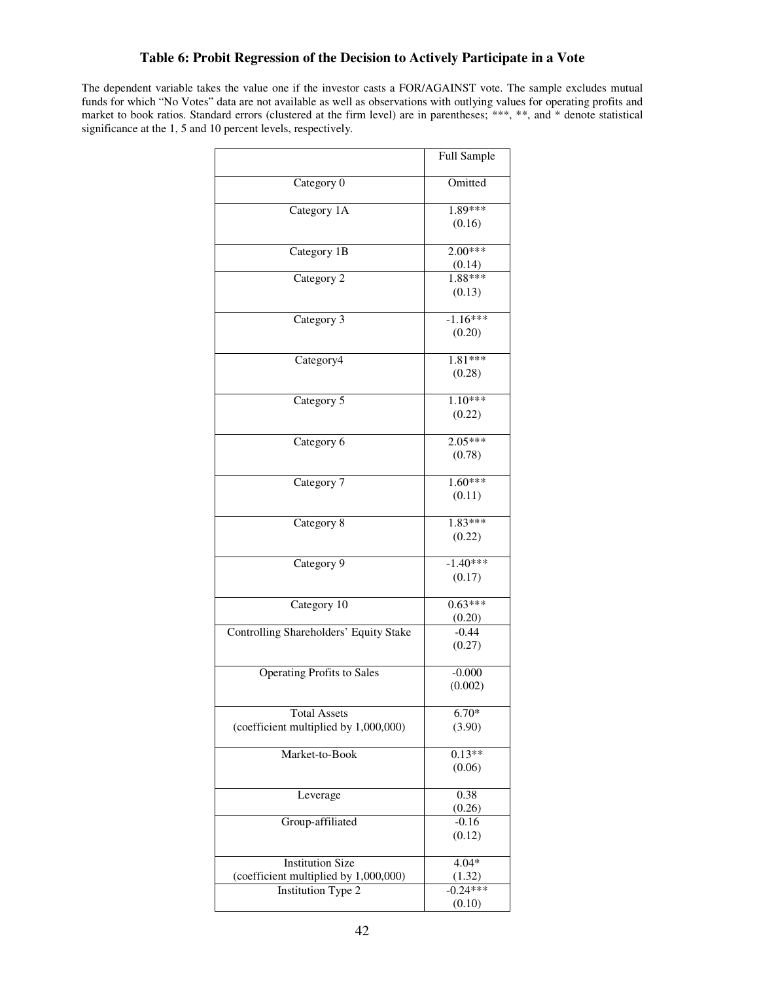# **Table 6: Probit Regression of the Decision to Actively Participate in a Vote**

The dependent variable takes the value one if the investor casts a FOR/AGAINST vote. The sample excludes mutual funds for which "No Votes" data are not available as well as observations with outlying values for operating profits and market to book ratios. Standard errors (clustered at the firm level) are in parentheses; \*\*\*, \*\*, and \* denote statistical significance at the 1, 5 and 10 percent levels, respectively.

|                                        | Full Sample         |
|----------------------------------------|---------------------|
| Category 0                             | Omitted             |
| Category 1A                            | 1.89***             |
|                                        | (0.16)              |
| Category 1B                            | $2.00***$           |
|                                        | (0.14)              |
| Category 2                             | $1.88***$           |
|                                        | (0.13)              |
| Category 3                             | $-1.16***$          |
|                                        | (0.20)              |
| Category4                              | 1.81***             |
|                                        | (0.28)              |
| Category 5                             | $1.10***$           |
|                                        | (0.22)              |
| Category 6                             | $2.05***$           |
|                                        | (0.78)              |
|                                        |                     |
| Category 7                             | $1.60***$<br>(0.11) |
|                                        |                     |
| Category 8                             | $1.83***$           |
|                                        | (0.22)              |
| Category 9                             | $-1.40***$          |
|                                        | (0.17)              |
| Category 10                            | $0.63***$           |
|                                        | (0.20)              |
| Controlling Shareholders' Equity Stake | $-0.44$             |
|                                        | (0.27)              |
| <b>Operating Profits to Sales</b>      | $-0.000$            |
|                                        | (0.002)             |
| <b>Total Assets</b>                    | $6.70*$             |
| (coefficient multiplied by 1,000,000)  | (3.90)              |
| Market-to-Book                         | $0.13**$            |
|                                        | (0.06)              |
| Leverage                               | 0.38                |
|                                        | (0.26)              |
| Group-affiliated                       | $-0.16$             |
|                                        | (0.12)              |
| <b>Institution Size</b>                | $4.04*$             |
| (coefficient multiplied by 1,000,000)  | (1.32)              |
| <b>Institution Type 2</b>              | $-0.24***$          |
|                                        | (0.10)              |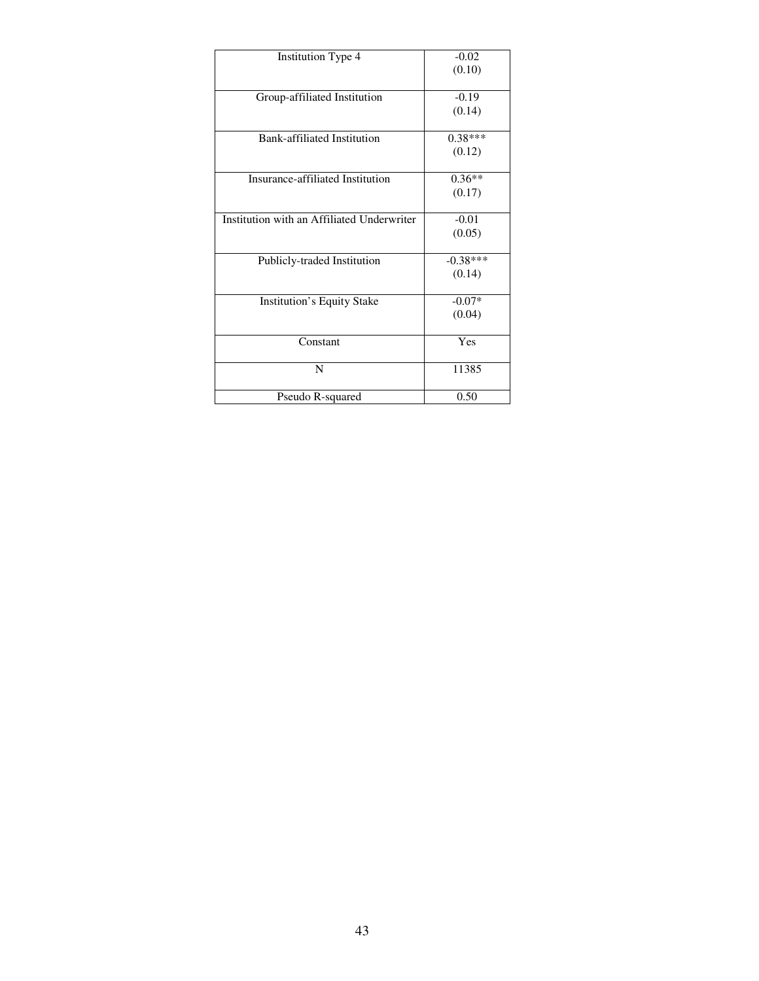| <b>Institution Type 4</b>                  | $-0.02$    |
|--------------------------------------------|------------|
|                                            | (0.10)     |
|                                            |            |
| Group-affiliated Institution               | $-0.19$    |
|                                            | (0.14)     |
|                                            |            |
| Bank-affiliated Institution                | $0.38***$  |
|                                            | (0.12)     |
|                                            |            |
| Insurance-affiliated Institution           | $0.36**$   |
|                                            | (0.17)     |
|                                            |            |
| Institution with an Affiliated Underwriter | $-0.01$    |
|                                            | (0.05)     |
|                                            |            |
| Publicly-traded Institution                | $-0.38***$ |
|                                            | (0.14)     |
|                                            |            |
| <b>Institution's Equity Stake</b>          | $-0.07*$   |
|                                            | (0.04)     |
|                                            |            |
| Constant                                   | Yes        |
|                                            |            |
| N                                          | 11385      |
|                                            |            |
| Pseudo R-squared                           | 0.50       |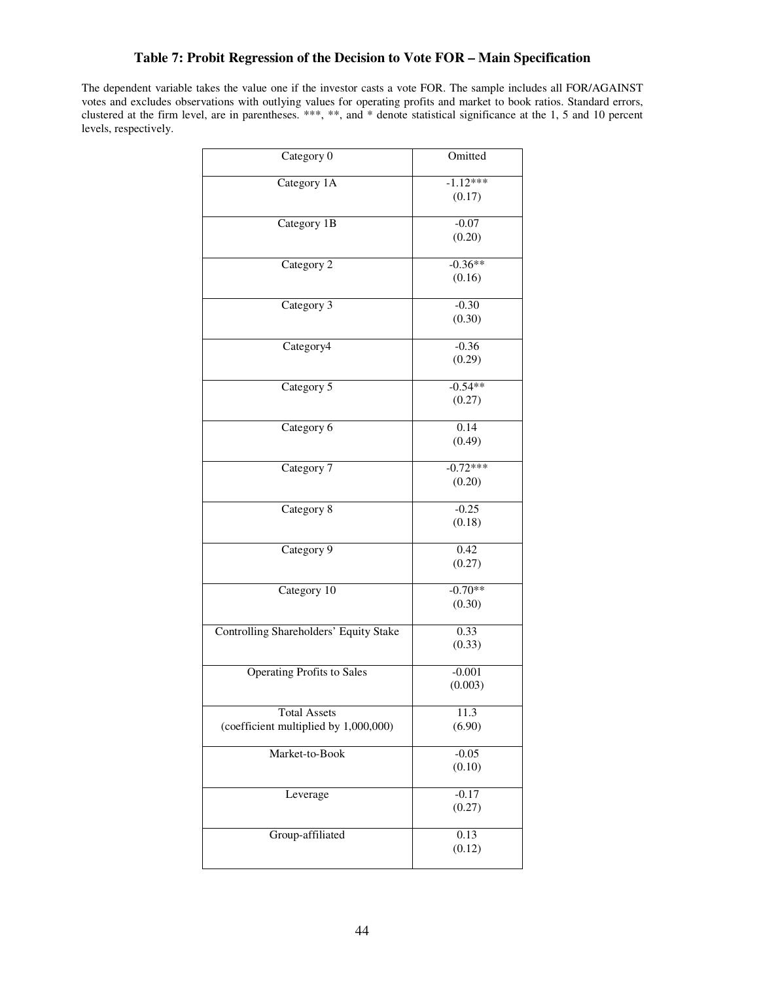# **Table 7: Probit Regression of the Decision to Vote FOR – Main Specification**

The dependent variable takes the value one if the investor casts a vote FOR. The sample includes all FOR/AGAINST votes and excludes observations with outlying values for operating profits and market to book ratios. Standard errors, clustered at the firm level, are in parentheses. \*\*\*, \*\*, and \* denote statistical significance at the 1, 5 and 10 percent levels, respectively.

| Category 0                                                   | Omitted              |
|--------------------------------------------------------------|----------------------|
| Category 1A                                                  | $-1.12***$<br>(0.17) |
| Category 1B                                                  | $-0.07$<br>(0.20)    |
| Category 2                                                   | $-0.36**$<br>(0.16)  |
| Category 3                                                   | $-0.30$<br>(0.30)    |
| Category4                                                    | $-0.36$<br>(0.29)    |
| Category 5                                                   | $-0.54**$<br>(0.27)  |
| Category 6                                                   | 0.14<br>(0.49)       |
| Category 7                                                   | $-0.72***$<br>(0.20) |
| Category 8                                                   | $-0.25$<br>(0.18)    |
| Category 9                                                   | 0.42<br>(0.27)       |
| Category 10                                                  | $-0.70**$<br>(0.30)  |
| Controlling Shareholders' Equity Stake                       | 0.33<br>(0.33)       |
| <b>Operating Profits to Sales</b>                            | $-0.001$<br>(0.003)  |
| <b>Total Assets</b><br>(coefficient multiplied by 1,000,000) | 11.3<br>(6.90)       |
| Market-to-Book                                               | $-0.05$<br>(0.10)    |
| Leverage                                                     | $-0.17$<br>(0.27)    |
| Group-affiliated                                             | 0.13<br>(0.12)       |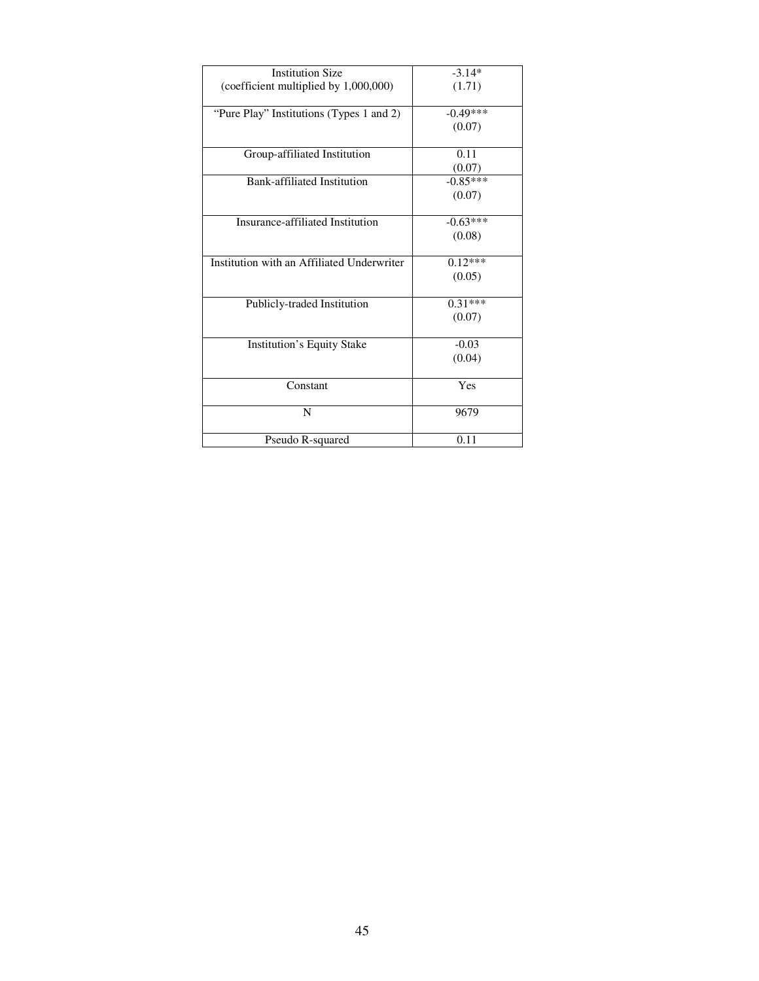| $-3.14*$             |
|----------------------|
| (1.71)               |
|                      |
| $-0.49***$           |
| (0.07)               |
|                      |
| 0.11                 |
| (0.07)               |
| $-0.85***$           |
| (0.07)               |
|                      |
| $-0.63***$           |
| (0.08)               |
|                      |
| $0.\overline{12***}$ |
| (0.05)               |
|                      |
| $0.31***$            |
| (0.07)               |
|                      |
| $-0.03$              |
| (0.04)               |
|                      |
| Yes                  |
|                      |
| 9679                 |
|                      |
| 0.11                 |
|                      |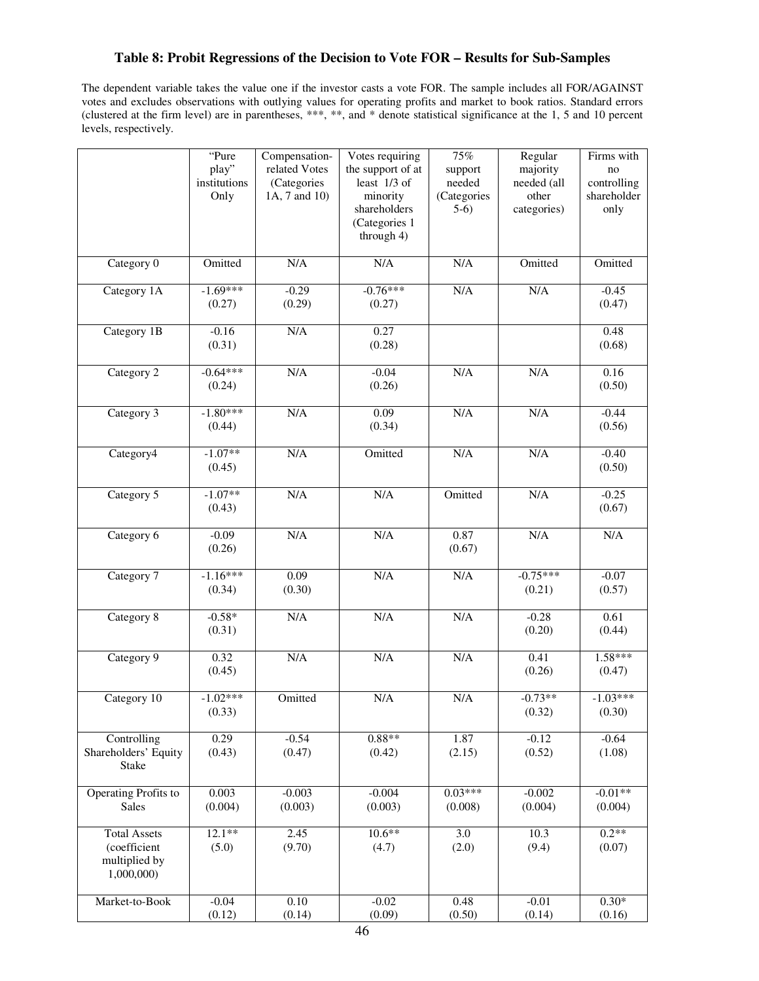# **Table 8: Probit Regressions of the Decision to Vote FOR – Results for Sub-Samples**

The dependent variable takes the value one if the investor casts a vote FOR. The sample includes all FOR/AGAINST votes and excludes observations with outlying values for operating profits and market to book ratios. Standard errors (clustered at the firm level) are in parentheses, \*\*\*, \*\*, and \* denote statistical significance at the 1, 5 and 10 percent levels, respectively.

|                             | "Pure        | Compensation- | Votes requiring   | $75\%$      | Regular     | Firms with  |
|-----------------------------|--------------|---------------|-------------------|-------------|-------------|-------------|
|                             | play"        | related Votes | the support of at | support     | majority    | no          |
|                             | institutions | (Categories   | least 1/3 of      | needed      | needed (all | controlling |
|                             | Only         | 1A, 7 and 10) | minority          | (Categories | other       | shareholder |
|                             |              |               | shareholders      | $5-6)$      | categories) | only        |
|                             |              |               | (Categories 1     |             |             |             |
|                             |              |               | through 4)        |             |             |             |
| Category 0                  | Omitted      | N/A           | $\rm N/A$         | N/A         | Omitted     | Omitted     |
| Category 1A                 | $-1.69***$   | $-0.29$       | $-0.76***$        | N/A         | N/A         | $-0.45$     |
|                             | (0.27)       | (0.29)        | (0.27)            |             |             | (0.47)      |
| Category 1B                 | $-0.16$      | N/A           | 0.27              |             |             | 0.48        |
|                             | (0.31)       |               | (0.28)            |             |             | (0.68)      |
|                             |              |               |                   |             |             |             |
| Category 2                  | $-0.64***$   | N/A           | $-0.04$           | N/A         | N/A         | 0.16        |
|                             | (0.24)       |               | (0.26)            |             |             | (0.50)      |
| Category 3                  | $-1.80***$   | N/A           | 0.09              | N/A         | N/A         | $-0.44$     |
|                             | (0.44)       |               | (0.34)            |             |             | (0.56)      |
|                             |              |               |                   |             |             |             |
| Category4                   | $-1.07**$    | N/A           | Omitted           | $\rm N/A$   | N/A         | $-0.40$     |
|                             | (0.45)       |               |                   |             |             | (0.50)      |
|                             |              |               |                   |             |             |             |
| Category 5                  | $-1.07**$    | N/A           | $\rm N/A$         | Omitted     | N/A         | $-0.25$     |
|                             | (0.43)       |               |                   |             |             | (0.67)      |
|                             |              |               |                   |             |             |             |
| Category 6                  | $-0.09$      | N/A           | $\rm N/A$         | 0.87        | N/A         | N/A         |
|                             | (0.26)       |               |                   | (0.67)      |             |             |
| Category 7                  | $-1.16***$   | 0.09          | N/A               | N/A         | $-0.75***$  | $-0.07$     |
|                             | (0.34)       | (0.30)        |                   |             | (0.21)      | (0.57)      |
|                             |              |               |                   |             |             |             |
| Category 8                  | $-0.58*$     | N/A           | N/A               | N/A         | $-0.28$     | 0.61        |
|                             | (0.31)       |               |                   |             | (0.20)      | (0.44)      |
|                             |              |               |                   |             |             |             |
| Category 9                  | 0.32         | N/A           | $\rm N/A$         | $\rm N/A$   | 0.41        | $1.58***$   |
|                             | (0.45)       |               |                   |             | (0.26)      | (0.47)      |
|                             |              |               |                   |             |             |             |
| Category $\overline{10}$    | $-1.02***$   | Omitted       | N/A               | N/A         | $-0.73**$   | $-1.03***$  |
|                             | (0.33)       |               |                   |             | (0.32)      | (0.30)      |
| Controlling                 | 0.29         | $-0.54$       | $0.88**$          | 1.87        | $-0.12$     | $-0.64$     |
| Shareholders' Equity        | (0.43)       | (0.47)        | (0.42)            | (2.15)      | (0.52)      | (1.08)      |
| Stake                       |              |               |                   |             |             |             |
|                             |              |               |                   |             |             |             |
| <b>Operating Profits to</b> | 0.003        | $-0.003$      | $-0.004$          | $0.03***$   | $-0.002$    | $-0.01**$   |
| Sales                       | (0.004)      | (0.003)       | (0.003)           | (0.008)     | (0.004)     | (0.004)     |
|                             |              |               |                   |             |             |             |
| <b>Total Assets</b>         | $12.1**$     | 2.45          | $10.6**$          | 3.0         | 10.3        | $0.2**$     |
| (coefficient                | (5.0)        | (9.70)        | (4.7)             | (2.0)       | (9.4)       | (0.07)      |
| multiplied by               |              |               |                   |             |             |             |
| 1,000,000)                  |              |               |                   |             |             |             |
| Market-to-Book              | $-0.04$      | 0.10          | $-0.02$           | 0.48        | $-0.01$     | $0.30*$     |
|                             | (0.12)       | (0.14)        | (0.09)            | (0.50)      | (0.14)      | (0.16)      |
|                             |              |               |                   |             |             |             |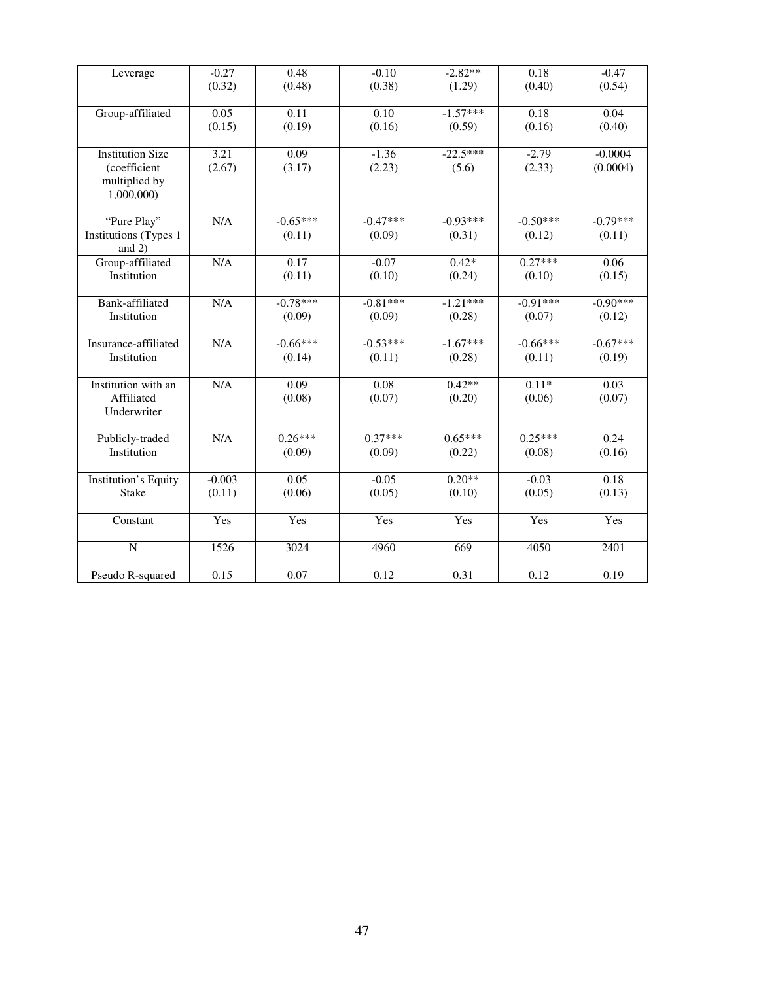| Leverage                    | $-0.27$  | 0.48       | $-0.10$    | $-2.82**$  | 0.18       | $-0.47$    |
|-----------------------------|----------|------------|------------|------------|------------|------------|
|                             | (0.32)   | (0.48)     | (0.38)     | (1.29)     | (0.40)     | (0.54)     |
|                             |          |            |            |            |            |            |
| Group-affiliated            | 0.05     | 0.11       | 0.10       | $-1.57***$ | 0.18       | 0.04       |
|                             | (0.15)   | (0.19)     | (0.16)     | (0.59)     | (0.16)     | (0.40)     |
|                             |          |            |            |            |            |            |
| <b>Institution Size</b>     | 3.21     | 0.09       | $-1.36$    | $-22.5***$ | $-2.79$    | $-0.0004$  |
| (coefficient                | (2.67)   | (3.17)     | (2.23)     | (5.6)      | (2.33)     | (0.0004)   |
| multiplied by               |          |            |            |            |            |            |
| 1,000,000)                  |          |            |            |            |            |            |
|                             |          |            |            |            |            |            |
| "Pure Play"                 | N/A      | $-0.65***$ | $-0.47***$ | $-0.93***$ | $-0.50***$ | $-0.79***$ |
| Institutions (Types 1       |          | (0.11)     | (0.09)     | (0.31)     | (0.12)     | (0.11)     |
| and $2)$                    |          |            |            |            |            |            |
| Group-affiliated            | N/A      | 0.17       | $-0.07$    | $0.42*$    | $0.27***$  | 0.06       |
| Institution                 |          | (0.11)     | (0.10)     | (0.24)     | (0.10)     | (0.15)     |
|                             |          |            |            |            |            |            |
| Bank-affiliated             | N/A      | $-0.78***$ | $-0.81***$ | $-1.21***$ | $-0.91***$ | $-0.90***$ |
| Institution                 |          | (0.09)     | (0.09)     | (0.28)     | (0.07)     | (0.12)     |
|                             |          |            |            |            |            |            |
| Insurance-affiliated        | N/A      | $-0.66***$ | $-0.53***$ | $-1.67***$ | $-0.66***$ | $-0.67***$ |
| Institution                 |          | (0.14)     | (0.11)     | (0.28)     | (0.11)     | (0.19)     |
|                             |          |            |            |            |            |            |
| Institution with an         | N/A      | 0.09       | 0.08       | $0.42**$   | $0.11*$    | 0.03       |
| Affiliated                  |          | (0.08)     | (0.07)     | (0.20)     | (0.06)     | (0.07)     |
| Underwriter                 |          |            |            |            |            |            |
| Publicly-traded             | N/A      | $0.26***$  | $0.37***$  | $0.65***$  | $0.25***$  | 0.24       |
| Institution                 |          |            |            |            |            |            |
|                             |          | (0.09)     | (0.09)     | (0.22)     | (0.08)     | (0.16)     |
| <b>Institution's Equity</b> | $-0.003$ | 0.05       | $-0.05$    | $0.20**$   | $-0.03$    | 0.18       |
| <b>Stake</b>                | (0.11)   | (0.06)     | (0.05)     | (0.10)     | (0.05)     | (0.13)     |
|                             |          |            |            |            |            |            |
| Constant                    | Yes      | Yes        | Yes        | Yes        | Yes        | Yes        |
|                             |          |            |            |            |            |            |
| $\overline{N}$              | 1526     | 3024       | 4960       | 669        | 4050       | 2401       |
|                             |          |            |            |            |            |            |
| Pseudo R-squared            | 0.15     | 0.07       | 0.12       | 0.31       | 0.12       | 0.19       |
|                             |          |            |            |            |            |            |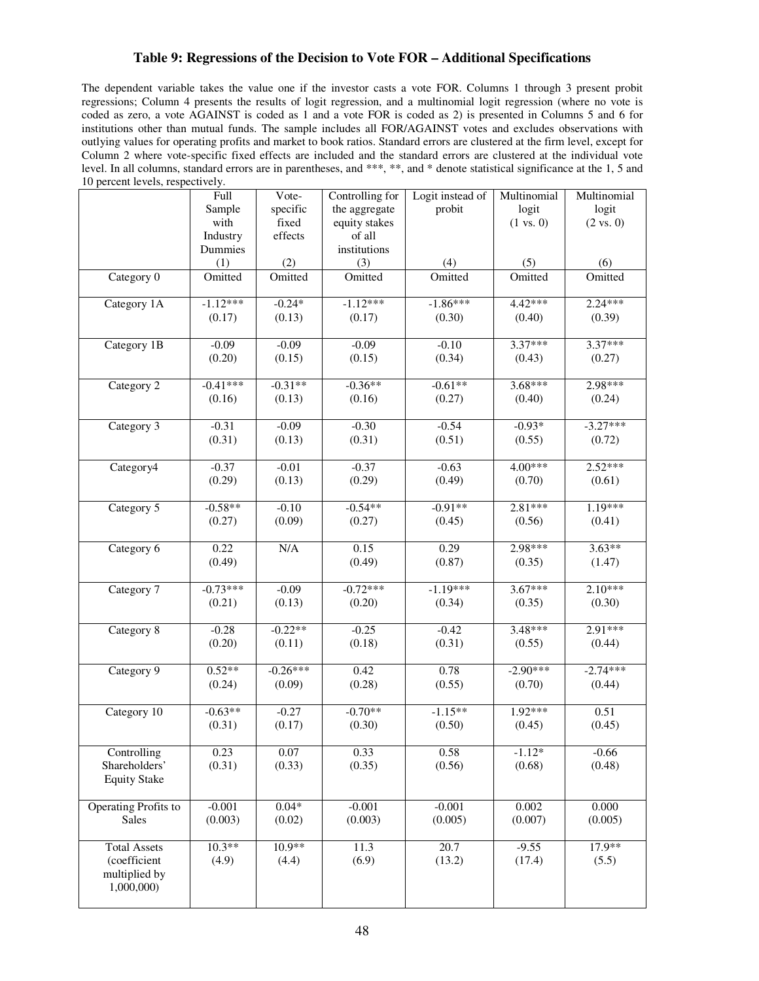# **Table 9: Regressions of the Decision to Vote FOR – Additional Specifications**

The dependent variable takes the value one if the investor casts a vote FOR. Columns 1 through 3 present probit regressions; Column 4 presents the results of logit regression, and a multinomial logit regression (where no vote is coded as zero, a vote AGAINST is coded as 1 and a vote FOR is coded as 2) is presented in Columns 5 and 6 for institutions other than mutual funds. The sample includes all FOR/AGAINST votes and excludes observations with outlying values for operating profits and market to book ratios. Standard errors are clustered at the firm level, except for Column 2 where vote-specific fixed effects are included and the standard errors are clustered at the individual vote level. In all columns, standard errors are in parentheses, and \*\*\*, \*\*, and \* denote statistical significance at the 1, 5 and 10 percent levels, respectively.

|                      | Full       | Vote-      | Controlling for | Logit instead of | Multinomial          | Multinomial          |
|----------------------|------------|------------|-----------------|------------------|----------------------|----------------------|
|                      | Sample     | specific   | the aggregate   | probit           | logit                | logit                |
|                      | with       | fixed      | equity stakes   |                  | $(1 \text{ vs. } 0)$ | $(2 \text{ vs. } 0)$ |
|                      | Industry   | effects    | of all          |                  |                      |                      |
|                      | Dummies    |            | institutions    |                  |                      |                      |
|                      | (1)        | (2)        | (3)             | (4)              | (5)                  | (6)                  |
| Category 0           | Omitted    | Omitted    | Omitted         | Omitted          | Omitted              | Omitted              |
|                      |            |            |                 |                  |                      |                      |
| Category 1A          | $-1.12***$ | $-0.24*$   | $-1.12***$      | $-1.86***$       | 4.42***              | $2.24***$            |
|                      | (0.17)     | (0.13)     | (0.17)          | (0.30)           | (0.40)               | (0.39)               |
| Category 1B          | $-0.09$    | $-0.09$    | $-0.09$         | $-0.10$          | $3.37***$            | $3.37***$            |
|                      | (0.20)     | (0.15)     | (0.15)          | (0.34)           | (0.43)               | (0.27)               |
|                      |            |            |                 |                  |                      |                      |
| Category 2           | $-0.41***$ | $-0.31**$  | $-0.36**$       | $-0.61**$        | $3.68***$            | 2.98***              |
|                      | (0.16)     | (0.13)     | (0.16)          | (0.27)           | (0.40)               | (0.24)               |
|                      |            |            |                 |                  |                      |                      |
| Category 3           | $-0.31$    | $-0.09$    | $-0.30$         | $-0.54$          | $-0.93*$             | $-3.27***$           |
|                      | (0.31)     | (0.13)     | (0.31)          | (0.51)           | (0.55)               | (0.72)               |
|                      |            |            |                 |                  |                      |                      |
| Category4            | $-0.37$    | $-0.01$    | $-0.37$         | $-0.63$          | 4.00***              | $2.52***$            |
|                      | (0.29)     | (0.13)     | (0.29)          | (0.49)           | (0.70)               | (0.61)               |
| Category 5           | $-0.58**$  | $-0.10$    | $-0.54**$       | $-0.91**$        | $2.81***$            | 1.19***              |
|                      | (0.27)     | (0.09)     | (0.27)          | (0.45)           | (0.56)               | (0.41)               |
|                      |            |            |                 |                  |                      |                      |
| Category 6           | 0.22       | N/A        | 0.15            | 0.29             | 2.98***              | $3.63**$             |
|                      | (0.49)     |            | (0.49)          | (0.87)           | (0.35)               | (1.47)               |
|                      |            |            |                 |                  |                      |                      |
| Category 7           | $-0.73***$ | $-0.09$    | $-0.72***$      | $-1.19***$       | $3.67***$            | $2.10***$            |
|                      | (0.21)     | (0.13)     | (0.20)          | (0.34)           | (0.35)               | (0.30)               |
|                      |            |            |                 |                  |                      |                      |
| Category 8           | $-0.28$    | $-0.22**$  | $-0.25$         | $-0.42$          | $3.48***$            | $2.91***$            |
|                      | (0.20)     | (0.11)     | (0.18)          | (0.31)           | (0.55)               | (0.44)               |
|                      |            |            |                 |                  |                      |                      |
| Category 9           | $0.52**$   | $-0.26***$ | 0.42            | 0.78             | $-2.90***$           | $-2.74***$           |
|                      | (0.24)     | (0.09)     | (0.28)          | (0.55)           | (0.70)               | (0.44)               |
| Category 10          | $-0.63**$  | $-0.27$    | $-0.70**$       | $-1.15**$        | $1.92***$            | 0.51                 |
|                      | (0.31)     | (0.17)     | (0.30)          | (0.50)           | (0.45)               | (0.45)               |
|                      |            |            |                 |                  |                      |                      |
| Controlling          | 0.23       | $0.07\,$   | 0.33            | 0.58             | $-1.12*$             | $-0.66$              |
| Shareholders'        | (0.31)     | (0.33)     | (0.35)          | (0.56)           | (0.68)               | (0.48)               |
| <b>Equity Stake</b>  |            |            |                 |                  |                      |                      |
|                      |            |            |                 |                  |                      |                      |
| Operating Profits to | $-0.001$   | $0.04*$    | $-0.001$        | $-0.001$         | 0.002                | 0.000                |
| <b>Sales</b>         | (0.003)    | (0.02)     | (0.003)         | (0.005)          | (0.007)              | (0.005)              |
|                      |            |            |                 |                  |                      |                      |
| <b>Total Assets</b>  | $10.3**$   | $10.9**$   | 11.3            | 20.7             | $-9.55$              | $17.9**$             |
| (coefficient         | (4.9)      | (4.4)      | (6.9)           | (13.2)           | (17.4)               | (5.5)                |
| multiplied by        |            |            |                 |                  |                      |                      |
| 1,000,000)           |            |            |                 |                  |                      |                      |
|                      |            |            |                 |                  |                      |                      |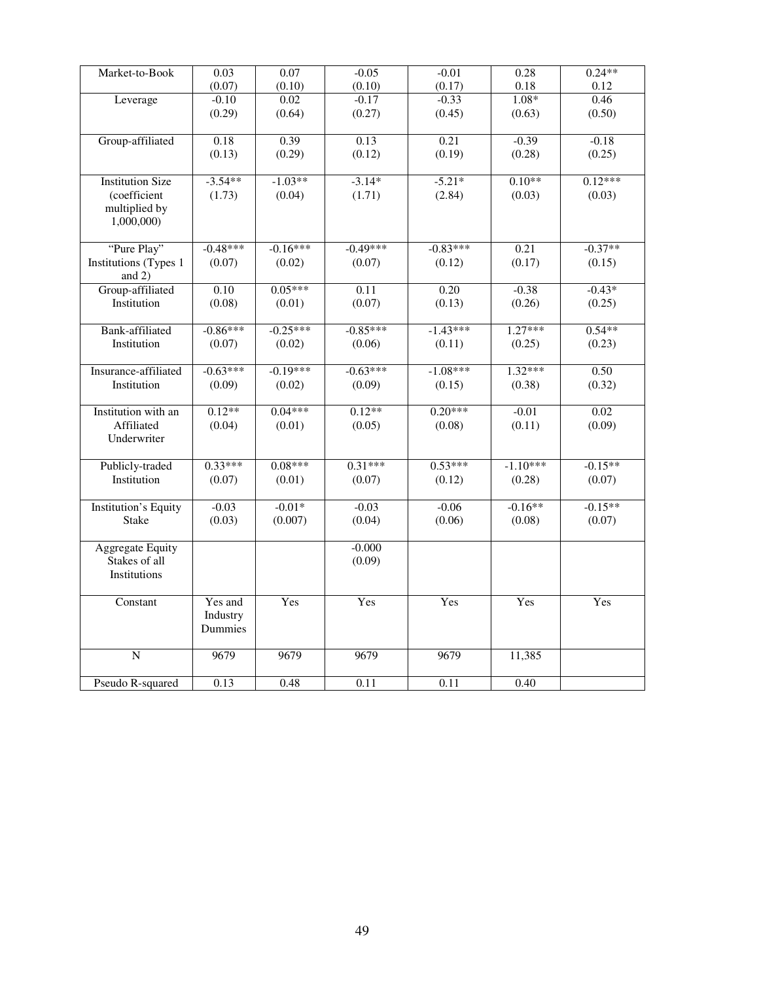| Market-to-Book              | 0.03       | 0.07       | $-0.05$    | $-0.01$    | 0.28       | $0.24**$  |
|-----------------------------|------------|------------|------------|------------|------------|-----------|
|                             | (0.07)     | (0.10)     | (0.10)     | (0.17)     | 0.18       | 0.12      |
| Leverage                    | $-0.10$    | 0.02       | $-0.17$    | $-0.33$    | $1.08*$    | 0.46      |
|                             | (0.29)     | (0.64)     | (0.27)     | (0.45)     | (0.63)     | (0.50)    |
|                             |            |            |            |            |            |           |
| Group-affiliated            | 0.18       | 0.39       | 0.13       | 0.21       | $-0.39$    | $-0.18$   |
|                             | (0.13)     | (0.29)     | (0.12)     | (0.19)     | (0.28)     | (0.25)    |
|                             |            |            |            |            |            |           |
| <b>Institution Size</b>     | $-3.54**$  | $-1.03**$  | $-3.14*$   | $-5.21*$   | $0.10**$   | $0.12***$ |
| (coefficient                | (1.73)     | (0.04)     | (1.71)     | (2.84)     | (0.03)     | (0.03)    |
| multiplied by               |            |            |            |            |            |           |
| 1,000,000)                  |            |            |            |            |            |           |
|                             |            |            |            |            |            |           |
| "Pure Play"                 | $-0.48***$ | $-0.16***$ | $-0.49***$ | $-0.83***$ | 0.21       | $-0.37**$ |
| Institutions (Types 1       | (0.07)     | (0.02)     | (0.07)     | (0.12)     | (0.17)     | (0.15)    |
| and $2)$                    |            |            |            |            |            |           |
| Group-affiliated            | 0.10       | $0.05***$  | 0.11       | 0.20       | $-0.38$    | $-0.43*$  |
| Institution                 | (0.08)     | (0.01)     | (0.07)     | (0.13)     | (0.26)     | (0.25)    |
|                             |            |            |            |            |            |           |
| <b>Bank-affiliated</b>      | $-0.86***$ | $-0.25***$ | $-0.85***$ | $-1.43***$ | $1.27***$  | $0.54**$  |
| Institution                 | (0.07)     | (0.02)     | (0.06)     | (0.11)     | (0.25)     | (0.23)    |
|                             |            |            |            |            |            |           |
| Insurance-affiliated        | $-0.63***$ | $-0.19***$ | $-0.63***$ | $-1.08***$ | $1.32***$  | 0.50      |
| Institution                 | (0.09)     | (0.02)     | (0.09)     | (0.15)     | (0.38)     | (0.32)    |
|                             |            |            |            |            |            |           |
| Institution with an         | $0.12**$   | $0.04***$  | $0.12**$   | $0.20***$  | $-0.01$    | 0.02      |
| Affiliated                  | (0.04)     | (0.01)     | (0.05)     | (0.08)     | (0.11)     | (0.09)    |
| Underwriter                 |            |            |            |            |            |           |
|                             |            |            |            |            |            |           |
| Publicly-traded             | $0.33***$  | $0.08***$  | $0.31***$  | $0.53***$  | $-1.10***$ | $-0.15**$ |
| Institution                 | (0.07)     | (0.01)     | (0.07)     | (0.12)     | (0.28)     | (0.07)    |
|                             |            |            |            |            |            |           |
| <b>Institution's Equity</b> | $-0.03$    | $-0.01*$   | $-0.03$    | $-0.06$    | $-0.16**$  | $-0.15**$ |
| <b>Stake</b>                | (0.03)     | (0.007)    | (0.04)     | (0.06)     | (0.08)     | (0.07)    |
|                             |            |            |            |            |            |           |
| <b>Aggregate Equity</b>     |            |            | $-0.000$   |            |            |           |
| Stakes of all               |            |            | (0.09)     |            |            |           |
| Institutions                |            |            |            |            |            |           |
|                             |            |            |            |            |            |           |
| Constant                    | Yes and    | Yes        | Yes        | Yes        | Yes        | Yes       |
|                             | Industry   |            |            |            |            |           |
|                             | Dummies    |            |            |            |            |           |
|                             |            |            |            |            |            |           |
| $\overline{N}$              | 9679       | 9679       | 9679       | 9679       | 11,385     |           |
|                             |            |            |            |            |            |           |
| Pseudo R-squared            | 0.13       | 0.48       | 0.11       | 0.11       | 0.40       |           |
|                             |            |            |            |            |            |           |